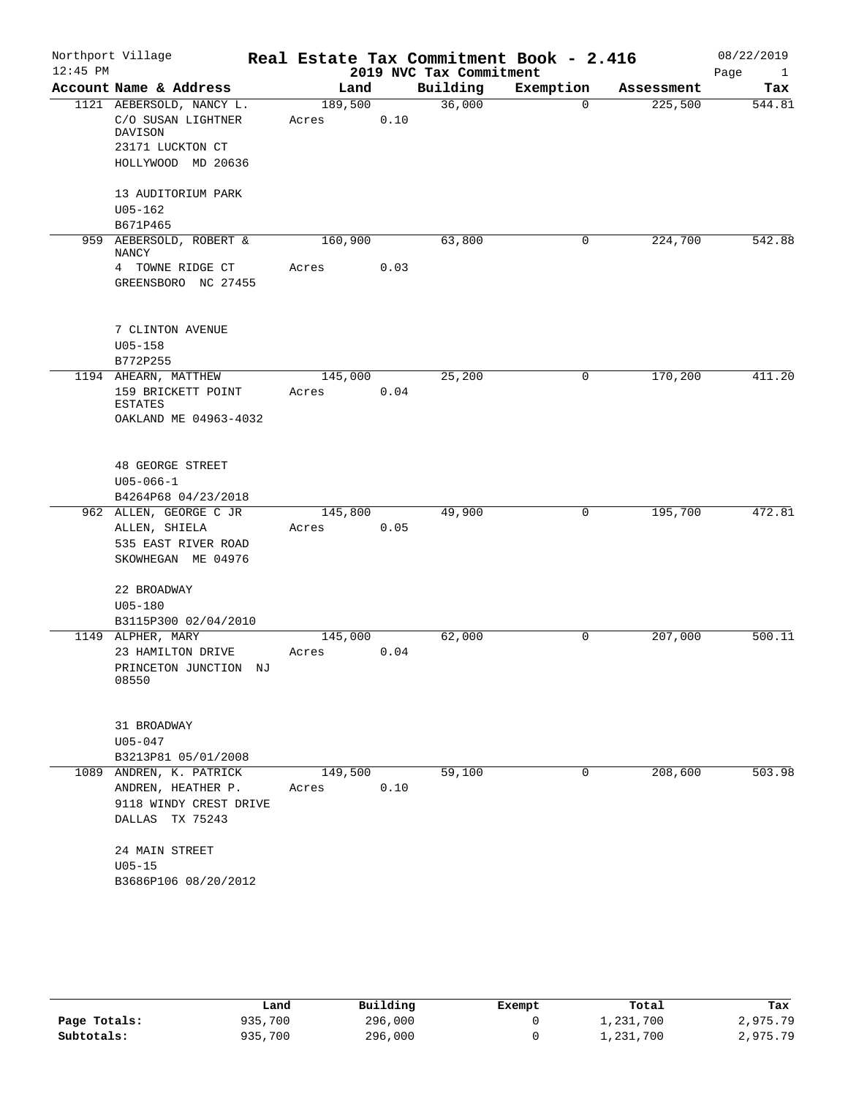| $12:45$ PM | Northport Village                                 |         |      |                                     | Real Estate Tax Commitment Book - 2.416 |            | 08/22/2019                  |
|------------|---------------------------------------------------|---------|------|-------------------------------------|-----------------------------------------|------------|-----------------------------|
|            | Account Name & Address                            | Land    |      | 2019 NVC Tax Commitment<br>Building | Exemption                               | Assessment | Page<br>$\mathbf{1}$<br>Tax |
|            | 1121 AEBERSOLD, NANCY L.                          | 189,500 |      | 36,000                              | $\Omega$                                | 225,500    | 544.81                      |
|            | C/O SUSAN LIGHTNER<br>DAVISON<br>23171 LUCKTON CT | Acres   | 0.10 |                                     |                                         |            |                             |
|            | HOLLYWOOD MD 20636<br>13 AUDITORIUM PARK          |         |      |                                     |                                         |            |                             |
|            | $U05 - 162$<br>B671P465                           |         |      |                                     |                                         |            |                             |
|            | 959 AEBERSOLD, ROBERT &<br><b>NANCY</b>           | 160,900 |      | 63,800                              | 0                                       | 224,700    | 542.88                      |
|            | 4 TOWNE RIDGE CT<br>GREENSBORO NC 27455           | Acres   | 0.03 |                                     |                                         |            |                             |
|            | 7 CLINTON AVENUE<br>$U05 - 158$                   |         |      |                                     |                                         |            |                             |
|            | B772P255                                          |         |      |                                     |                                         |            |                             |
|            | 1194 AHEARN, MATTHEW                              | 145,000 |      | 25,200                              | 0                                       | 170,200    | 411.20                      |
|            | 159 BRICKETT POINT<br><b>ESTATES</b>              | Acres   | 0.04 |                                     |                                         |            |                             |
|            | OAKLAND ME 04963-4032                             |         |      |                                     |                                         |            |                             |
|            | <b>48 GEORGE STREET</b>                           |         |      |                                     |                                         |            |                             |
|            | $U05 - 066 - 1$<br>B4264P68 04/23/2018            |         |      |                                     |                                         |            |                             |
|            | 962 ALLEN, GEORGE C JR                            | 145,800 |      | 49,900                              | 0                                       | 195,700    | 472.81                      |
|            | ALLEN, SHIELA                                     | Acres   | 0.05 |                                     |                                         |            |                             |
|            | 535 EAST RIVER ROAD                               |         |      |                                     |                                         |            |                             |
|            | SKOWHEGAN ME 04976                                |         |      |                                     |                                         |            |                             |
|            | 22 BROADWAY<br>$U05 - 180$                        |         |      |                                     |                                         |            |                             |
|            | B3115P300 02/04/2010                              |         |      |                                     |                                         |            |                             |
|            | 1149 ALPHER, MARY                                 | 145,000 |      | 62,000                              | 0                                       | 207,000    | 500.11                      |
|            | 23 HAMILTON DRIVE                                 | Acres   | 0.04 |                                     |                                         |            |                             |
|            | PRINCETON JUNCTION NJ<br>08550                    |         |      |                                     |                                         |            |                             |
|            | 31 BROADWAY                                       |         |      |                                     |                                         |            |                             |
|            | $U05 - 047$                                       |         |      |                                     |                                         |            |                             |
|            | B3213P81 05/01/2008                               |         |      |                                     |                                         |            |                             |
|            | 1089 ANDREN, K. PATRICK                           | 149,500 |      | 59,100                              | 0                                       | 208,600    | 503.98                      |
|            | ANDREN, HEATHER P.                                | Acres   | 0.10 |                                     |                                         |            |                             |
|            | 9118 WINDY CREST DRIVE<br>DALLAS TX 75243         |         |      |                                     |                                         |            |                             |
|            | 24 MAIN STREET                                    |         |      |                                     |                                         |            |                             |
|            | $U05 - 15$                                        |         |      |                                     |                                         |            |                             |
|            | B3686P106 08/20/2012                              |         |      |                                     |                                         |            |                             |

|              | Land    | Building | Exempt | Total     | Tax      |
|--------------|---------|----------|--------|-----------|----------|
| Page Totals: | 935,700 | 296,000  |        | 1,231,700 | 2,975.79 |
| Subtotals:   | 935,700 | 296,000  |        | 1,231,700 | 2,975.79 |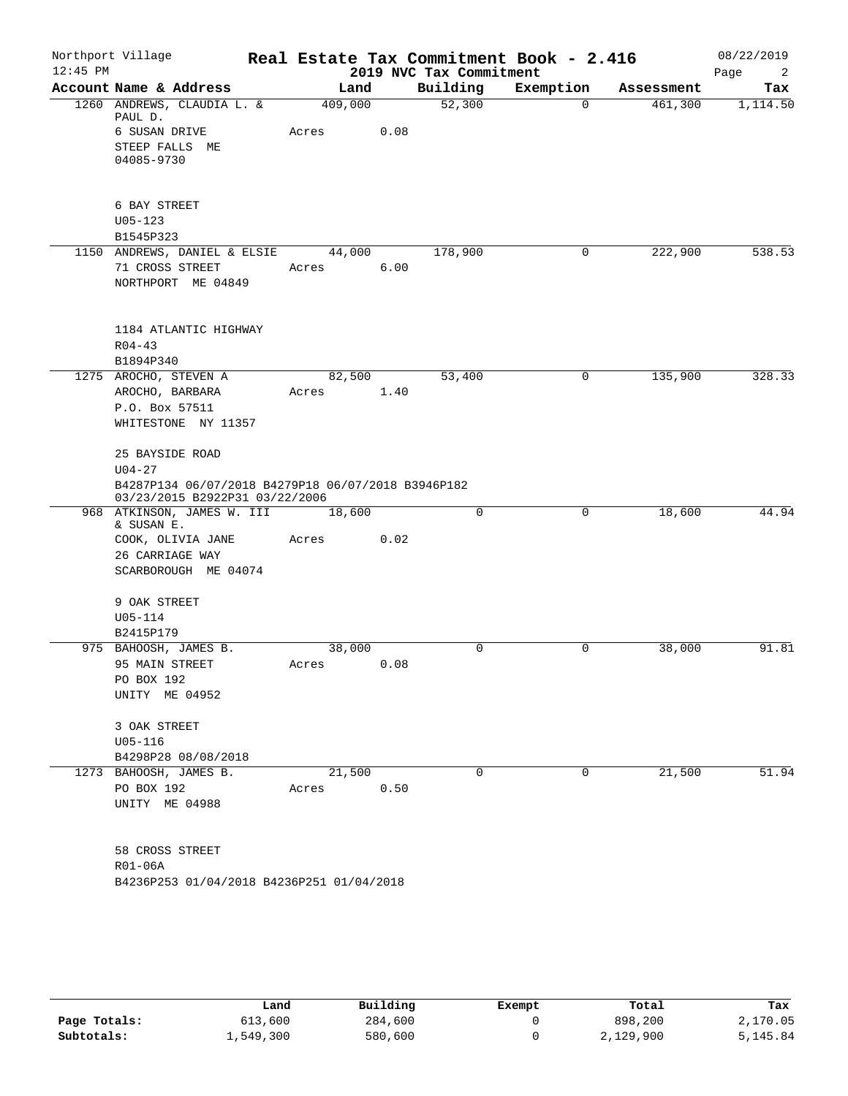| $12:45$ PM | Northport Village                                                       |                                                              |                 |      | 2019 NVC Tax Commitment | Real Estate Tax Commitment Book - 2.416 |            | 08/22/2019<br>Page<br>2 |
|------------|-------------------------------------------------------------------------|--------------------------------------------------------------|-----------------|------|-------------------------|-----------------------------------------|------------|-------------------------|
|            | Account Name & Address                                                  |                                                              | Land            |      | Building                | Exemption                               | Assessment | Tax                     |
|            | PAUL D.                                                                 | 1260 ANDREWS, CLAUDIA L. &                                   | 409,000         |      | 52,300                  | $\Omega$                                | 461,300    | 1,114.50                |
|            | 6 SUSAN DRIVE<br>STEEP FALLS ME<br>04085-9730                           |                                                              | Acres           | 0.08 |                         |                                         |            |                         |
|            | 6 BAY STREET<br>$U05 - 123$<br>B1545P323                                |                                                              |                 |      |                         |                                         |            |                         |
|            | 71 CROSS STREET                                                         | 1150 ANDREWS, DANIEL & ELSIE<br>NORTHPORT ME 04849           | 44,000<br>Acres | 6.00 | 178,900                 | 0                                       | 222,900    | 538.53                  |
|            | $R04 - 43$<br>B1894P340                                                 | 1184 ATLANTIC HIGHWAY                                        |                 |      |                         |                                         |            |                         |
|            | 1275 AROCHO, STEVEN A<br>AROCHO, BARBARA<br>P.O. Box 57511              | WHITESTONE NY 11357                                          | 82,500<br>Acres | 1.40 | 53,400                  | $\mathbf 0$                             | 135,900    | 328.33                  |
|            | 25 BAYSIDE ROAD<br>$U04 - 27$                                           | B4287P134 06/07/2018 B4279P18 06/07/2018 B3946P182           |                 |      |                         |                                         |            |                         |
|            |                                                                         | 03/23/2015 B2922P31 03/22/2006<br>968 ATKINSON, JAMES W. III | 18,600          |      | 0                       | $\mathbf 0$                             | 18,600     | 44.94                   |
|            | & SUSAN E.<br>26 CARRIAGE WAY                                           | COOK, OLIVIA JANE<br>SCARBOROUGH ME 04074                    | Acres           | 0.02 |                         |                                         |            |                         |
|            | 9 OAK STREET<br>U05-114<br>B2415P179                                    |                                                              |                 |      |                         |                                         |            |                         |
|            | 975 BAHOOSH, JAMES B.<br>95 MAIN STREET<br>PO BOX 192<br>UNITY ME 04952 |                                                              | 38,000<br>Acres | 0.08 | 0                       | 0                                       | 38,000     | 91.81                   |
|            | 3 OAK STREET<br>$U05-116$                                               | B4298P28 08/08/2018                                          |                 |      |                         |                                         |            |                         |
|            | 1273 BAHOOSH, JAMES B.<br>PO BOX 192<br>UNITY ME 04988                  |                                                              | 21,500<br>Acres | 0.50 | 0                       | 0                                       | 21,500     | 51.94                   |
|            | 58 CROSS STREET<br>R01-06A                                              | B4236P253 01/04/2018 B4236P251 01/04/2018                    |                 |      |                         |                                         |            |                         |

|              | Land      | Building | Exempt | Total     | Tax      |
|--------------|-----------|----------|--------|-----------|----------|
| Page Totals: | 613,600   | 284,600  |        | 898,200   | 2,170.05 |
| Subtotals:   | 1,549,300 | 580,600  |        | 2,129,900 | 5,145.84 |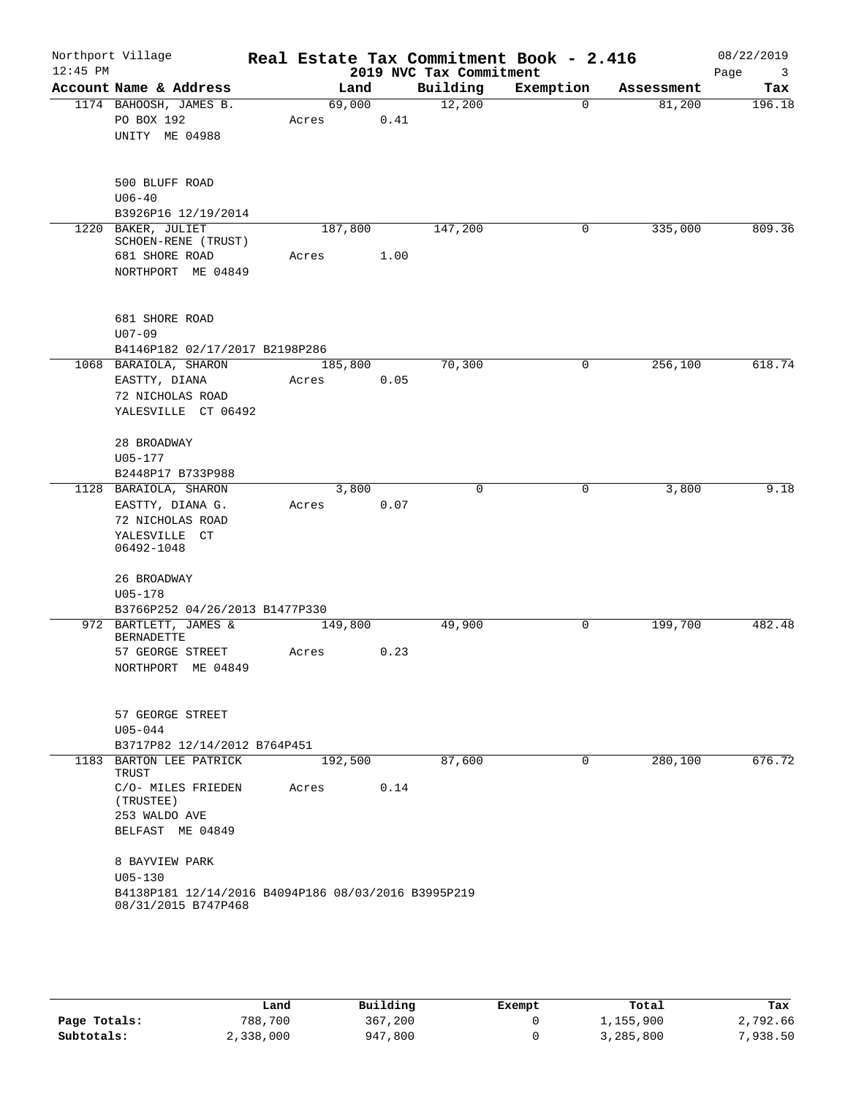| $12:45$ PM | Northport Village                                           | Real Estate Tax Commitment Book - 2.416 |      | 2019 NVC Tax Commitment |             |            | 08/22/2019<br>Page<br>3 |
|------------|-------------------------------------------------------------|-----------------------------------------|------|-------------------------|-------------|------------|-------------------------|
|            | Account Name & Address                                      | Land                                    |      | Building                | Exemption   | Assessment | Tax                     |
|            | 1174 BAHOOSH, JAMES B.<br>PO BOX 192<br>UNITY ME 04988      | 69,000<br>Acres                         | 0.41 | 12,200                  | 0           | 81,200     | 196.18                  |
|            | 500 BLUFF ROAD<br>$U06 - 40$<br>B3926P16 12/19/2014         |                                         |      |                         |             |            |                         |
|            | 1220 BAKER, JULIET<br>SCHOEN-RENE (TRUST)<br>681 SHORE ROAD | 187,800                                 | 1.00 | 147,200                 | 0           | 335,000    | 809.36                  |
|            | NORTHPORT ME 04849                                          | Acres                                   |      |                         |             |            |                         |
|            | <b>681 SHORE ROAD</b><br>$U07 - 09$                         |                                         |      |                         |             |            |                         |
|            | B4146P182 02/17/2017 B2198P286<br>1068 BARAIOLA, SHARON     | 185,800                                 |      | 70,300                  | 0           | 256,100    | 618.74                  |
|            | EASTTY, DIANA                                               | Acres                                   | 0.05 |                         |             |            |                         |
|            | 72 NICHOLAS ROAD                                            |                                         |      |                         |             |            |                         |
|            | YALESVILLE CT 06492                                         |                                         |      |                         |             |            |                         |
|            | 28 BROADWAY<br>U05-177                                      |                                         |      |                         |             |            |                         |
|            | B2448P17 B733P988                                           |                                         |      |                         |             |            |                         |
|            | 1128 BARAIOLA, SHARON                                       | 3,800                                   |      | $\Omega$                | 0           | 3,800      | 9.18                    |
|            | EASTTY, DIANA G.                                            | Acres                                   | 0.07 |                         |             |            |                         |
|            | 72 NICHOLAS ROAD                                            |                                         |      |                         |             |            |                         |
|            | YALESVILLE CT                                               |                                         |      |                         |             |            |                         |
|            | 06492-1048                                                  |                                         |      |                         |             |            |                         |
|            | 26 BROADWAY<br>$U05 - 178$                                  |                                         |      |                         |             |            |                         |
|            | B3766P252 04/26/2013 B1477P330                              |                                         |      |                         |             |            |                         |
|            | 972 BARTLETT, JAMES &                                       | 149,800                                 |      | 49,900                  | 0           | 199,700    | 482.48                  |
|            | <b>BERNADETTE</b>                                           |                                         |      |                         |             |            |                         |
|            | 57 GEORGE STREET<br>NORTHPORT ME 04849                      | Acres                                   | 0.23 |                         |             |            |                         |
|            |                                                             |                                         |      |                         |             |            |                         |
|            | 57 GEORGE STREET<br>$U05 - 044$                             |                                         |      |                         |             |            |                         |
|            | B3717P82 12/14/2012 B764P451                                |                                         |      |                         |             |            |                         |
|            | 1183 BARTON LEE PATRICK                                     | 192,500                                 |      | 87,600                  | $\mathbf 0$ | 280,100    | 676.72                  |
|            | TRUST<br>C/O- MILES FRIEDEN                                 | Acres                                   | 0.14 |                         |             |            |                         |
|            | (TRUSTEE)<br>253 WALDO AVE                                  |                                         |      |                         |             |            |                         |
|            | BELFAST ME 04849                                            |                                         |      |                         |             |            |                         |
|            | 8 BAYVIEW PARK<br>$U05 - 130$                               |                                         |      |                         |             |            |                         |
|            | B4138P181 12/14/2016 B4094P186 08/03/2016 B3995P219         |                                         |      |                         |             |            |                         |
|            | 08/31/2015 B747P468                                         |                                         |      |                         |             |            |                         |

|              | Land      | Building | Exempt | Total     | Tax      |
|--------------|-----------|----------|--------|-----------|----------|
| Page Totals: | 788,700   | 367,200  |        | 1,155,900 | 2,792.66 |
| Subtotals:   | 2,338,000 | 947,800  |        | 3,285,800 | 7,938.50 |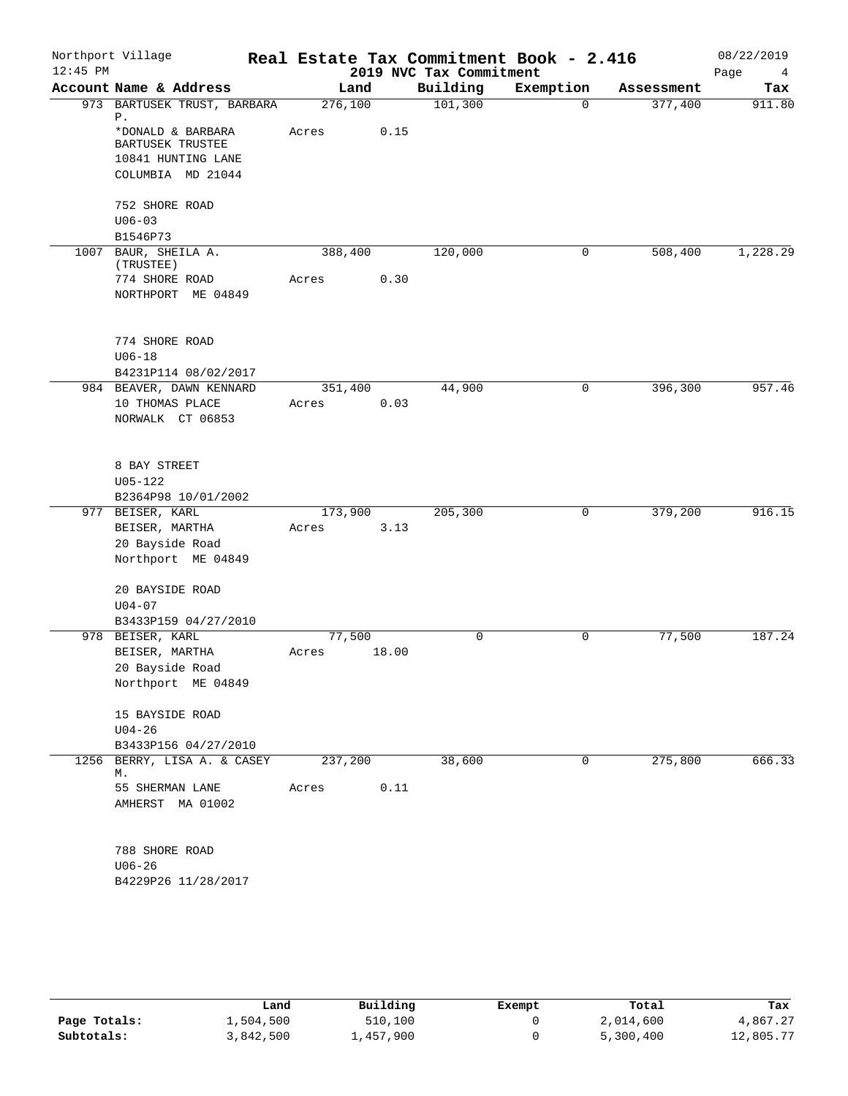|    | Northport Village                     |                  |       | 2019 NVC Tax Commitment | Real Estate Tax Commitment Book - 2.416 |            | 08/22/2019<br>Page<br>4 |
|----|---------------------------------------|------------------|-------|-------------------------|-----------------------------------------|------------|-------------------------|
|    | Account Name & Address                | Land             |       | Building                | Exemption                               | Assessment | Tax                     |
|    | 973 BARTUSEK TRUST, BARBARA           | 276,100          |       | 101,300                 | $\Omega$                                | 377,400    | 911.80                  |
| Ρ. | *DONALD & BARBARA<br>BARTUSEK TRUSTEE | Acres            | 0.15  |                         |                                         |            |                         |
|    | 10841 HUNTING LANE                    |                  |       |                         |                                         |            |                         |
|    | COLUMBIA MD 21044                     |                  |       |                         |                                         |            |                         |
|    | 752 SHORE ROAD<br>$U06 - 03$          |                  |       |                         |                                         |            |                         |
|    | B1546P73                              |                  |       |                         |                                         |            |                         |
|    | 1007 BAUR, SHEILA A.<br>(TRUSTEE)     | 388,400          |       | 120,000                 | 0                                       | 508,400    | 1,228.29                |
|    | 774 SHORE ROAD<br>NORTHPORT ME 04849  | Acres            | 0.30  |                         |                                         |            |                         |
|    | 774 SHORE ROAD                        |                  |       |                         |                                         |            |                         |
|    | $U06 - 18$<br>B4231P114 08/02/2017    |                  |       |                         |                                         |            |                         |
|    | 984 BEAVER, DAWN KENNARD              | 351,400          |       | 44,900                  | 0                                       | 396,300    | 957.46                  |
|    | 10 THOMAS PLACE<br>NORWALK CT 06853   | Acres            | 0.03  |                         |                                         |            |                         |
|    | 8 BAY STREET<br>$U05 - 122$           |                  |       |                         |                                         |            |                         |
|    | B2364P98 10/01/2002                   |                  |       |                         |                                         |            |                         |
|    | 977 BEISER, KARL<br>BEISER, MARTHA    | 173,900<br>Acres | 3.13  | 205,300                 | 0                                       | 379,200    | 916.15                  |
|    | 20 Bayside Road                       |                  |       |                         |                                         |            |                         |
|    | Northport ME 04849                    |                  |       |                         |                                         |            |                         |
|    | 20 BAYSIDE ROAD<br>$U04 - 07$         |                  |       |                         |                                         |            |                         |
|    | B3433P159 04/27/2010                  |                  |       |                         |                                         |            |                         |
|    | 978 BEISER, KARL                      | 77,500           |       | $\mathbf 0$             | $\mathbf 0$                             | 77,500     | 187.24                  |
|    | BEISER, MARTHA                        | Acres            | 18.00 |                         |                                         |            |                         |
|    | 20 Bayside Road                       |                  |       |                         |                                         |            |                         |
|    | Northport ME 04849                    |                  |       |                         |                                         |            |                         |
|    | 15 BAYSIDE ROAD                       |                  |       |                         |                                         |            |                         |
|    | $U04 - 26$                            |                  |       |                         |                                         |            |                         |
|    | B3433P156 04/27/2010                  |                  |       |                         |                                         |            |                         |
| М. | 1256 BERRY, LISA A. & CASEY           | 237,200          |       | 38,600                  | 0                                       | 275,800    | 666.33                  |
|    | 55 SHERMAN LANE<br>AMHERST MA 01002   | Acres            | 0.11  |                         |                                         |            |                         |
|    | 788 SHORE ROAD                        |                  |       |                         |                                         |            |                         |
|    | B4229P26 11/28/2017                   |                  |       |                         |                                         |            |                         |
|    | $U06 - 26$                            |                  |       |                         |                                         |            |                         |

|              | Land      | Building  | Exempt | Total     | Tax       |
|--------------|-----------|-----------|--------|-----------|-----------|
| Page Totals: | 1,504,500 | 510,100   |        | 2,014,600 | 4,867.27  |
| Subtotals:   | 3,842,500 | .,457,900 |        | 5,300,400 | 12,805.77 |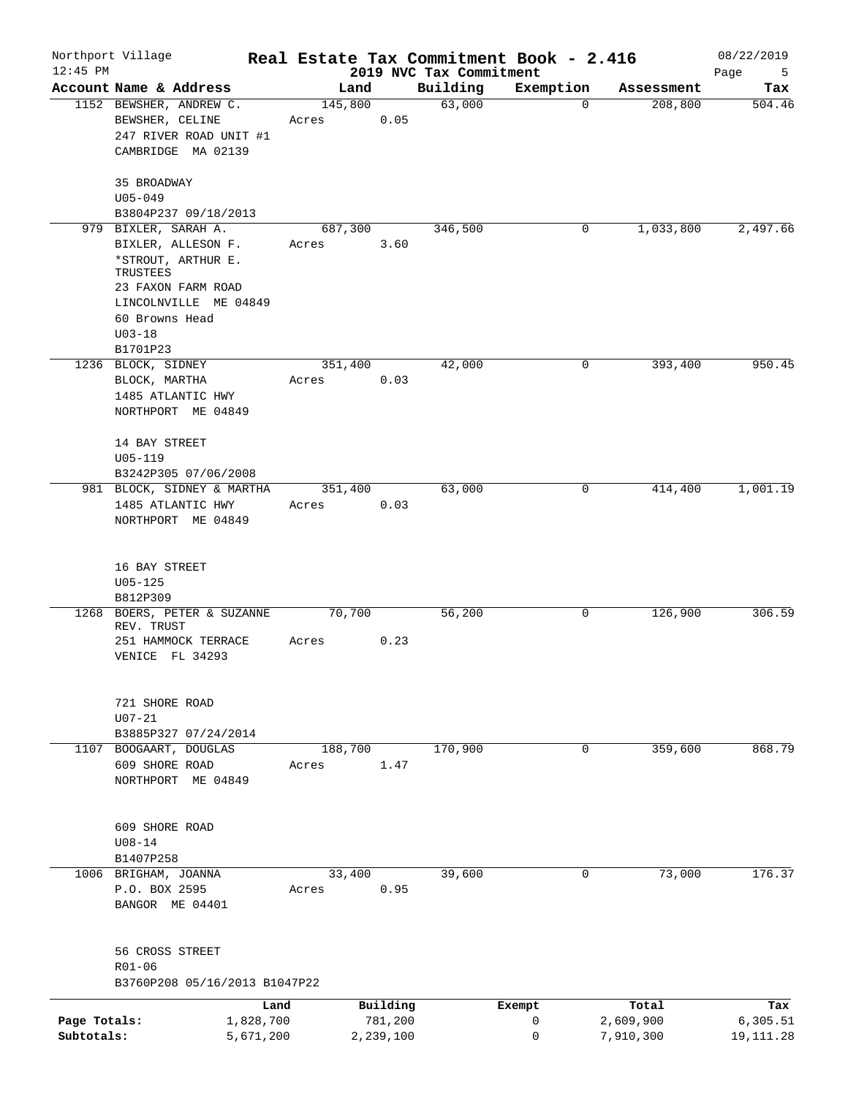| $12:45$ PM                 | Northport Village                                                                                                                               | Real Estate Tax Commitment Book - 2.416 |                      |                                     |             |                        | 08/22/2019              |
|----------------------------|-------------------------------------------------------------------------------------------------------------------------------------------------|-----------------------------------------|----------------------|-------------------------------------|-------------|------------------------|-------------------------|
|                            | Account Name & Address                                                                                                                          | Land                                    |                      | 2019 NVC Tax Commitment<br>Building | Exemption   | Assessment             | Page<br>5<br>Tax        |
|                            | 1152 BEWSHER, ANDREW C.<br>BEWSHER, CELINE<br>247 RIVER ROAD UNIT #1<br>CAMBRIDGE MA 02139                                                      | 145,800<br>Acres                        | 0.05                 | 63,000                              | $\mathbf 0$ | 208,800                | 504.46                  |
|                            | 35 BROADWAY<br>$U05 - 049$<br>B3804P237 09/18/2013                                                                                              |                                         |                      |                                     |             |                        |                         |
|                            | 979 BIXLER, SARAH A.                                                                                                                            | 687,300                                 |                      | 346,500                             | 0           | 1,033,800              | 2,497.66                |
|                            | BIXLER, ALLESON F.<br>*STROUT, ARTHUR E.<br>TRUSTEES<br>23 FAXON FARM ROAD<br>LINCOLNVILLE ME 04849<br>60 Browns Head<br>$U03 - 18$<br>B1701P23 | Acres                                   | 3.60                 |                                     |             |                        |                         |
|                            | 1236 BLOCK, SIDNEY                                                                                                                              | 351,400                                 |                      | 42,000                              | 0           | 393,400                | 950.45                  |
|                            | BLOCK, MARTHA<br>1485 ATLANTIC HWY<br>NORTHPORT ME 04849                                                                                        | Acres                                   | 0.03                 |                                     |             |                        |                         |
|                            | 14 BAY STREET<br>$U05 - 119$<br>B3242P305 07/06/2008                                                                                            |                                         |                      |                                     |             |                        |                         |
|                            | 981 BLOCK, SIDNEY & MARTHA<br>1485 ATLANTIC HWY<br>NORTHPORT ME 04849                                                                           | 351,400<br>Acres                        | 0.03                 | 63,000                              | 0           | 414,400                | 1,001.19                |
|                            | 16 BAY STREET<br>$U05 - 125$<br>B812P309                                                                                                        |                                         |                      |                                     |             |                        |                         |
| 1268                       | BOERS, PETER & SUZANNE<br>REV. TRUST<br>251 HAMMOCK TERRACE<br>VENICE FL 34293                                                                  | 70,700<br>Acres                         | 0.23                 | 56,200                              | 0           | 126,900                | 306.59                  |
|                            | 721 SHORE ROAD<br>$U07 - 21$<br>B3885P327 07/24/2014                                                                                            |                                         |                      |                                     |             |                        |                         |
|                            | 1107 BOOGAART, DOUGLAS<br>609 SHORE ROAD<br>NORTHPORT ME 04849                                                                                  | 188,700<br>Acres                        | 1.47                 | 170,900                             | 0           | 359,600                | 868.79                  |
|                            | 609 SHORE ROAD<br>$U08 - 14$<br>B1407P258                                                                                                       |                                         |                      |                                     |             |                        |                         |
|                            | 1006 BRIGHAM, JOANNA<br>P.O. BOX 2595<br>BANGOR ME 04401                                                                                        | 33,400<br>Acres                         | 0.95                 | 39,600                              | 0           | 73,000                 | 176.37                  |
|                            | 56 CROSS STREET<br>R01-06<br>B3760P208 05/16/2013 B1047P22                                                                                      |                                         |                      |                                     |             |                        |                         |
|                            |                                                                                                                                                 | Land                                    | Building             |                                     | Exempt      | Total                  | Tax                     |
| Page Totals:<br>Subtotals: | 1,828,700<br>5,671,200                                                                                                                          |                                         | 781,200<br>2,239,100 |                                     | 0<br>0      | 2,609,900<br>7,910,300 | 6,305.51<br>19, 111. 28 |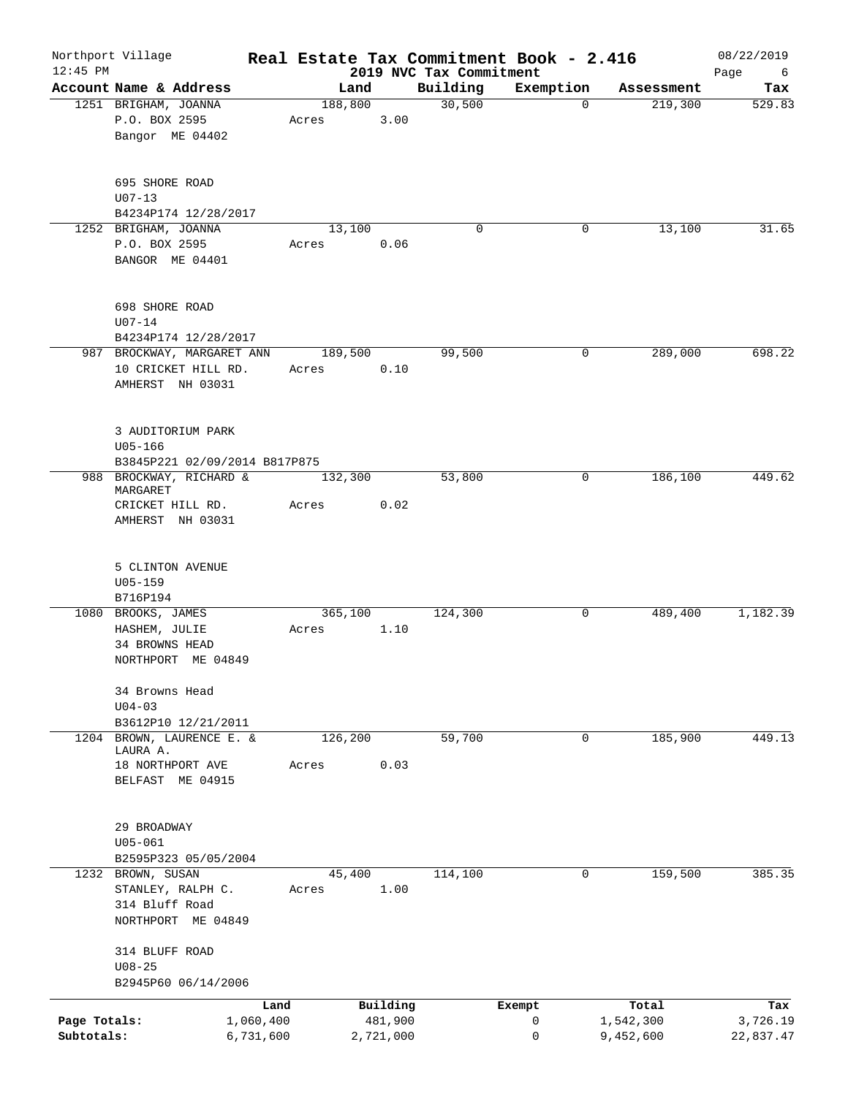| $12:45$ PM   | Northport Village                                                           | Real Estate Tax Commitment Book - 2.416 |                     |                                     |             |                    | 08/22/2019       |
|--------------|-----------------------------------------------------------------------------|-----------------------------------------|---------------------|-------------------------------------|-------------|--------------------|------------------|
|              | Account Name & Address                                                      | Land                                    |                     | 2019 NVC Tax Commitment<br>Building | Exemption   | Assessment         | Page<br>6<br>Tax |
|              | 1251 BRIGHAM, JOANNA                                                        | 188,800                                 |                     | 30,500                              | $\Omega$    | 219,300            | 529.83           |
|              | P.O. BOX 2595<br>Bangor ME 04402                                            | Acres                                   | 3.00                |                                     |             |                    |                  |
|              | 695 SHORE ROAD<br>$U07 - 13$                                                |                                         |                     |                                     |             |                    |                  |
|              | B4234P174 12/28/2017                                                        |                                         |                     |                                     |             |                    |                  |
|              | 1252 BRIGHAM, JOANNA<br>P.O. BOX 2595<br>BANGOR ME 04401                    | 13,100<br>Acres                         | 0.06                | $\mathbf 0$                         | 0           | 13,100             | 31.65            |
|              | 698 SHORE ROAD<br>$U07 - 14$<br>B4234P174 12/28/2017                        |                                         |                     |                                     |             |                    |                  |
|              | 987 BROCKWAY, MARGARET ANN                                                  | 189,500                                 |                     | 99,500                              | 0           | 289,000            | 698.22           |
|              | 10 CRICKET HILL RD.<br>AMHERST NH 03031                                     | Acres                                   | 0.10                |                                     |             |                    |                  |
|              | 3 AUDITORIUM PARK<br>$U05 - 166$<br>B3845P221 02/09/2014 B817P875           |                                         |                     |                                     |             |                    |                  |
|              | 988 BROCKWAY, RICHARD &                                                     | 132,300                                 |                     | 53,800                              | 0           | 186,100            | 449.62           |
|              | MARGARET                                                                    |                                         |                     |                                     |             |                    |                  |
|              | CRICKET HILL RD.<br>AMHERST NH 03031                                        | Acres                                   | 0.02                |                                     |             |                    |                  |
|              | 5 CLINTON AVENUE<br>$U05 - 159$<br>B716P194                                 |                                         |                     |                                     |             |                    |                  |
|              | 1080 BROOKS, JAMES<br>HASHEM, JULIE<br>34 BROWNS HEAD<br>NORTHPORT ME 04849 | 365,100<br>Acres                        | 1.10                | 124,300                             | 0           | 489,400            | 1,182.39         |
|              | 34 Browns Head<br>$U04 - 03$                                                |                                         |                     |                                     |             |                    |                  |
|              | B3612P10 12/21/2011                                                         |                                         |                     |                                     |             |                    |                  |
|              | 1204 BROWN, LAURENCE E. &<br>LAURA A.                                       | 126, 200                                |                     | 59,700                              | $\mathbf 0$ | 185,900            | 449.13           |
|              | 18 NORTHPORT AVE<br>BELFAST ME 04915                                        | Acres                                   | 0.03                |                                     |             |                    |                  |
|              | 29 BROADWAY<br>$U05 - 061$                                                  |                                         |                     |                                     |             |                    |                  |
|              | B2595P323 05/05/2004                                                        |                                         |                     |                                     |             |                    |                  |
|              | 1232 BROWN, SUSAN<br>STANLEY, RALPH C.                                      | 45,400<br>Acres                         | 1.00                | 114,100                             | 0           | 159,500            | 385.35           |
|              | 314 Bluff Road<br>NORTHPORT ME 04849                                        |                                         |                     |                                     |             |                    |                  |
|              | 314 BLUFF ROAD                                                              |                                         |                     |                                     |             |                    |                  |
|              | $U08 - 25$                                                                  |                                         |                     |                                     |             |                    |                  |
|              | B2945P60 06/14/2006                                                         |                                         |                     |                                     |             |                    |                  |
| Page Totals: | 1,060,400                                                                   | Land                                    | Building<br>481,900 |                                     | Exempt<br>0 | Total<br>1,542,300 | Tax<br>3,726.19  |
| Subtotals:   | 6,731,600                                                                   |                                         | 2,721,000           |                                     | 0           | 9,452,600          | 22,837.47        |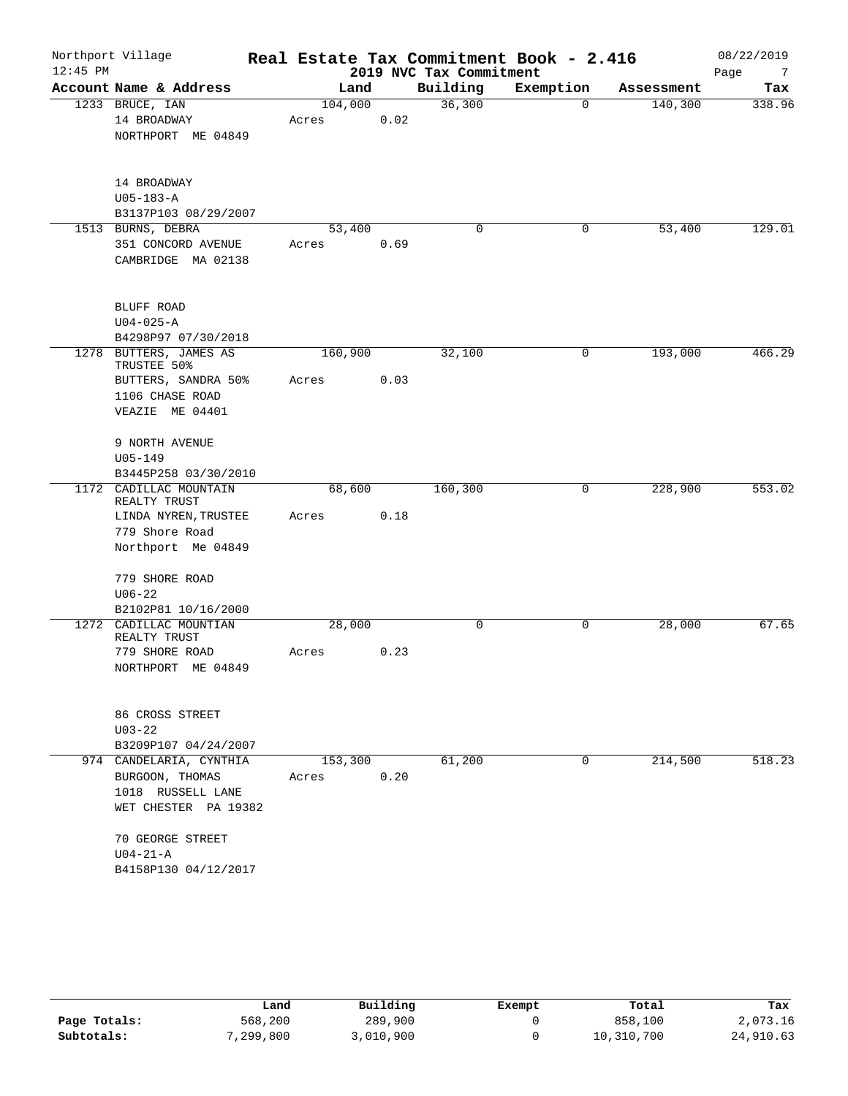| $12:45$ PM | Northport Village                                                                                      |                  |      | 2019 NVC Tax Commitment | Real Estate Tax Commitment Book - 2.416 |            | 08/22/2019<br>Page<br>7 |
|------------|--------------------------------------------------------------------------------------------------------|------------------|------|-------------------------|-----------------------------------------|------------|-------------------------|
|            | Account Name & Address                                                                                 | Land             |      | Building                | Exemption                               | Assessment | Tax                     |
|            | 1233 BRUCE, IAN<br>14 BROADWAY<br>NORTHPORT ME 04849                                                   | 104,000<br>Acres | 0.02 | 36,300                  | $\overline{0}$                          | 140,300    | 338.96                  |
|            | 14 BROADWAY<br>$U05 - 183 - A$<br>B3137P103 08/29/2007                                                 |                  |      |                         |                                         |            |                         |
|            | 1513 BURNS, DEBRA<br>351 CONCORD AVENUE<br>CAMBRIDGE MA 02138                                          | 53,400<br>Acres  | 0.69 | $\mathbf 0$             | 0                                       | 53,400     | 129.01                  |
|            | BLUFF ROAD<br>$U04 - 025 - A$<br>B4298P97 07/30/2018                                                   |                  |      |                         |                                         |            |                         |
|            | 1278 BUTTERS, JAMES AS<br>TRUSTEE 50%<br>BUTTERS, SANDRA 50%<br>1106 CHASE ROAD<br>VEAZIE ME 04401     | 160,900<br>Acres | 0.03 | 32,100                  | 0                                       | 193,000    | 466.29                  |
|            | 9 NORTH AVENUE<br>$U05 - 149$<br>B3445P258 03/30/2010                                                  |                  |      |                         |                                         |            |                         |
|            | 1172 CADILLAC MOUNTAIN<br>REALTY TRUST<br>LINDA NYREN, TRUSTEE<br>779 Shore Road<br>Northport Me 04849 | 68,600<br>Acres  | 0.18 | 160,300                 | 0                                       | 228,900    | 553.02                  |
|            | 779 SHORE ROAD<br>$U06 - 22$<br>B2102P81 10/16/2000                                                    |                  |      |                         |                                         |            |                         |
|            | 1272 CADILLAC MOUNTIAN<br>REALTY TRUST<br>779 SHORE ROAD<br>NORTHPORT ME 04849                         | 28,000<br>Acres  | 0.23 | 0                       | 0                                       | 28,000     | 67.65                   |
|            | 86 CROSS STREET<br>$U03 - 22$<br>B3209P107 04/24/2007                                                  |                  |      |                         |                                         |            |                         |
|            | 974 CANDELARIA, CYNTHIA<br>BURGOON, THOMAS<br>1018 RUSSELL LANE<br>WET CHESTER PA 19382                | 153,300<br>Acres | 0.20 | 61,200                  | $\mathbf 0$                             | 214,500    | 518.23                  |
|            | 70 GEORGE STREET<br>$U04-21-A$<br>B4158P130 04/12/2017                                                 |                  |      |                         |                                         |            |                         |

|              | Land      | Building  | Exempt | Total      | Tax       |
|--------------|-----------|-----------|--------|------------|-----------|
| Page Totals: | 568,200   | 289,900   |        | 858,100    | 2,073.16  |
| Subtotals:   | 7,299,800 | 3,010,900 |        | 10,310,700 | 24,910.63 |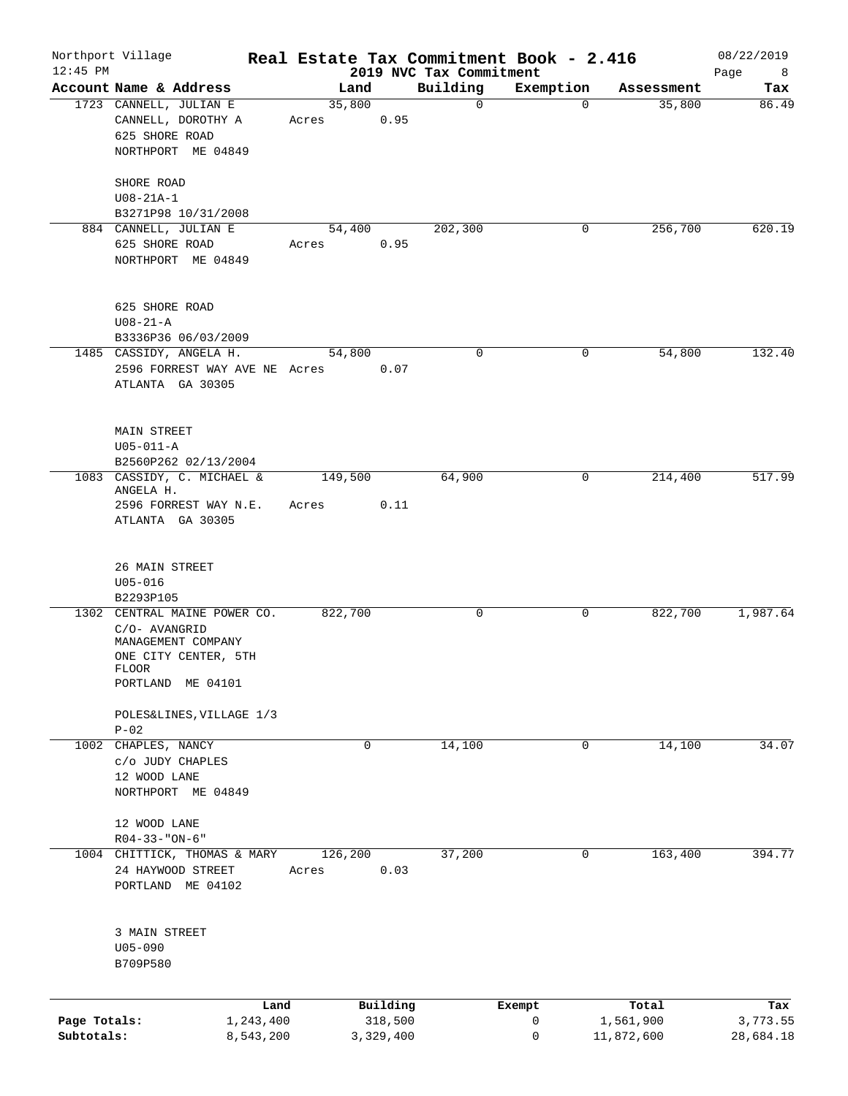| $12:45$ PM   | Northport Village                                                                                                         |                  |                     | 2019 NVC Tax Commitment | Real Estate Tax Commitment Book - 2.416 |                    | 08/22/2019       |
|--------------|---------------------------------------------------------------------------------------------------------------------------|------------------|---------------------|-------------------------|-----------------------------------------|--------------------|------------------|
|              | Account Name & Address                                                                                                    | Land             |                     | Building                | Exemption                               | Assessment         | Page<br>8<br>Tax |
|              | 1723 CANNELL, JULIAN E<br>CANNELL, DOROTHY A<br>625 SHORE ROAD<br>NORTHPORT ME 04849                                      | 35,800<br>Acres  | 0.95                | $\mathbf 0$             | $\mathbf 0$                             | 35,800             | 86.49            |
|              | SHORE ROAD<br>$U08 - 21A - 1$<br>B3271P98 10/31/2008                                                                      |                  |                     |                         |                                         |                    |                  |
|              | 884 CANNELL, JULIAN E                                                                                                     | 54,400           |                     | 202,300                 | 0                                       | 256,700            | 620.19           |
|              | 625 SHORE ROAD<br>NORTHPORT ME 04849                                                                                      | Acres            | 0.95                |                         |                                         |                    |                  |
|              | 625 SHORE ROAD<br>$U08 - 21 - A$                                                                                          |                  |                     |                         |                                         |                    |                  |
|              | B3336P36 06/03/2009<br>1485 CASSIDY, ANGELA H.                                                                            | 54,800           |                     | $\mathbf 0$             | 0                                       | 54,800             | 132.40           |
|              | 2596 FORREST WAY AVE NE Acres<br>ATLANTA GA 30305                                                                         |                  | 0.07                |                         |                                         |                    |                  |
|              | MAIN STREET<br>$U05 - 011 - A$<br>B2560P262 02/13/2004                                                                    |                  |                     |                         |                                         |                    |                  |
|              | 1083 CASSIDY, C. MICHAEL &                                                                                                | 149,500          |                     | 64,900                  | 0                                       | 214,400            | 517.99           |
|              | ANGELA H.<br>2596 FORREST WAY N.E.<br>ATLANTA GA 30305                                                                    | Acres            | 0.11                |                         |                                         |                    |                  |
|              | 26 MAIN STREET<br>$U05 - 016$<br>B2293P105                                                                                |                  |                     |                         |                                         |                    |                  |
|              | 1302 CENTRAL MAINE POWER CO.<br>C/O- AVANGRID<br>MANAGEMENT COMPANY<br>ONE CITY CENTER, 5TH<br>FLOOR<br>PORTLAND ME 04101 | 822,700          |                     | $\mathbf 0$             | 0                                       | 822,700            | 1,987.64         |
|              | POLES&LINES, VILLAGE 1/3<br>$P-02$                                                                                        |                  |                     |                         |                                         |                    |                  |
|              | 1002 CHAPLES, NANCY<br>C/O JUDY CHAPLES<br>12 WOOD LANE<br>NORTHPORT ME 04849                                             | $\mathbf 0$      |                     | 14,100                  | $\mathbf 0$                             | 14,100             | 34.07            |
|              | 12 WOOD LANE<br>$R04 - 33 - "ON - 6"$                                                                                     |                  |                     |                         |                                         |                    |                  |
|              | 1004 CHITTICK, THOMAS & MARY<br>24 HAYWOOD STREET<br>PORTLAND ME 04102                                                    | 126,200<br>Acres | 0.03                | 37,200                  | 0                                       | 163,400            | 394.77           |
|              | 3 MAIN STREET<br>$U05 - 090$<br>B709P580                                                                                  |                  |                     |                         |                                         |                    |                  |
|              |                                                                                                                           |                  |                     |                         |                                         |                    |                  |
| Page Totals: | Land<br>1,243,400                                                                                                         |                  | Building<br>318,500 |                         | Exempt<br>0                             | Total<br>1,561,900 | Tax<br>3,773.55  |
| Subtotals:   | 8,543,200                                                                                                                 |                  | 3,329,400           |                         | 0                                       | 11,872,600         | 28,684.18        |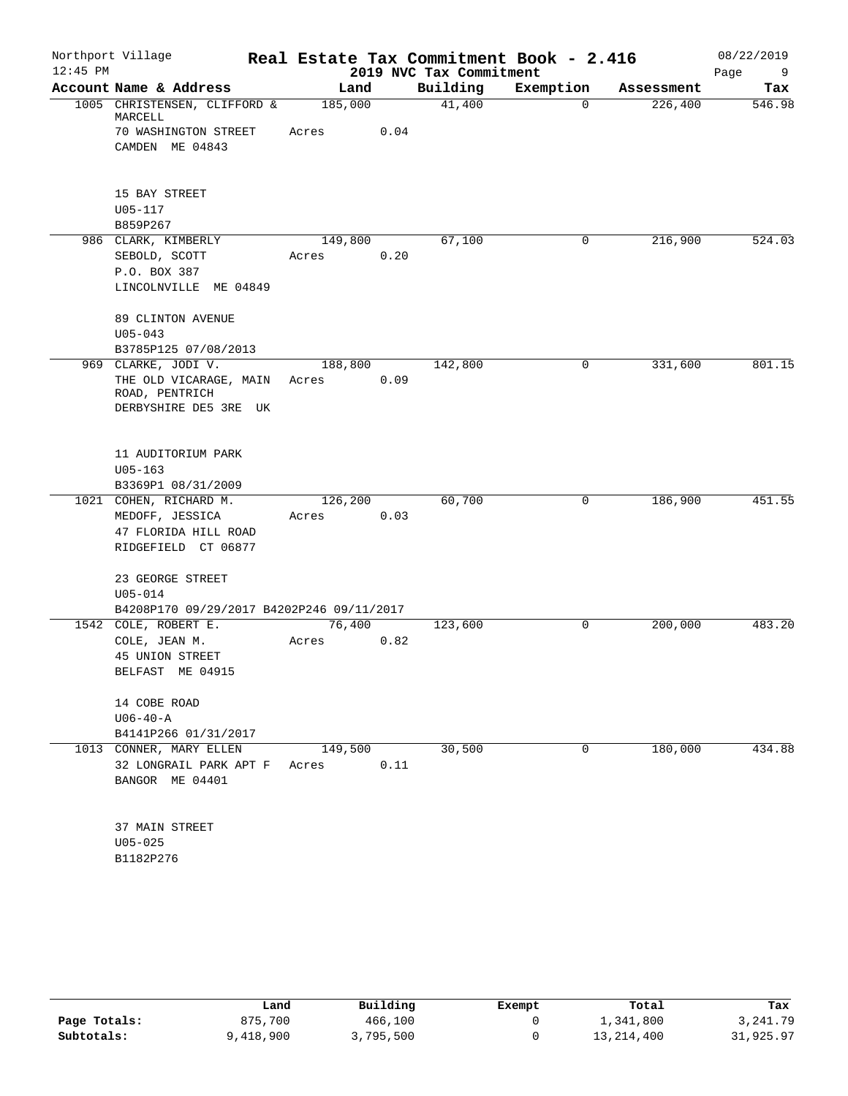| $12:45$ PM | Northport Village                                        |         |      | 2019 NVC Tax Commitment | Real Estate Tax Commitment Book - 2.416 |            | 08/22/2019<br>Page<br>9 |
|------------|----------------------------------------------------------|---------|------|-------------------------|-----------------------------------------|------------|-------------------------|
|            | Account Name & Address                                   | Land    |      | Building                | Exemption                               | Assessment | Tax                     |
|            | 1005 CHRISTENSEN, CLIFFORD &<br>MARCELL                  | 185,000 |      | 41,400                  | $\Omega$                                | 226,400    | 546.98                  |
|            | 70 WASHINGTON STREET                                     | Acres   | 0.04 |                         |                                         |            |                         |
|            | CAMDEN ME 04843                                          |         |      |                         |                                         |            |                         |
|            | 15 BAY STREET                                            |         |      |                         |                                         |            |                         |
|            | $U05 - 117$                                              |         |      |                         |                                         |            |                         |
|            | B859P267                                                 |         |      |                         |                                         |            |                         |
|            | 986 CLARK, KIMBERLY                                      | 149,800 |      | 67,100                  | 0                                       | 216,900    | 524.03                  |
|            | SEBOLD, SCOTT                                            | Acres   | 0.20 |                         |                                         |            |                         |
|            | P.O. BOX 387                                             |         |      |                         |                                         |            |                         |
|            | LINCOLNVILLE ME 04849                                    |         |      |                         |                                         |            |                         |
|            | 89 CLINTON AVENUE                                        |         |      |                         |                                         |            |                         |
|            | $U05 - 043$                                              |         |      |                         |                                         |            |                         |
|            | B3785P125 07/08/2013                                     |         |      |                         |                                         |            |                         |
|            | 969 CLARKE, JODI V.                                      | 188,800 |      | 142,800                 | 0                                       | 331,600    | 801.15                  |
|            | THE OLD VICARAGE, MAIN<br>ROAD, PENTRICH                 | Acres   | 0.09 |                         |                                         |            |                         |
|            | DERBYSHIRE DE5 3RE UK                                    |         |      |                         |                                         |            |                         |
|            |                                                          |         |      |                         |                                         |            |                         |
|            | 11 AUDITORIUM PARK                                       |         |      |                         |                                         |            |                         |
|            | $U05 - 163$                                              |         |      |                         |                                         |            |                         |
|            | B3369P1 08/31/2009                                       |         |      |                         |                                         |            |                         |
|            | 1021 COHEN, RICHARD M.                                   | 126,200 |      | 60,700                  | $\mathbf 0$                             | 186,900    | 451.55                  |
|            | MEDOFF, JESSICA                                          | Acres   | 0.03 |                         |                                         |            |                         |
|            | 47 FLORIDA HILL ROAD                                     |         |      |                         |                                         |            |                         |
|            | RIDGEFIELD CT 06877                                      |         |      |                         |                                         |            |                         |
|            | 23 GEORGE STREET                                         |         |      |                         |                                         |            |                         |
|            | $U05 - 014$<br>B4208P170 09/29/2017 B4202P246 09/11/2017 |         |      |                         |                                         |            |                         |
|            | 1542 COLE, ROBERT E.                                     | 76,400  |      | 123,600                 | 0                                       | 200,000    | 483.20                  |
|            | COLE, JEAN M.                                            | Acres   | 0.82 |                         |                                         |            |                         |
|            | 45 UNION STREET                                          |         |      |                         |                                         |            |                         |
|            | BELFAST ME 04915                                         |         |      |                         |                                         |            |                         |
|            | 14 COBE ROAD                                             |         |      |                         |                                         |            |                         |
|            | $U06 - 40 - A$                                           |         |      |                         |                                         |            |                         |
|            | B4141P266 01/31/2017                                     |         |      |                         |                                         |            |                         |
|            | 1013 CONNER, MARY ELLEN                                  | 149,500 |      | 30,500                  | $\mathbf 0$                             | 180,000    | 434.88                  |
|            | 32 LONGRAIL PARK APT F Acres                             |         | 0.11 |                         |                                         |            |                         |
|            | BANGOR ME 04401                                          |         |      |                         |                                         |            |                         |
|            | 37 MAIN STREET                                           |         |      |                         |                                         |            |                         |
|            | $U05 - 025$                                              |         |      |                         |                                         |            |                         |
|            | B1182P276                                                |         |      |                         |                                         |            |                         |
|            |                                                          |         |      |                         |                                         |            |                         |

|              | Land      | Building  | Exempt | Total        | Tax        |
|--------------|-----------|-----------|--------|--------------|------------|
| Page Totals: | 875,700   | 466,100   |        | 1,341,800    | 3, 241, 79 |
| Subtotals:   | 9,418,900 | 3,795,500 |        | 13, 214, 400 | 31,925.97  |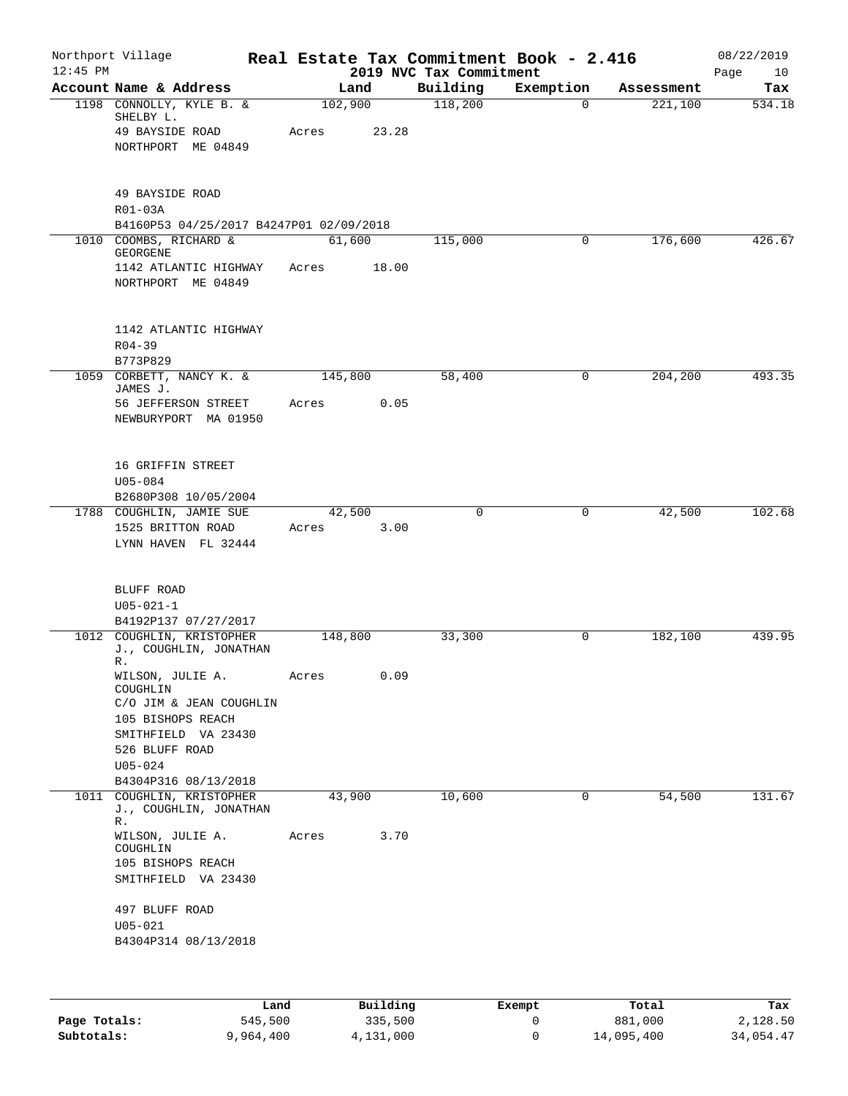| Northport Village                                                              |                                                                                                                                                                                 |       |                                                                                                                                 | Real Estate Tax Commitment Book - 2.416 |                                        | 08/22/2019<br>10<br>Page                |
|--------------------------------------------------------------------------------|---------------------------------------------------------------------------------------------------------------------------------------------------------------------------------|-------|---------------------------------------------------------------------------------------------------------------------------------|-----------------------------------------|----------------------------------------|-----------------------------------------|
| Account Name & Address                                                         |                                                                                                                                                                                 |       | Building                                                                                                                        | Exemption                               | Assessment                             | Tax                                     |
| 1198 CONNOLLY, KYLE B. &<br>SHELBY L.<br>49 BAYSIDE ROAD<br>NORTHPORT ME 04849 | Acres                                                                                                                                                                           | 23.28 | 118,200                                                                                                                         | $\Omega$                                | 221,100                                | 534.18                                  |
| 49 BAYSIDE ROAD<br>R01-03A                                                     |                                                                                                                                                                                 |       |                                                                                                                                 |                                         |                                        |                                         |
|                                                                                |                                                                                                                                                                                 |       |                                                                                                                                 | 0                                       |                                        | 426.67                                  |
| GEORGENE                                                                       |                                                                                                                                                                                 |       |                                                                                                                                 |                                         |                                        |                                         |
| 1142 ATLANTIC HIGHWAY<br>NORTHPORT ME 04849                                    | Acres                                                                                                                                                                           |       |                                                                                                                                 |                                         |                                        |                                         |
| 1142 ATLANTIC HIGHWAY<br>$R04 - 39$                                            |                                                                                                                                                                                 |       |                                                                                                                                 |                                         |                                        |                                         |
|                                                                                |                                                                                                                                                                                 |       |                                                                                                                                 |                                         |                                        | 493.35                                  |
| JAMES J.<br>56 JEFFERSON STREET<br>NEWBURYPORT MA 01950                        | Acres                                                                                                                                                                           | 0.05  |                                                                                                                                 |                                         |                                        |                                         |
| 16 GRIFFIN STREET<br>$U05 - 084$<br>B2680P308 10/05/2004                       |                                                                                                                                                                                 |       |                                                                                                                                 |                                         |                                        |                                         |
| 1788 COUGHLIN, JAMIE SUE                                                       |                                                                                                                                                                                 |       | $\mathbf 0$                                                                                                                     | 0                                       | 42,500                                 | 102.68                                  |
| 1525 BRITTON ROAD<br>LYNN HAVEN FL 32444                                       | Acres                                                                                                                                                                           | 3.00  |                                                                                                                                 |                                         |                                        |                                         |
| BLUFF ROAD<br>$U05 - 021 - 1$                                                  |                                                                                                                                                                                 |       |                                                                                                                                 |                                         |                                        |                                         |
| B4192P137 07/27/2017                                                           |                                                                                                                                                                                 |       |                                                                                                                                 |                                         |                                        |                                         |
| J., COUGHLIN, JONATHAN<br>R.                                                   |                                                                                                                                                                                 |       |                                                                                                                                 |                                         |                                        | 439.95                                  |
| WILSON, JULIE A.<br>COUGHLIN                                                   | Acres                                                                                                                                                                           | 0.09  |                                                                                                                                 |                                         |                                        |                                         |
| 105 BISHOPS REACH<br>SMITHFIELD VA 23430                                       |                                                                                                                                                                                 |       |                                                                                                                                 |                                         |                                        |                                         |
| 526 BLUFF ROAD<br>$U05 - 024$                                                  |                                                                                                                                                                                 |       |                                                                                                                                 |                                         |                                        |                                         |
|                                                                                |                                                                                                                                                                                 |       |                                                                                                                                 |                                         |                                        |                                         |
| J., COUGHLIN, JONATHAN<br>R.                                                   |                                                                                                                                                                                 |       |                                                                                                                                 |                                         |                                        | 131.67                                  |
| WILSON, JULIE A.<br>COUGHLIN<br>105 BISHOPS REACH<br>SMITHFIELD VA 23430       | Acres                                                                                                                                                                           |       |                                                                                                                                 |                                         |                                        |                                         |
| 497 BLUFF ROAD<br>$U05 - 021$                                                  |                                                                                                                                                                                 |       |                                                                                                                                 |                                         |                                        |                                         |
|                                                                                | 1010 COOMBS, RICHARD &<br>B773P829<br>CORBETT, NANCY $\overline{K}$ . &<br>COUGHLIN, KRISTOPHER<br>C/O JIM & JEAN COUGHLIN<br>B4304P316 08/13/2018<br>1011 COUGHLIN, KRISTOPHER |       | Land<br>102,900<br>B4160P53 04/25/2017 B4247P01 02/09/2018<br>61,600<br>18.00<br>145,800<br>42,500<br>148,800<br>43,900<br>3.70 | 115,000<br>58,400<br>33,300<br>10,600   | 2019 NVC Tax Commitment<br>0<br>0<br>0 | 176,600<br>204,200<br>182,100<br>54,500 |

|              | Land      | Building  | Exempt | Total      | Tax       |
|--------------|-----------|-----------|--------|------------|-----------|
| Page Totals: | 545,500   | 335,500   |        | 881,000    | 2,128.50  |
| Subtotals:   | 9,964,400 | 4,131,000 |        | 14,095,400 | 34,054.47 |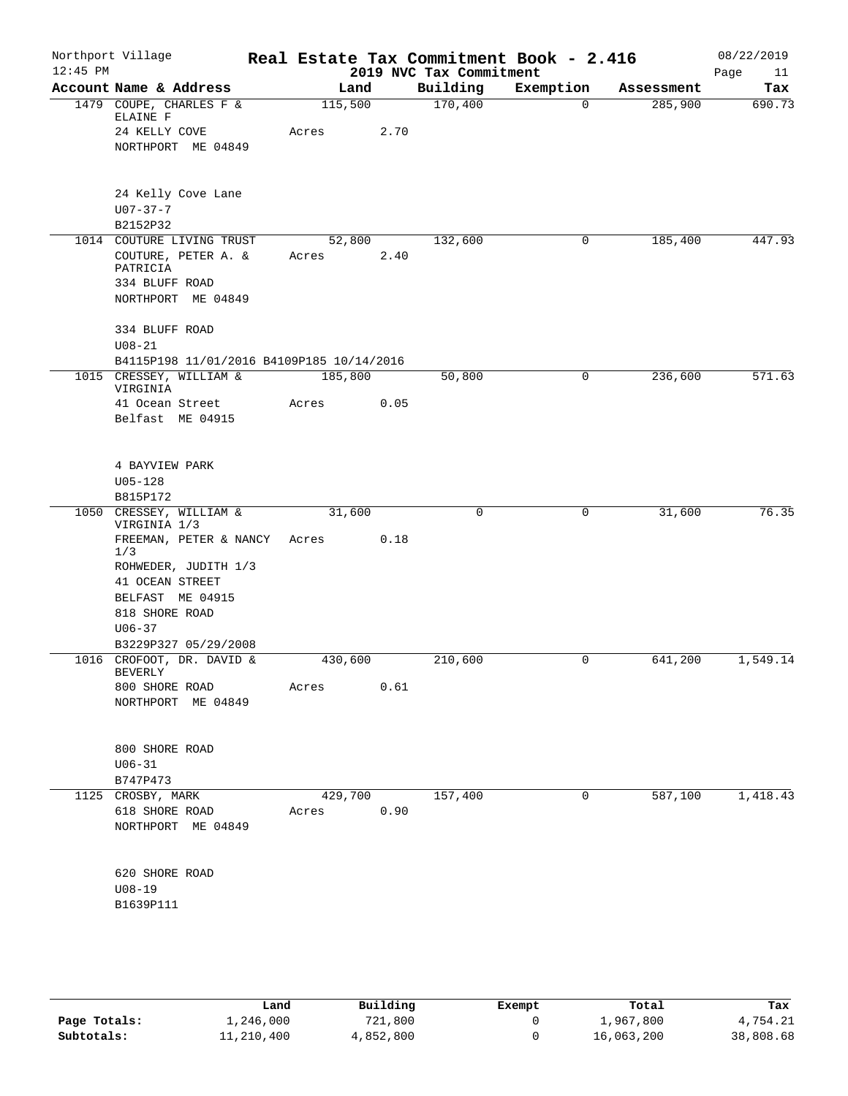| $12:45$ PM | Northport Village                                                    |                      |      | 2019 NVC Tax Commitment | Real Estate Tax Commitment Book - 2.416 |            | 08/22/2019<br>Page<br>11 |
|------------|----------------------------------------------------------------------|----------------------|------|-------------------------|-----------------------------------------|------------|--------------------------|
|            | Account Name & Address                                               | Land                 |      | Building                | Exemption                               | Assessment | Tax                      |
|            | 1479 COUPE, CHARLES F &<br>ELAINE F                                  | 115,500              |      | 170,400                 | $\Omega$                                | 285,900    | 690.73                   |
|            | 24 KELLY COVE                                                        | Acres                | 2.70 |                         |                                         |            |                          |
|            | NORTHPORT ME 04849                                                   |                      |      |                         |                                         |            |                          |
|            | 24 Kelly Cove Lane                                                   |                      |      |                         |                                         |            |                          |
|            | $U07 - 37 - 7$                                                       |                      |      |                         |                                         |            |                          |
|            | B2152P32                                                             |                      |      |                         |                                         |            |                          |
|            | 1014 COUTURE LIVING TRUST                                            | 52,800               | 2.40 | 132,600                 | 0                                       | 185,400    | 447.93                   |
|            | COUTURE, PETER A. &<br>PATRICIA                                      | Acres                |      |                         |                                         |            |                          |
|            | 334 BLUFF ROAD                                                       |                      |      |                         |                                         |            |                          |
|            | NORTHPORT ME 04849                                                   |                      |      |                         |                                         |            |                          |
|            | 334 BLUFF ROAD                                                       |                      |      |                         |                                         |            |                          |
|            | $U08 - 21$                                                           |                      |      |                         |                                         |            |                          |
|            | B4115P198 11/01/2016 B4109P185 10/14/2016<br>1015 CRESSEY, WILLIAM & | 185,800              |      | 50,800                  | 0                                       | 236,600    | 571.63                   |
|            | VIRGINIA                                                             |                      |      |                         |                                         |            |                          |
|            | 41 Ocean Street                                                      | Acres                | 0.05 |                         |                                         |            |                          |
|            | Belfast ME 04915                                                     |                      |      |                         |                                         |            |                          |
|            | 4 BAYVIEW PARK                                                       |                      |      |                         |                                         |            |                          |
|            | $U05 - 128$                                                          |                      |      |                         |                                         |            |                          |
|            | B815P172                                                             |                      |      |                         |                                         |            |                          |
| 1050       | CRESSEY, WILLIAM &<br>VIRGINIA 1/3                                   | 31,600               |      | 0                       | 0                                       | 31,600     | 76.35                    |
|            | FREEMAN, PETER & NANCY<br>1/3                                        | Acres                | 0.18 |                         |                                         |            |                          |
|            | ROHWEDER, JUDITH 1/3                                                 |                      |      |                         |                                         |            |                          |
|            | 41 OCEAN STREET                                                      |                      |      |                         |                                         |            |                          |
|            | BELFAST ME 04915                                                     |                      |      |                         |                                         |            |                          |
|            | 818 SHORE ROAD                                                       |                      |      |                         |                                         |            |                          |
|            | $U06 - 37$<br>B3229P327 05/29/2008                                   |                      |      |                         |                                         |            |                          |
|            | 1016 CROFOOT, DR. DAVID &                                            | 430,600              |      | 210,600                 | 0                                       | 641,200    | 1,549.14                 |
|            | BEVERLY                                                              |                      |      |                         |                                         |            |                          |
|            | 800 SHORE ROAD<br>NORTHPORT ME 04849                                 | Acres                | 0.61 |                         |                                         |            |                          |
|            |                                                                      |                      |      |                         |                                         |            |                          |
|            | 800 SHORE ROAD                                                       |                      |      |                         |                                         |            |                          |
|            | $U06 - 31$                                                           |                      |      |                         |                                         |            |                          |
|            | B747P473<br>1125 CROSBY, MARK                                        | $4\overline{29,700}$ |      | 157,400                 | 0                                       | 587,100    | 1,418.43                 |
|            | 618 SHORE ROAD                                                       | Acres                | 0.90 |                         |                                         |            |                          |
|            | NORTHPORT ME 04849                                                   |                      |      |                         |                                         |            |                          |
|            | 620 SHORE ROAD                                                       |                      |      |                         |                                         |            |                          |
|            | $U08 - 19$                                                           |                      |      |                         |                                         |            |                          |
|            | B1639P111                                                            |                      |      |                         |                                         |            |                          |
|            |                                                                      |                      |      |                         |                                         |            |                          |
|            |                                                                      |                      |      |                         |                                         |            |                          |

|              | Land       | Building  | Exempt | Total      | Tax       |
|--------------|------------|-----------|--------|------------|-----------|
| Page Totals: | 1,246,000  | 721,800   |        | 1,967,800  | 4,754.21  |
| Subtotals:   | 11,210,400 | 4,852,800 |        | 16,063,200 | 38,808.68 |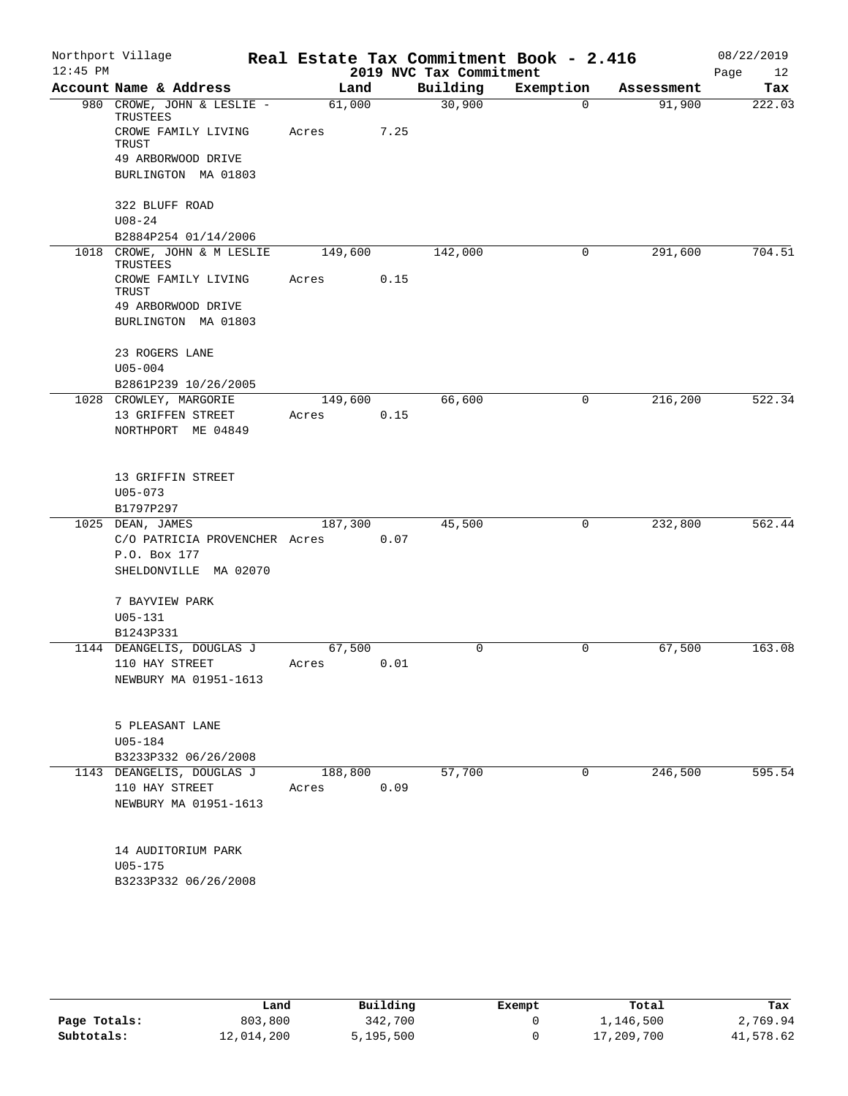| Northport Village                       |                                                                                                                                                                                                                                                                                                                                |                                                           |                                                                                    |             |                                              | 08/22/2019<br>Page<br>12                                     |
|-----------------------------------------|--------------------------------------------------------------------------------------------------------------------------------------------------------------------------------------------------------------------------------------------------------------------------------------------------------------------------------|-----------------------------------------------------------|------------------------------------------------------------------------------------|-------------|----------------------------------------------|--------------------------------------------------------------|
| Account Name & Address                  |                                                                                                                                                                                                                                                                                                                                |                                                           | Building                                                                           | Exemption   | Assessment                                   | Tax                                                          |
| 980 CROWE, JOHN & LESLIE -              |                                                                                                                                                                                                                                                                                                                                |                                                           | 30,900                                                                             | $\Omega$    | 91,900                                       | 222.03                                                       |
| CROWE FAMILY LIVING<br>TRUST            | Acres                                                                                                                                                                                                                                                                                                                          | 7.25                                                      |                                                                                    |             |                                              |                                                              |
| 49 ARBORWOOD DRIVE                      |                                                                                                                                                                                                                                                                                                                                |                                                           |                                                                                    |             |                                              |                                                              |
| BURLINGTON MA 01803                     |                                                                                                                                                                                                                                                                                                                                |                                                           |                                                                                    |             |                                              |                                                              |
| 322 BLUFF ROAD                          |                                                                                                                                                                                                                                                                                                                                |                                                           |                                                                                    |             |                                              |                                                              |
|                                         |                                                                                                                                                                                                                                                                                                                                |                                                           |                                                                                    |             |                                              |                                                              |
| 1018 CROWE, JOHN & M LESLIE             |                                                                                                                                                                                                                                                                                                                                |                                                           | 142,000                                                                            | 0           | 291,600                                      | 704.51                                                       |
| CROWE FAMILY LIVING                     | Acres                                                                                                                                                                                                                                                                                                                          | 0.15                                                      |                                                                                    |             |                                              |                                                              |
|                                         |                                                                                                                                                                                                                                                                                                                                |                                                           |                                                                                    |             |                                              |                                                              |
| BURLINGTON MA 01803                     |                                                                                                                                                                                                                                                                                                                                |                                                           |                                                                                    |             |                                              |                                                              |
| 23 ROGERS LANE                          |                                                                                                                                                                                                                                                                                                                                |                                                           |                                                                                    |             |                                              |                                                              |
|                                         |                                                                                                                                                                                                                                                                                                                                |                                                           |                                                                                    |             |                                              |                                                              |
|                                         |                                                                                                                                                                                                                                                                                                                                |                                                           |                                                                                    |             |                                              | 522.34                                                       |
|                                         |                                                                                                                                                                                                                                                                                                                                |                                                           |                                                                                    |             |                                              |                                                              |
| NORTHPORT ME 04849                      |                                                                                                                                                                                                                                                                                                                                |                                                           |                                                                                    |             |                                              |                                                              |
|                                         |                                                                                                                                                                                                                                                                                                                                |                                                           |                                                                                    |             |                                              |                                                              |
|                                         |                                                                                                                                                                                                                                                                                                                                |                                                           |                                                                                    |             |                                              |                                                              |
|                                         |                                                                                                                                                                                                                                                                                                                                |                                                           |                                                                                    |             |                                              |                                                              |
| 1025 DEAN, JAMES                        |                                                                                                                                                                                                                                                                                                                                |                                                           | 45,500                                                                             | $\mathbf 0$ | 232,800                                      | 562.44                                                       |
|                                         |                                                                                                                                                                                                                                                                                                                                | 0.07                                                      |                                                                                    |             |                                              |                                                              |
| P.O. Box 177                            |                                                                                                                                                                                                                                                                                                                                |                                                           |                                                                                    |             |                                              |                                                              |
| SHELDONVILLE MA 02070                   |                                                                                                                                                                                                                                                                                                                                |                                                           |                                                                                    |             |                                              |                                                              |
| 7 BAYVIEW PARK                          |                                                                                                                                                                                                                                                                                                                                |                                                           |                                                                                    |             |                                              |                                                              |
|                                         |                                                                                                                                                                                                                                                                                                                                |                                                           |                                                                                    |             |                                              |                                                              |
|                                         |                                                                                                                                                                                                                                                                                                                                |                                                           |                                                                                    |             |                                              | 163.08                                                       |
|                                         |                                                                                                                                                                                                                                                                                                                                |                                                           |                                                                                    |             |                                              |                                                              |
| NEWBURY MA 01951-1613                   |                                                                                                                                                                                                                                                                                                                                |                                                           |                                                                                    |             |                                              |                                                              |
|                                         |                                                                                                                                                                                                                                                                                                                                |                                                           |                                                                                    |             |                                              |                                                              |
| $U05 - 184$                             |                                                                                                                                                                                                                                                                                                                                |                                                           |                                                                                    |             |                                              |                                                              |
| B3233P332 06/26/2008                    |                                                                                                                                                                                                                                                                                                                                |                                                           |                                                                                    |             |                                              |                                                              |
| 1143 DEANGELIS, DOUGLAS J               |                                                                                                                                                                                                                                                                                                                                |                                                           | 57,700                                                                             | 0           | 246,500                                      | 595.54                                                       |
| 110 HAY STREET<br>NEWBURY MA 01951-1613 | Acres                                                                                                                                                                                                                                                                                                                          |                                                           |                                                                                    |             |                                              |                                                              |
| 14 AUDITORIUM PARK<br>$U05 - 175$       |                                                                                                                                                                                                                                                                                                                                |                                                           |                                                                                    |             |                                              |                                                              |
|                                         | TRUSTEES<br>$U08 - 24$<br>B2884P254 01/14/2006<br>TRUSTEES<br>TRUST<br>49 ARBORWOOD DRIVE<br>$U05 - 004$<br>B2861P239 10/26/2005<br>1028 CROWLEY, MARGORIE<br>13 GRIFFEN STREET<br>13 GRIFFIN STREET<br>$U05 - 073$<br>B1797P297<br>$U05 - 131$<br>B1243P331<br>1144 DEANGELIS, DOUGLAS J<br>110 HAY STREET<br>5 PLEASANT LANE | Acres<br>C/O PATRICIA PROVENCHER Acres<br>67,500<br>Acres | Land<br>61,000<br>149,600<br>149,600<br>0.15<br>187,300<br>0.01<br>188,800<br>0.09 | 66,600<br>0 | 2019 NVC Tax Commitment<br>0<br>$\mathsf{O}$ | Real Estate Tax Commitment Book - 2.416<br>216,200<br>67,500 |

|              | Land       | Building  | Exempt | Total      | Tax       |
|--------------|------------|-----------|--------|------------|-----------|
| Page Totals: | 803,800    | 342,700   |        | 1,146,500  | 2,769.94  |
| Subtotals:   | 12,014,200 | 5,195,500 |        | 17,209,700 | 41,578.62 |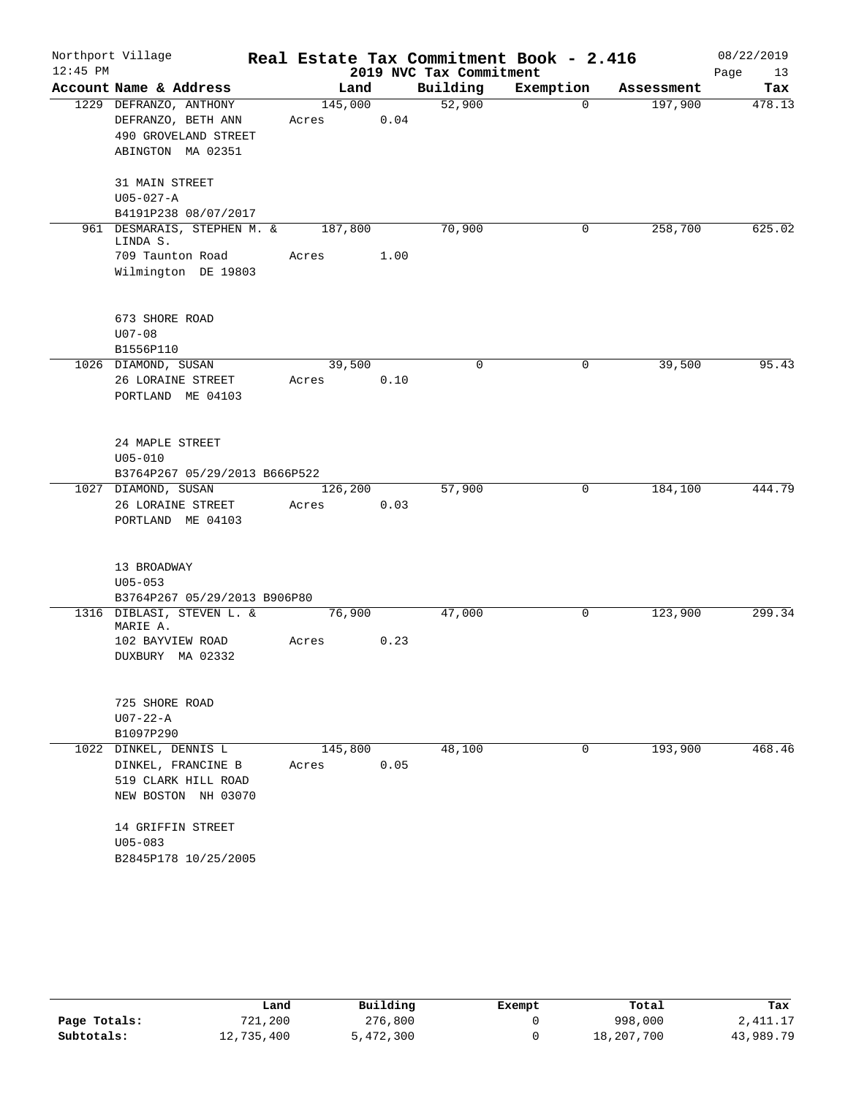|            | Northport Village                                         |         |      |                         | Real Estate Tax Commitment Book - 2.416 |            | 08/22/2019 |
|------------|-----------------------------------------------------------|---------|------|-------------------------|-----------------------------------------|------------|------------|
| $12:45$ PM |                                                           |         |      | 2019 NVC Tax Commitment |                                         |            | Page<br>13 |
|            | Account Name & Address                                    | Land    |      | Building                | Exemption                               | Assessment | Tax        |
|            | 1229 DEFRANZO, ANTHONY                                    | 145,000 |      | 52,900                  | $\Omega$                                | 197,900    | 478.13     |
|            | DEFRANZO, BETH ANN                                        | Acres   | 0.04 |                         |                                         |            |            |
|            | 490 GROVELAND STREET                                      |         |      |                         |                                         |            |            |
|            | ABINGTON MA 02351                                         |         |      |                         |                                         |            |            |
|            | 31 MAIN STREET                                            |         |      |                         |                                         |            |            |
|            | $U05 - 027 - A$                                           |         |      |                         |                                         |            |            |
|            | B4191P238 08/07/2017                                      |         |      |                         |                                         |            |            |
|            | 961 DESMARAIS, STEPHEN M. &                               | 187,800 |      | 70,900                  | 0                                       | 258,700    | 625.02     |
|            | LINDA S.<br>709 Taunton Road                              | Acres   | 1.00 |                         |                                         |            |            |
|            | Wilmington DE 19803                                       |         |      |                         |                                         |            |            |
|            |                                                           |         |      |                         |                                         |            |            |
|            | 673 SHORE ROAD                                            |         |      |                         |                                         |            |            |
|            | $U07 - 08$                                                |         |      |                         |                                         |            |            |
|            | B1556P110                                                 |         |      |                         |                                         |            |            |
|            | 1026 DIAMOND, SUSAN                                       | 39,500  |      | $\mathbf 0$             | 0                                       | 39,500     | 95.43      |
|            | 26 LORAINE STREET                                         | Acres   | 0.10 |                         |                                         |            |            |
|            | PORTLAND ME 04103                                         |         |      |                         |                                         |            |            |
|            |                                                           |         |      |                         |                                         |            |            |
|            | 24 MAPLE STREET                                           |         |      |                         |                                         |            |            |
|            | $U05 - 010$                                               |         |      |                         |                                         |            |            |
|            | B3764P267 05/29/2013 B666P522                             |         |      |                         |                                         |            |            |
|            | 1027 DIAMOND, SUSAN                                       | 126,200 |      | 57,900                  | $\mathbf 0$                             | 184,100    | 444.79     |
|            | 26 LORAINE STREET                                         | Acres   | 0.03 |                         |                                         |            |            |
|            | PORTLAND ME 04103                                         |         |      |                         |                                         |            |            |
|            |                                                           |         |      |                         |                                         |            |            |
|            | 13 BROADWAY                                               |         |      |                         |                                         |            |            |
|            | $U05 - 053$                                               |         |      |                         |                                         |            |            |
|            | B3764P267 05/29/2013 B906P80<br>1316 DIBLASI, STEVEN L. & | 76,900  |      | 47,000                  | 0                                       | 123,900    | 299.34     |
|            | MARIE A.                                                  |         |      |                         |                                         |            |            |
|            | 102 BAYVIEW ROAD                                          | Acres   | 0.23 |                         |                                         |            |            |
|            | DUXBURY MA 02332                                          |         |      |                         |                                         |            |            |
|            |                                                           |         |      |                         |                                         |            |            |
|            | 725 SHORE ROAD                                            |         |      |                         |                                         |            |            |
|            | $U07 - 22 - A$                                            |         |      |                         |                                         |            |            |
|            | B1097P290                                                 |         |      |                         |                                         |            |            |
| 1022       | DINKEL, DENNIS L                                          | 145,800 |      | 48,100                  | 0                                       | 193,900    | 468.46     |
|            | DINKEL, FRANCINE B                                        | Acres   | 0.05 |                         |                                         |            |            |
|            | 519 CLARK HILL ROAD                                       |         |      |                         |                                         |            |            |
|            | NEW BOSTON NH 03070                                       |         |      |                         |                                         |            |            |
|            | 14 GRIFFIN STREET                                         |         |      |                         |                                         |            |            |
|            | $U05 - 083$                                               |         |      |                         |                                         |            |            |
|            | B2845P178 10/25/2005                                      |         |      |                         |                                         |            |            |

|              | Land       | Building  | Exempt | Total      | Tax       |
|--------------|------------|-----------|--------|------------|-----------|
| Page Totals: | 721,200    | 276,800   |        | 998,000    | 2,411.17  |
| Subtotals:   | 12,735,400 | 5,472,300 |        | 18,207,700 | 43,989.79 |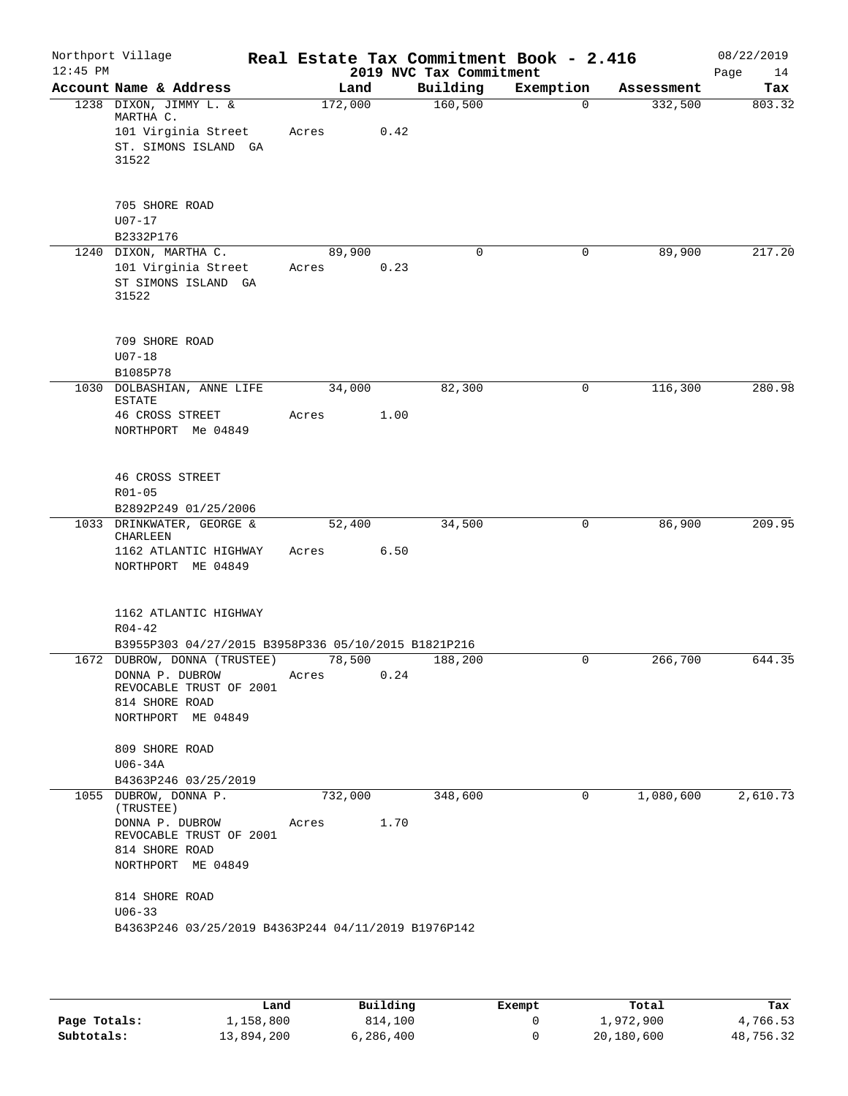| Northport Village<br>$12:45$ PM |                                                                                                                                                                                                                 |       |         |      | 2019 NVC Tax Commitment | Real Estate Tax Commitment Book - 2.416 |            | 08/22/2019<br>Page<br>14 |
|---------------------------------|-----------------------------------------------------------------------------------------------------------------------------------------------------------------------------------------------------------------|-------|---------|------|-------------------------|-----------------------------------------|------------|--------------------------|
|                                 | Account Name & Address                                                                                                                                                                                          |       | Land    |      | Building                | Exemption                               | Assessment | Tax                      |
|                                 | 1238 DIXON, JIMMY L. &<br>MARTHA C.<br>101 Virginia Street<br>ST. SIMONS ISLAND GA<br>31522                                                                                                                     | Acres | 172,000 | 0.42 | 160, 500                | $\Omega$                                | 332,500    | 803.32                   |
|                                 | 705 SHORE ROAD<br>$U07 - 17$<br>B2332P176                                                                                                                                                                       |       |         |      |                         |                                         |            |                          |
|                                 | 1240 DIXON, MARTHA C.<br>101 Virginia Street<br>ST SIMONS ISLAND GA<br>31522                                                                                                                                    | Acres | 89,900  | 0.23 | 0                       | $\mathbf 0$                             | 89,900     | 217.20                   |
|                                 | 709 SHORE ROAD<br>$U07 - 18$<br>B1085P78                                                                                                                                                                        |       |         |      |                         |                                         |            |                          |
| 1030                            | DOLBASHIAN, ANNE LIFE<br><b>ESTATE</b><br><b>46 CROSS STREET</b><br>NORTHPORT Me 04849                                                                                                                          | Acres | 34,000  | 1.00 | 82,300                  | 0                                       | 116,300    | 280.98                   |
|                                 | 46 CROSS STREET<br>$R01 - 05$<br>B2892P249 01/25/2006                                                                                                                                                           |       |         |      |                         |                                         |            |                          |
|                                 | 1033 DRINKWATER, GEORGE &<br><b>CHARLEEN</b><br>1162 ATLANTIC HIGHWAY<br>NORTHPORT ME 04849                                                                                                                     | Acres | 52,400  | 6.50 | 34,500                  | $\mathbf 0$                             | 86,900     | 209.95                   |
|                                 | 1162 ATLANTIC HIGHWAY<br>$R04 - 42$<br>B3955P303 04/27/2015 B3958P336 05/10/2015 B1821P216                                                                                                                      |       |         |      |                         |                                         |            |                          |
|                                 | 1672 DUBROW, DONNA (TRUSTEE)<br>DONNA P. DUBROW<br>REVOCABLE TRUST OF 2001<br>814 SHORE ROAD<br>NORTHPORT ME 04849                                                                                              | Acres | 78,500  | 0.24 | 188,200                 | 0                                       | 266,700    | 644.35                   |
|                                 | 809 SHORE ROAD<br>U06-34A<br>B4363P246 03/25/2019                                                                                                                                                               |       |         |      |                         |                                         |            |                          |
|                                 | 1055 DUBROW, DONNA P.<br>(TRUSTEE)<br>DONNA P. DUBROW<br>REVOCABLE TRUST OF 2001<br>814 SHORE ROAD<br>NORTHPORT ME 04849<br>814 SHORE ROAD<br>$U06 - 33$<br>B4363P246 03/25/2019 B4363P244 04/11/2019 B1976P142 | Acres | 732,000 | 1.70 | 348,600                 | 0                                       | 1,080,600  | 2,610.73                 |

|              | Land       | Building  | Exempt | Total      | Tax       |
|--------------|------------|-----------|--------|------------|-----------|
| Page Totals: | 1,158,800  | 814,100   |        | 1,972,900  | 4,766.53  |
| Subtotals:   | 13,894,200 | 6,286,400 |        | 20,180,600 | 48,756.32 |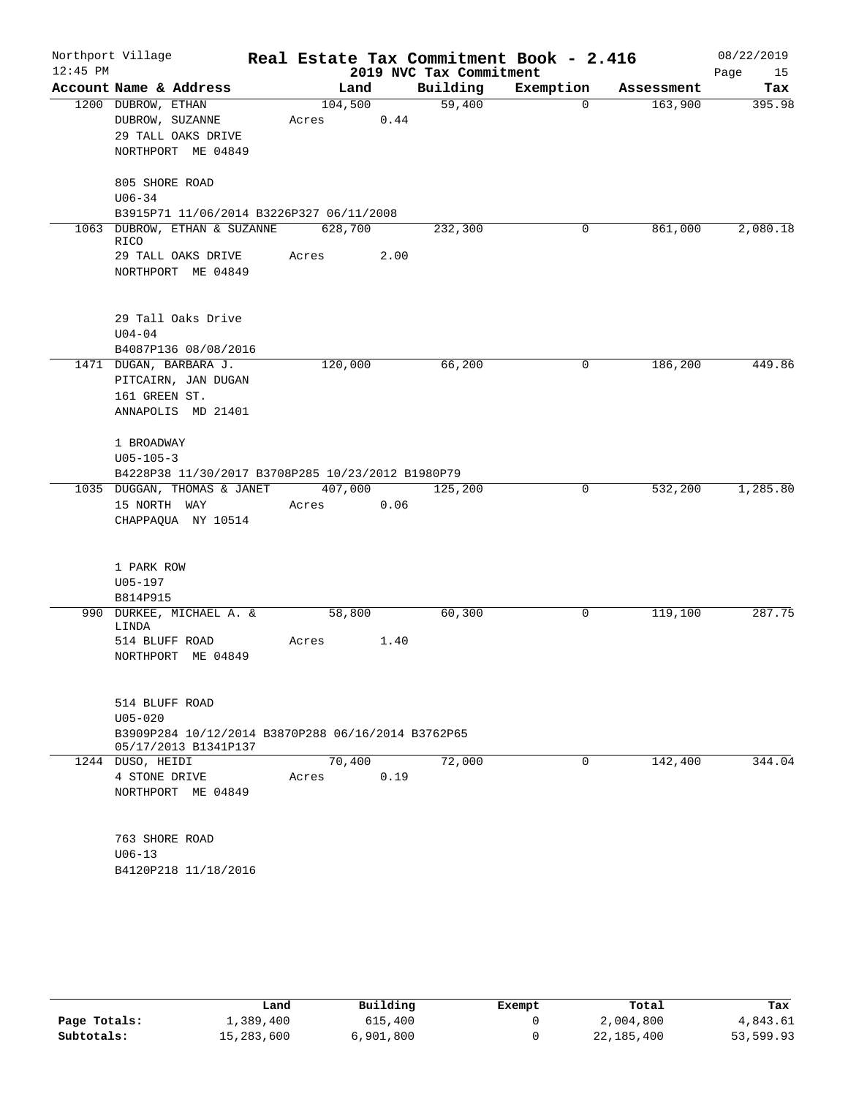| $12:45$ PM | Northport Village                                                                    |                  |      | 2019 NVC Tax Commitment | Real Estate Tax Commitment Book - 2.416 |            | 08/22/2019<br>Page<br>15 |
|------------|--------------------------------------------------------------------------------------|------------------|------|-------------------------|-----------------------------------------|------------|--------------------------|
|            | Account Name & Address                                                               | Land             |      | Building                | Exemption                               | Assessment | Tax                      |
|            | 1200 DUBROW, ETHAN<br>DUBROW, SUZANNE<br>29 TALL OAKS DRIVE<br>NORTHPORT ME 04849    | 104,500<br>Acres | 0.44 | 59,400                  | $\mathbf 0$                             | 163,900    | 395.98                   |
|            | 805 SHORE ROAD<br>$U06 - 34$                                                         |                  |      |                         |                                         |            |                          |
|            | B3915P71 11/06/2014 B3226P327 06/11/2008<br>1063 DUBROW, ETHAN & SUZANNE             | 628,700          |      | 232,300                 | 0                                       | 861,000    | 2,080.18                 |
|            | <b>RICO</b><br>29 TALL OAKS DRIVE<br>NORTHPORT ME 04849                              | Acres            | 2.00 |                         |                                         |            |                          |
|            | 29 Tall Oaks Drive<br>$U04 - 04$                                                     |                  |      |                         |                                         |            |                          |
|            | B4087P136 08/08/2016                                                                 |                  |      |                         |                                         |            |                          |
|            | 1471 DUGAN, BARBARA J.<br>PITCAIRN, JAN DUGAN<br>161 GREEN ST.<br>ANNAPOLIS MD 21401 | 120,000          |      | 66,200                  | 0                                       | 186,200    | 449.86                   |
|            | 1 BROADWAY<br>$U05 - 105 - 3$<br>B4228P38 11/30/2017 B3708P285 10/23/2012 B1980P79   |                  |      |                         |                                         |            |                          |
|            | 1035 DUGGAN, THOMAS & JANET<br>15 NORTH WAY<br>CHAPPAQUA NY 10514                    | 407,000<br>Acres | 0.06 | 125,200                 | 0                                       | 532,200    | 1,285.80                 |
|            | 1 PARK ROW<br>U05-197                                                                |                  |      |                         |                                         |            |                          |
|            | B814P915<br>990 DURKEE, MICHAEL A. &<br>LINDA                                        | 58,800           |      | 60,300                  | 0                                       | 119,100    | 287.75                   |
|            | 514 BLUFF ROAD<br>NORTHPORT ME 04849                                                 | Acres            | 1.40 |                         |                                         |            |                          |
|            | 514 BLUFF ROAD<br>$U05 - 020$                                                        |                  |      |                         |                                         |            |                          |
|            | B3909P284 10/12/2014 B3870P288 06/16/2014 B3762P65                                   |                  |      |                         |                                         |            |                          |
|            | 05/17/2013 B1341P137<br>1244 DUSO, HEIDI                                             | 70,400           |      | 72,000                  | 0                                       | 142,400    | 344.04                   |
|            | 4 STONE DRIVE<br>NORTHPORT ME 04849                                                  | Acres            | 0.19 |                         |                                         |            |                          |
|            | 763 SHORE ROAD<br>$U06 - 13$                                                         |                  |      |                         |                                         |            |                          |
|            | B4120P218 11/18/2016                                                                 |                  |      |                         |                                         |            |                          |

|              | Land       | Building  | Exempt | Total      | Tax       |  |
|--------------|------------|-----------|--------|------------|-----------|--|
| Page Totals: | 1,389,400  | 615,400   |        | 2,004,800  | 4,843.61  |  |
| Subtotals:   | 15,283,600 | 6,901,800 |        | 22,185,400 | 53,599.93 |  |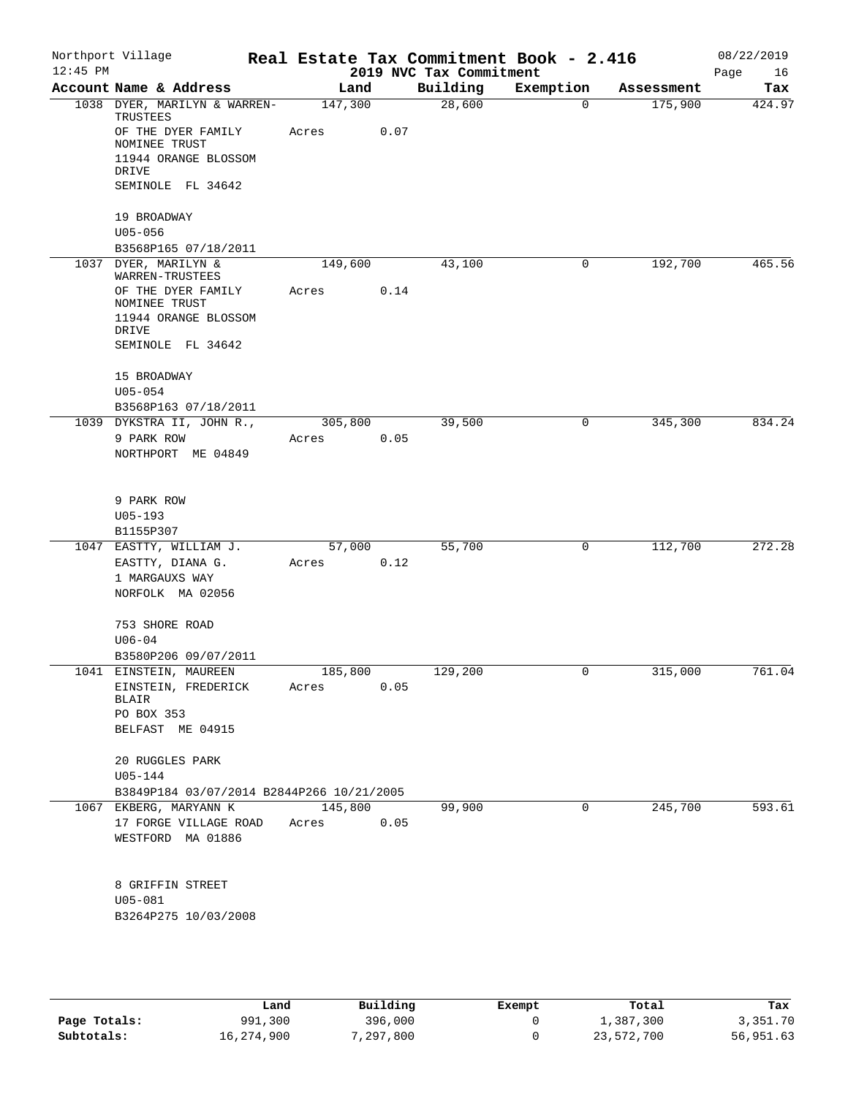| $12:45$ PM | Northport Village                               | Real Estate Tax Commitment Book - 2.416 |      | 2019 NVC Tax Commitment |                |            | 08/22/2019<br>16<br>Page |
|------------|-------------------------------------------------|-----------------------------------------|------|-------------------------|----------------|------------|--------------------------|
|            | Account Name & Address                          | Land                                    |      | Building                | Exemption      | Assessment | Tax                      |
|            | 1038 DYER, MARILYN & WARREN-                    | 147,300                                 |      | 28,600                  | $\Omega$       | 175,900    | 424.97                   |
|            | TRUSTEES<br>OF THE DYER FAMILY<br>NOMINEE TRUST | Acres                                   | 0.07 |                         |                |            |                          |
|            | 11944 ORANGE BLOSSOM<br>DRIVE                   |                                         |      |                         |                |            |                          |
|            | SEMINOLE FL 34642                               |                                         |      |                         |                |            |                          |
|            | 19 BROADWAY<br>$U05 - 056$                      |                                         |      |                         |                |            |                          |
|            | B3568P165 07/18/2011                            |                                         |      |                         |                |            |                          |
|            | 1037 DYER, MARILYN &                            | 149,600                                 |      | 43,100                  | 0              | 192,700    | 465.56                   |
|            | WARREN-TRUSTEES<br>OF THE DYER FAMILY           | Acres                                   | 0.14 |                         |                |            |                          |
|            | NOMINEE TRUST                                   |                                         |      |                         |                |            |                          |
|            | 11944 ORANGE BLOSSOM                            |                                         |      |                         |                |            |                          |
|            | DRIVE                                           |                                         |      |                         |                |            |                          |
|            | SEMINOLE FL 34642                               |                                         |      |                         |                |            |                          |
|            | 15 BROADWAY                                     |                                         |      |                         |                |            |                          |
|            | $U05 - 054$<br>B3568P163 07/18/2011             |                                         |      |                         |                |            |                          |
|            | 1039 DYKSTRA II, JOHN R.,                       | 305,800                                 |      | 39,500                  | 0              | 345,300    | 834.24                   |
|            | 9 PARK ROW                                      | Acres                                   | 0.05 |                         |                |            |                          |
|            | NORTHPORT ME 04849                              |                                         |      |                         |                |            |                          |
|            |                                                 |                                         |      |                         |                |            |                          |
|            | 9 PARK ROW                                      |                                         |      |                         |                |            |                          |
|            | $U05 - 193$                                     |                                         |      |                         |                |            |                          |
|            | B1155P307                                       |                                         |      |                         |                |            |                          |
|            | 1047 EASTTY, WILLIAM J.                         | 57,000                                  |      | 55,700                  | 0              | 112,700    | 272.28                   |
|            | EASTTY, DIANA G.                                | Acres                                   | 0.12 |                         |                |            |                          |
|            | 1 MARGAUXS WAY                                  |                                         |      |                         |                |            |                          |
|            | NORFOLK MA 02056                                |                                         |      |                         |                |            |                          |
|            | 753 SHORE ROAD                                  |                                         |      |                         |                |            |                          |
|            | $U06 - 04$                                      |                                         |      |                         |                |            |                          |
|            | B3580P206 09/07/2011<br>1041 EINSTEIN, MAUREEN  | 185,800                                 |      | 129,200                 | $\overline{0}$ | 315,000    | 761.04                   |
|            | EINSTEIN, FREDERICK Acres                       |                                         | 0.05 |                         |                |            |                          |
|            | BLAIR                                           |                                         |      |                         |                |            |                          |
|            | PO BOX 353                                      |                                         |      |                         |                |            |                          |
|            | BELFAST ME 04915                                |                                         |      |                         |                |            |                          |
|            | 20 RUGGLES PARK                                 |                                         |      |                         |                |            |                          |
|            | $U05 - 144$                                     |                                         |      |                         |                |            |                          |
|            | B3849P184 03/07/2014 B2844P266 10/21/2005       |                                         |      |                         |                |            |                          |
|            | 1067 EKBERG, MARYANN K                          | 145,800                                 |      | 99,900                  | $\mathbf 0$    | 245,700    | 593.61                   |
|            | 17 FORGE VILLAGE ROAD                           | Acres                                   | 0.05 |                         |                |            |                          |
|            | WESTFORD MA 01886                               |                                         |      |                         |                |            |                          |
|            | 8 GRIFFIN STREET                                |                                         |      |                         |                |            |                          |
|            | $U05 - 081$                                     |                                         |      |                         |                |            |                          |
|            | B3264P275 10/03/2008                            |                                         |      |                         |                |            |                          |
|            |                                                 |                                         |      |                         |                |            |                          |

|              | Land       | Building   | Exempt | Total      | Tax       |
|--------------|------------|------------|--------|------------|-----------|
| Page Totals: | 991,300    | 396,000    |        | 1,387,300  | 3,351.70  |
| Subtotals:   | 16,274,900 | , 297, 800 |        | 23,572,700 | 56,951.63 |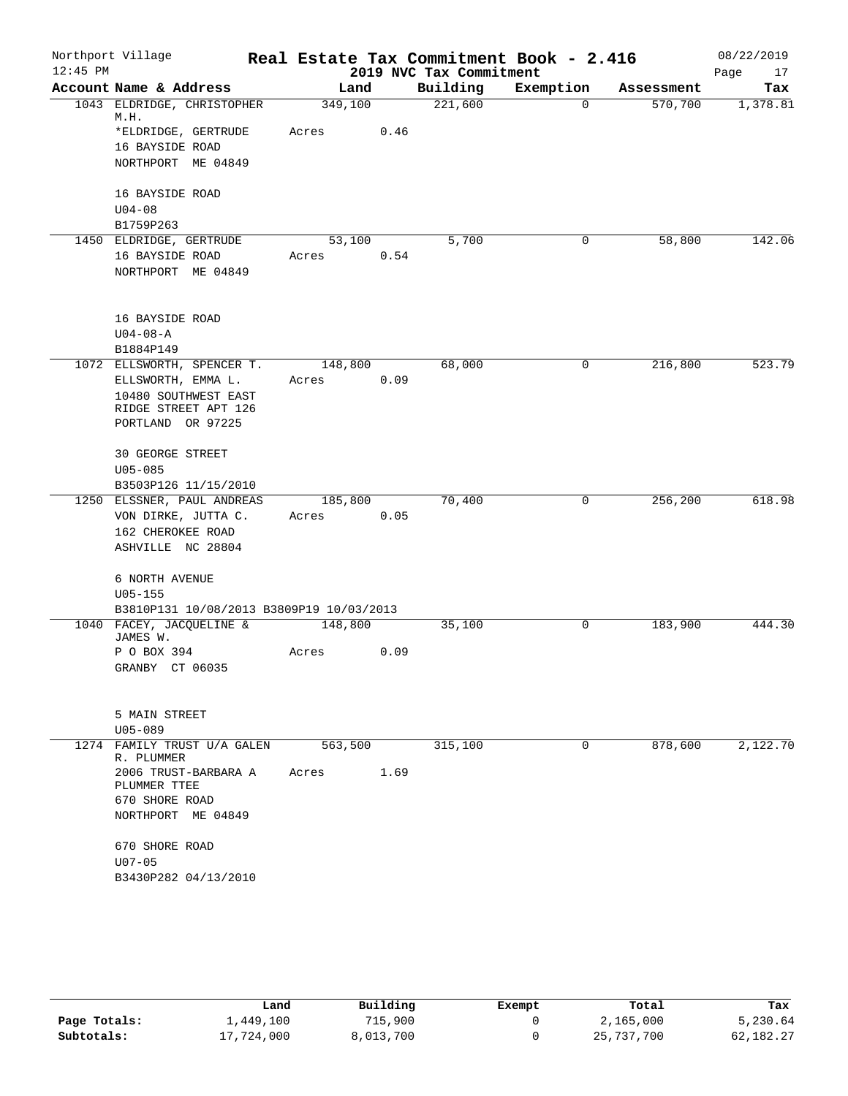| $12:45$ PM | Northport Village                        |         |      | 2019 NVC Tax Commitment | Real Estate Tax Commitment Book - 2.416 |            | 08/22/2019<br>Page<br>17 |
|------------|------------------------------------------|---------|------|-------------------------|-----------------------------------------|------------|--------------------------|
|            | Account Name & Address                   | Land    |      | Building                | Exemption                               | Assessment | Tax                      |
|            | 1043 ELDRIDGE, CHRISTOPHER<br>M.H.       | 349,100 |      | 221,600                 | $\Omega$                                | 570,700    | 1,378.81                 |
|            | *ELDRIDGE, GERTRUDE                      | Acres   | 0.46 |                         |                                         |            |                          |
|            | 16 BAYSIDE ROAD                          |         |      |                         |                                         |            |                          |
|            | NORTHPORT ME 04849                       |         |      |                         |                                         |            |                          |
|            | 16 BAYSIDE ROAD                          |         |      |                         |                                         |            |                          |
|            | $U04 - 08$                               |         |      |                         |                                         |            |                          |
|            | B1759P263                                |         |      |                         |                                         |            |                          |
|            | 1450 ELDRIDGE, GERTRUDE                  | 53,100  |      | 5,700                   | 0                                       | 58,800     | 142.06                   |
|            | 16 BAYSIDE ROAD                          | Acres   | 0.54 |                         |                                         |            |                          |
|            | NORTHPORT ME 04849                       |         |      |                         |                                         |            |                          |
|            | 16 BAYSIDE ROAD                          |         |      |                         |                                         |            |                          |
|            | $U04 - 08 - A$                           |         |      |                         |                                         |            |                          |
|            | B1884P149                                |         |      |                         |                                         |            |                          |
|            | 1072 ELLSWORTH, SPENCER T.               | 148,800 |      | 68,000                  | 0                                       | 216,800    | 523.79                   |
|            | ELLSWORTH, EMMA L.                       | Acres   | 0.09 |                         |                                         |            |                          |
|            | 10480 SOUTHWEST EAST                     |         |      |                         |                                         |            |                          |
|            | RIDGE STREET APT 126                     |         |      |                         |                                         |            |                          |
|            | PORTLAND OR 97225                        |         |      |                         |                                         |            |                          |
|            | 30 GEORGE STREET                         |         |      |                         |                                         |            |                          |
|            | $U05 - 085$                              |         |      |                         |                                         |            |                          |
|            | B3503P126 11/15/2010                     |         |      |                         |                                         |            |                          |
|            | 1250 ELSSNER, PAUL ANDREAS               | 185,800 |      | 70,400                  | 0                                       | 256,200    | 618.98                   |
|            | VON DIRKE, JUTTA C.                      | Acres   | 0.05 |                         |                                         |            |                          |
|            | 162 CHEROKEE ROAD                        |         |      |                         |                                         |            |                          |
|            | ASHVILLE NC 28804                        |         |      |                         |                                         |            |                          |
|            | 6 NORTH AVENUE                           |         |      |                         |                                         |            |                          |
|            | $U05 - 155$                              |         |      |                         |                                         |            |                          |
|            | B3810P131 10/08/2013 B3809P19 10/03/2013 |         |      |                         |                                         |            |                          |
|            | 1040 FACEY, JACQUELINE &<br>JAMES W.     | 148,800 |      | 35,100                  | 0                                       | 183,900    | 444.30                   |
|            | P O BOX 394                              | Acres   | 0.09 |                         |                                         |            |                          |
|            | GRANBY CT 06035                          |         |      |                         |                                         |            |                          |
|            | 5 MAIN STREET                            |         |      |                         |                                         |            |                          |
|            | $U05 - 089$                              |         |      |                         |                                         |            |                          |
|            | 1274 FAMILY TRUST U/A GALEN              | 563,500 |      | 315,100                 | 0                                       | 878,600    | 2,122.70                 |
|            | R. PLUMMER                               |         |      |                         |                                         |            |                          |
|            | 2006 TRUST-BARBARA A<br>PLUMMER TTEE     | Acres   | 1.69 |                         |                                         |            |                          |
|            | 670 SHORE ROAD                           |         |      |                         |                                         |            |                          |
|            | NORTHPORT ME 04849                       |         |      |                         |                                         |            |                          |
|            | 670 SHORE ROAD                           |         |      |                         |                                         |            |                          |
|            | $U07 - 05$                               |         |      |                         |                                         |            |                          |
|            | B3430P282 04/13/2010                     |         |      |                         |                                         |            |                          |
|            |                                          |         |      |                         |                                         |            |                          |

|              | Land       | Building  | Exempt | Total      | Tax       |
|--------------|------------|-----------|--------|------------|-----------|
| Page Totals: | 1,449,100  | 715,900   |        | 2,165,000  | 5,230.64  |
| Subtotals:   | 17,724,000 | 8,013,700 |        | 25,737,700 | 62,182.27 |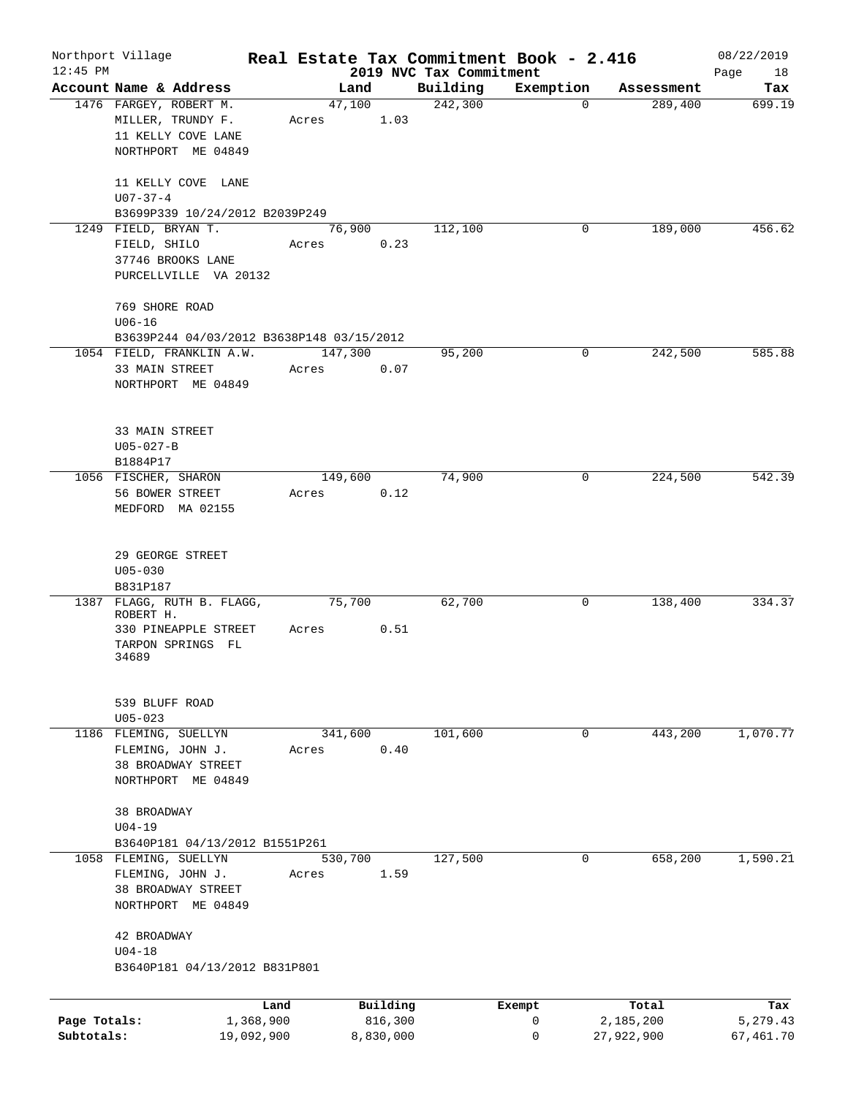|                            | Northport Village                                                                             |                         |         |                      |                                     | Real Estate Tax Commitment Book - 2.416 |                         | 08/22/2019            |
|----------------------------|-----------------------------------------------------------------------------------------------|-------------------------|---------|----------------------|-------------------------------------|-----------------------------------------|-------------------------|-----------------------|
| $12:45$ PM                 | Account Name & Address                                                                        |                         | Land    |                      | 2019 NVC Tax Commitment<br>Building | Exemption                               | Assessment              | Page<br>18<br>Tax     |
|                            | 1476 FARGEY, ROBERT M.<br>MILLER, TRUNDY F.<br>11 KELLY COVE LANE<br>NORTHPORT ME 04849       | Acres                   | 47,100  | 1.03                 | 242,300                             | 0                                       | 289,400                 | 699.19                |
|                            | 11 KELLY COVE LANE<br>$U07 - 37 - 4$                                                          |                         |         |                      |                                     |                                         |                         |                       |
|                            | B3699P339 10/24/2012 B2039P249<br>1249 FIELD, BRYAN T.                                        |                         | 76,900  |                      | 112,100                             | 0                                       | 189,000                 | 456.62                |
|                            | FIELD, SHILO<br>37746 BROOKS LANE<br>PURCELLVILLE VA 20132                                    | Acres                   |         | 0.23                 |                                     |                                         |                         |                       |
|                            | 769 SHORE ROAD<br>$U06 - 16$                                                                  |                         |         |                      |                                     |                                         |                         |                       |
|                            | B3639P244 04/03/2012 B3638P148 03/15/2012                                                     |                         |         |                      | 95,200                              | 0                                       |                         | 585.88                |
|                            | 1054 FIELD, FRANKLIN A.W.<br>33 MAIN STREET<br>NORTHPORT ME 04849                             | Acres                   | 147,300 | 0.07                 |                                     |                                         | 242,500                 |                       |
|                            | 33 MAIN STREET<br>$U05 - 027 - B$<br>B1884P17                                                 |                         |         |                      |                                     |                                         |                         |                       |
|                            | 1056 FISCHER, SHARON<br>56 BOWER STREET<br>MEDFORD MA 02155                                   | Acres                   | 149,600 | 0.12                 | 74,900                              | 0                                       | 224,500                 | 542.39                |
|                            | 29 GEORGE STREET<br>$U05 - 030$<br>B831P187                                                   |                         |         |                      |                                     |                                         |                         |                       |
|                            | 1387 FLAGG, RUTH B. FLAGG,<br>ROBERT H.<br>330 PINEAPPLE STREET<br>TARPON SPRINGS FL<br>34689 | Acres                   | 75,700  | 0.51                 | 62,700                              | 0                                       | 138,400                 | 334.37                |
|                            | 539 BLUFF ROAD<br>$U05 - 023$                                                                 |                         |         |                      |                                     |                                         |                         |                       |
|                            | 1186 FLEMING, SUELLYN<br>FLEMING, JOHN J.<br>38 BROADWAY STREET<br>NORTHPORT ME 04849         | Acres                   | 341,600 | 0.40                 | 101,600                             | 0                                       | 443,200                 | 1,070.77              |
|                            | 38 BROADWAY<br>$U04-19$<br>B3640P181 04/13/2012 B1551P261                                     |                         |         |                      |                                     |                                         |                         |                       |
|                            | 1058 FLEMING, SUELLYN<br>FLEMING, JOHN J.<br>38 BROADWAY STREET<br>NORTHPORT ME 04849         | Acres                   | 530,700 | 1.59                 | 127,500                             | 0                                       | 658,200                 | 1,590.21              |
|                            | 42 BROADWAY<br>$U04-18$<br>B3640P181 04/13/2012 B831P801                                      |                         |         |                      |                                     |                                         |                         |                       |
|                            |                                                                                               | Land                    |         | Building             |                                     | Exempt                                  | Total                   | Tax                   |
| Page Totals:<br>Subtotals: |                                                                                               | 1,368,900<br>19,092,900 |         | 816,300<br>8,830,000 |                                     | 0<br>0                                  | 2,185,200<br>27,922,900 | 5,279.43<br>67,461.70 |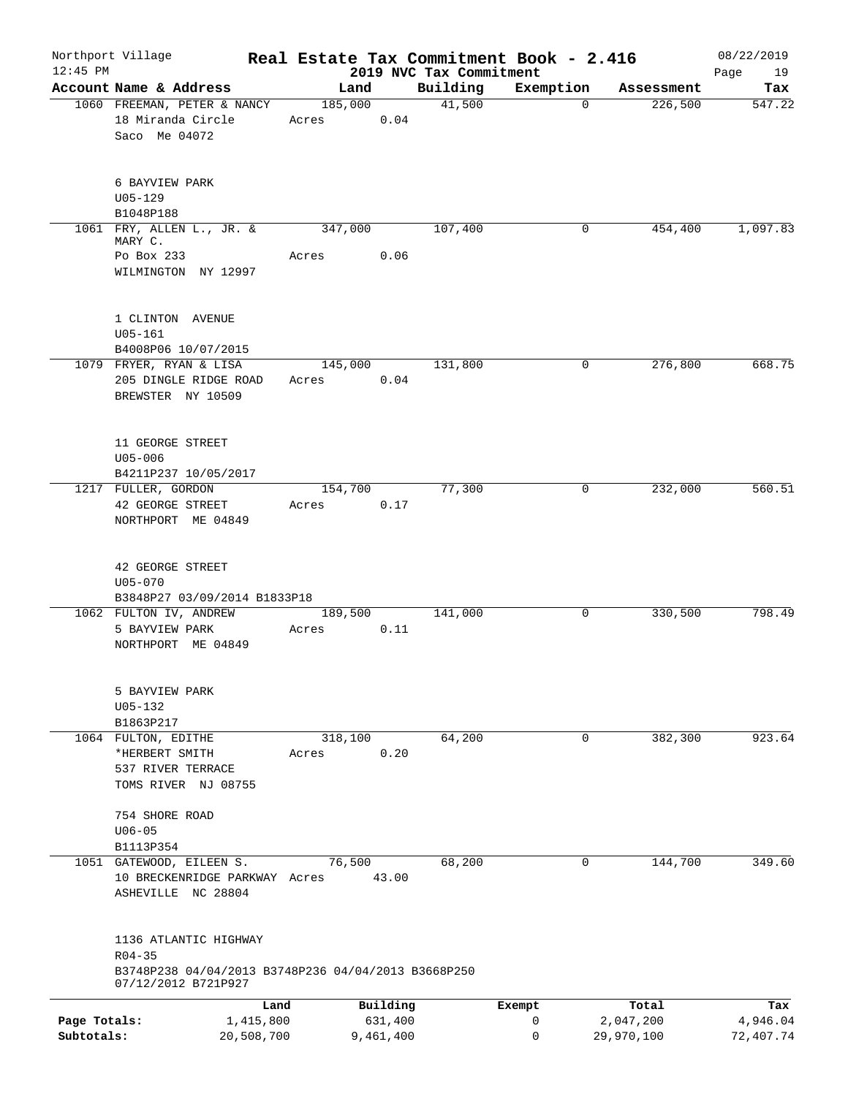| $12:45$ PM                 | Northport Village                                                                                                 |                  |                      | 2019 NVC Tax Commitment | Real Estate Tax Commitment Book - 2.416 |                         | 08/22/2019            |
|----------------------------|-------------------------------------------------------------------------------------------------------------------|------------------|----------------------|-------------------------|-----------------------------------------|-------------------------|-----------------------|
|                            | Account Name & Address                                                                                            | Land             |                      | Building                | Exemption                               | Assessment              | Page<br>19<br>Tax     |
|                            | 1060 FREEMAN, PETER & NANCY<br>18 Miranda Circle<br>Saco Me 04072                                                 | 185,000<br>Acres | 0.04                 | 41,500                  | $\mathbf 0$                             | 226,500                 | 547.22                |
|                            | 6 BAYVIEW PARK<br>$U05 - 129$<br>B1048P188                                                                        |                  |                      |                         |                                         |                         |                       |
|                            | 1061 FRY, ALLEN L., JR. &                                                                                         | 347,000          |                      | 107,400                 | 0                                       | 454,400                 | 1,097.83              |
|                            | MARY C.<br>Po Box 233<br>WILMINGTON NY 12997                                                                      | Acres            | 0.06                 |                         |                                         |                         |                       |
|                            | 1 CLINTON AVENUE<br>$U05 - 161$<br>B4008P06 10/07/2015                                                            |                  |                      |                         |                                         |                         |                       |
|                            | 1079 FRYER, RYAN & LISA<br>205 DINGLE RIDGE ROAD<br>BREWSTER NY 10509                                             | 145,000<br>Acres | 0.04                 | 131,800                 | 0                                       | 276,800                 | 668.75                |
|                            | 11 GEORGE STREET<br>$U05 - 006$<br>B4211P237 10/05/2017                                                           |                  |                      |                         |                                         |                         |                       |
|                            | 1217 FULLER, GORDON<br>42 GEORGE STREET<br>NORTHPORT ME 04849                                                     | 154,700<br>Acres | 0.17                 | 77,300                  | 0                                       | 232,000                 | 560.51                |
|                            | 42 GEORGE STREET<br>$U05 - 070$<br>B3848P27 03/09/2014 B1833P18                                                   |                  |                      |                         |                                         |                         |                       |
|                            | 1062 FULTON IV, ANDREW<br>5 BAYVIEW PARK<br>NORTHPORT ME 04849                                                    | 189,500<br>Acres | 0.11                 | 141,000                 | 0                                       | 330,500                 | 798.49                |
|                            | 5 BAYVIEW PARK<br>$U05 - 132$<br>B1863P217                                                                        |                  |                      |                         |                                         |                         |                       |
|                            | 1064 FULTON, EDITHE<br>*HERBERT SMITH<br>537 RIVER TERRACE<br>TOMS RIVER NJ 08755                                 | 318,100<br>Acres | 0.20                 | 64,200                  | 0                                       | 382,300                 | 923.64                |
|                            | 754 SHORE ROAD<br>$U06 - 05$<br>B1113P354                                                                         |                  |                      |                         |                                         |                         |                       |
|                            | 1051 GATEWOOD, EILEEN S.<br>10 BRECKENRIDGE PARKWAY Acres<br>ASHEVILLE NC 28804                                   | 76,500           | 43.00                | 68,200                  | $\mathbf 0$                             | 144,700                 | 349.60                |
|                            | 1136 ATLANTIC HIGHWAY<br>$R04 - 35$<br>B3748P238 04/04/2013 B3748P236 04/04/2013 B3668P250<br>07/12/2012 B721P927 |                  |                      |                         |                                         |                         |                       |
|                            |                                                                                                                   | Land             | Building             |                         | Exempt                                  | Total                   | Tax                   |
| Page Totals:<br>Subtotals: | 1,415,800<br>20,508,700                                                                                           |                  | 631,400<br>9,461,400 |                         | 0<br>0                                  | 2,047,200<br>29,970,100 | 4,946.04<br>72,407.74 |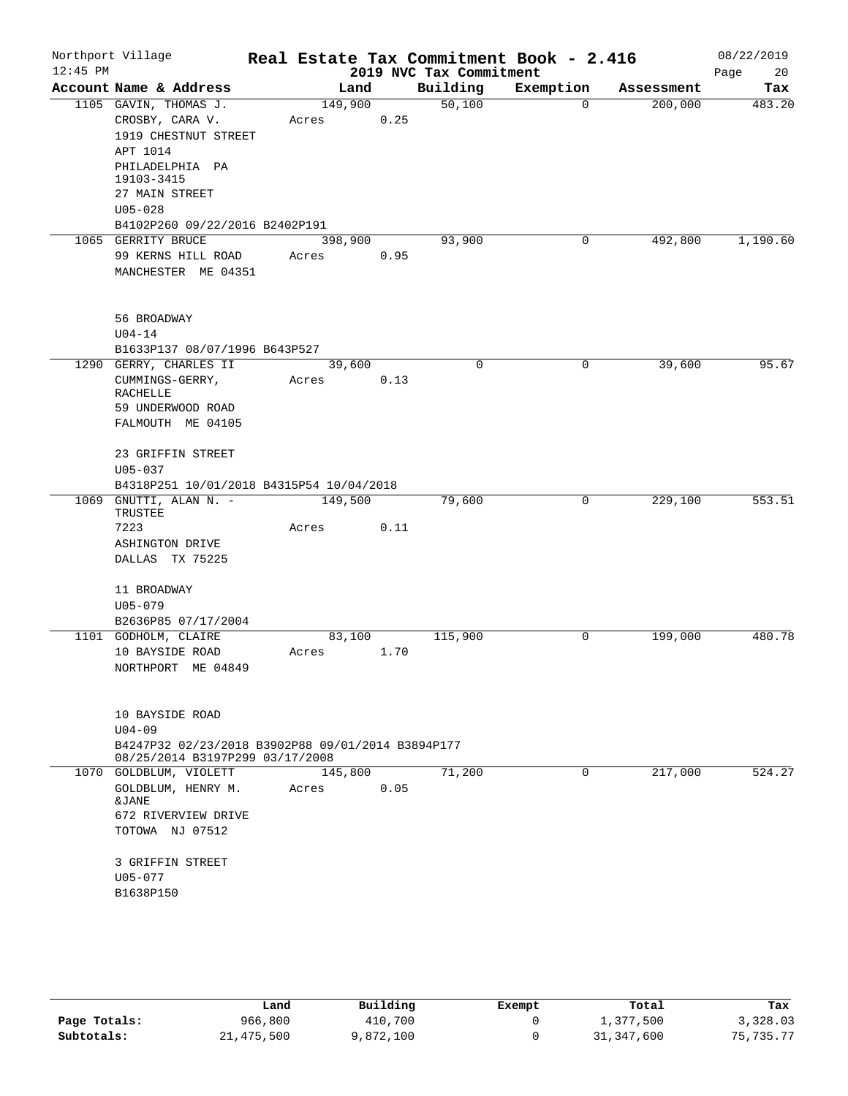|                                                                                                                       |                                                                                                                                                                                           |                                                                                                    |                                                                                                               | Real Estate Tax Commitment Book - 2.416                       |                                      | 08/22/2019<br>Page<br>20 |
|-----------------------------------------------------------------------------------------------------------------------|-------------------------------------------------------------------------------------------------------------------------------------------------------------------------------------------|----------------------------------------------------------------------------------------------------|---------------------------------------------------------------------------------------------------------------|---------------------------------------------------------------|--------------------------------------|--------------------------|
|                                                                                                                       |                                                                                                                                                                                           |                                                                                                    |                                                                                                               |                                                               | Assessment                           | Tax                      |
| CROSBY, CARA V.<br>1919 CHESTNUT STREET<br>APT 1014<br>PHILADELPHIA PA<br>19103-3415<br>27 MAIN STREET<br>$U05 - 028$ | 149,900<br>Acres                                                                                                                                                                          | 0.25                                                                                               | 50,100                                                                                                        | $\Omega$                                                      | 200,000                              | 483.20                   |
|                                                                                                                       |                                                                                                                                                                                           |                                                                                                    | 93,900                                                                                                        | 0                                                             | 492,800                              | 1,190.60                 |
| 99 KERNS HILL ROAD<br>MANCHESTER ME 04351                                                                             | Acres                                                                                                                                                                                     | 0.95                                                                                               |                                                                                                               |                                                               |                                      |                          |
| 56 BROADWAY<br>$U04 - 14$                                                                                             |                                                                                                                                                                                           |                                                                                                    |                                                                                                               |                                                               |                                      |                          |
|                                                                                                                       |                                                                                                                                                                                           |                                                                                                    | $\mathbf 0$                                                                                                   | $\mathsf{O}$                                                  | 39,600                               | 95.67                    |
| CUMMINGS-GERRY,<br><b>RACHELLE</b><br>59 UNDERWOOD ROAD<br>FALMOUTH ME 04105                                          | Acres                                                                                                                                                                                     | 0.13                                                                                               |                                                                                                               |                                                               |                                      |                          |
| 23 GRIFFIN STREET<br>$U05 - 037$                                                                                      |                                                                                                                                                                                           |                                                                                                    |                                                                                                               |                                                               |                                      |                          |
|                                                                                                                       |                                                                                                                                                                                           |                                                                                                    | 79,600                                                                                                        | 0                                                             | 229,100                              | 553.51                   |
| TRUSTEE<br>7223<br>ASHINGTON DRIVE<br>DALLAS TX 75225                                                                 | Acres                                                                                                                                                                                     | 0.11                                                                                               |                                                                                                               |                                                               |                                      |                          |
| 11 BROADWAY<br>$U05 - 079$<br>B2636P85 07/17/2004                                                                     |                                                                                                                                                                                           |                                                                                                    |                                                                                                               |                                                               |                                      |                          |
|                                                                                                                       |                                                                                                                                                                                           |                                                                                                    | 115,900                                                                                                       | 0                                                             | 199,000                              | 480.78                   |
| NORTHPORT ME 04849                                                                                                    | Acres                                                                                                                                                                                     |                                                                                                    |                                                                                                               |                                                               |                                      |                          |
| 10 BAYSIDE ROAD<br>$U04 - 09$                                                                                         |                                                                                                                                                                                           |                                                                                                    |                                                                                                               |                                                               |                                      |                          |
|                                                                                                                       |                                                                                                                                                                                           |                                                                                                    |                                                                                                               |                                                               |                                      |                          |
|                                                                                                                       |                                                                                                                                                                                           |                                                                                                    | 71,200                                                                                                        | 0                                                             | 217,000                              | 524.27                   |
| GOLDBLUM, HENRY M.<br>&JANE<br>672 RIVERVIEW DRIVE<br>TOTOWA NJ 07512                                                 | Acres                                                                                                                                                                                     | 0.05                                                                                               |                                                                                                               |                                                               |                                      |                          |
| 3 GRIFFIN STREET<br>U05-077<br>B1638P150                                                                              |                                                                                                                                                                                           |                                                                                                    |                                                                                                               |                                                               |                                      |                          |
| $12:45$ PM                                                                                                            | Account Name & Address<br>1105 GAVIN, THOMAS J.<br>1065 GERRITY BRUCE<br>1290 GERRY, CHARLES II<br>GNUTTI, ALAN N. -<br>1101 GODHOLM, CLAIRE<br>10 BAYSIDE ROAD<br>1070 GOLDBLUM, VIOLETT | B4102P260 09/22/2016 B2402P191<br>B1633P137 08/07/1996 B643P527<br>08/25/2014 B3197P299 03/17/2008 | Land<br>398,900<br>39,600<br>B4318P251 10/01/2018 B4315P54 10/04/2018<br>149,500<br>83,100<br>1.70<br>145,800 | Building<br>B4247P32 02/23/2018 B3902P88 09/01/2014 B3894P177 | 2019 NVC Tax Commitment<br>Exemption |                          |

|              | Land       | Building  | Exempt | Total      | Tax         |
|--------------|------------|-----------|--------|------------|-------------|
| Page Totals: | 966,800    | 410,700   |        | ⊥,377,500  | 3,328.03    |
| Subtotals:   | 21,475,500 | 9,872,100 |        | 31,347,600 | 75, 735. 77 |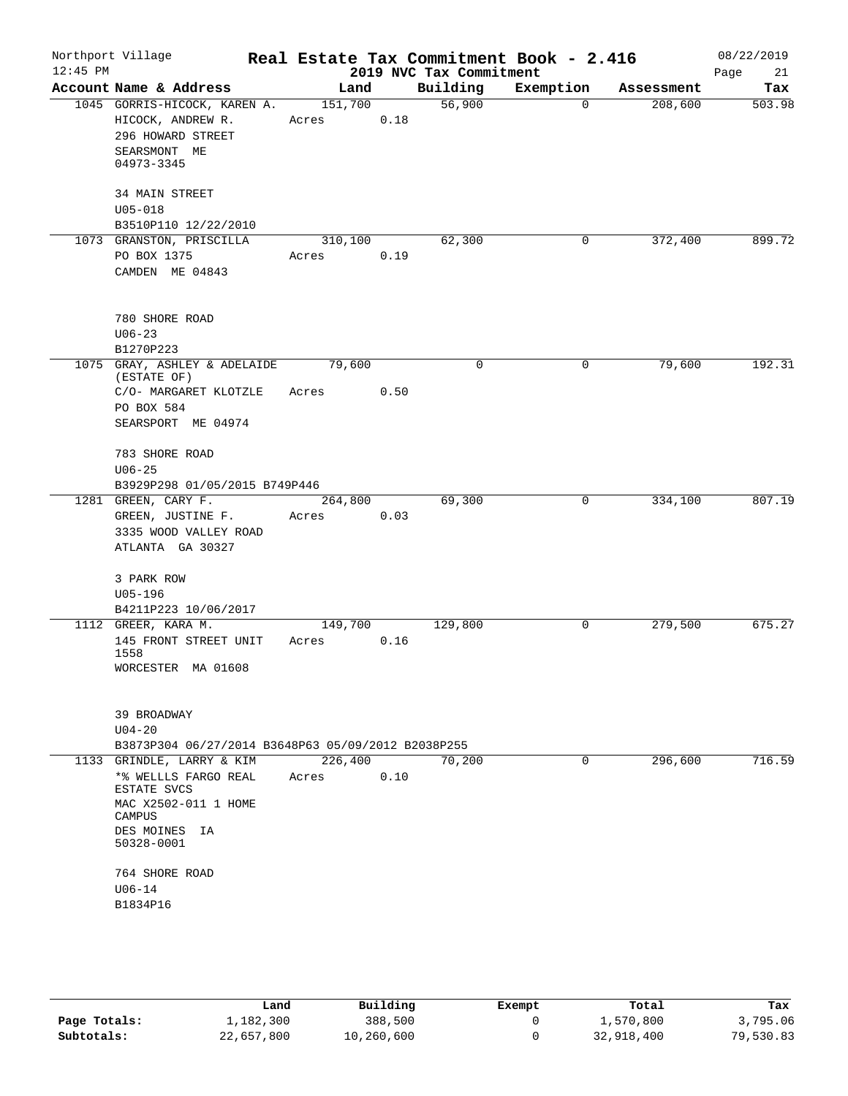| $12:45$ PM | Northport Village                                                                                                                                |                  |      | 2019 NVC Tax Commitment | Real Estate Tax Commitment Book - 2.416 |            | 08/22/2019<br>Page<br>21 |
|------------|--------------------------------------------------------------------------------------------------------------------------------------------------|------------------|------|-------------------------|-----------------------------------------|------------|--------------------------|
|            | Account Name & Address                                                                                                                           | Land             |      | Building                | Exemption                               | Assessment | Tax                      |
|            | 1045 GORRIS-HICOCK, KAREN A.<br>HICOCK, ANDREW R.<br>296 HOWARD STREET<br>SEARSMONT ME<br>04973-3345                                             | 151,700<br>Acres | 0.18 | 56,900                  | $\Omega$                                | 208,600    | 503.98                   |
|            | <b>34 MAIN STREET</b><br>$U05 - 018$<br>B3510P110 12/22/2010                                                                                     |                  |      |                         |                                         |            |                          |
|            | 1073 GRANSTON, PRISCILLA<br>PO BOX 1375<br>CAMDEN ME 04843                                                                                       | 310,100<br>Acres | 0.19 | 62,300                  | 0                                       | 372,400    | 899.72                   |
|            | 780 SHORE ROAD<br>$U06 - 23$<br>B1270P223                                                                                                        |                  |      |                         |                                         |            |                          |
|            | 1075 GRAY, ASHLEY & ADELAIDE<br>(ESTATE OF)<br>C/O- MARGARET KLOTZLE<br>PO BOX 584<br>SEARSPORT ME 04974                                         | 79,600<br>Acres  | 0.50 | 0                       | 0                                       | 79,600     | 192.31                   |
|            | 783 SHORE ROAD<br>$U06 - 25$<br>B3929P298 01/05/2015 B749P446                                                                                    |                  |      |                         |                                         |            |                          |
|            | 1281 GREEN, CARY F.<br>GREEN, JUSTINE F.<br>3335 WOOD VALLEY ROAD<br>ATLANTA GA 30327                                                            | 264,800<br>Acres | 0.03 | 69,300                  | 0                                       | 334,100    | 807.19                   |
|            | 3 PARK ROW<br>$U05 - 196$<br>B4211P223 10/06/2017                                                                                                |                  |      |                         |                                         |            |                          |
|            | 1112 GREER, KARA M.<br>145 FRONT STREET UNIT<br>1558<br>WORCESTER MA 01608                                                                       | 149,700<br>Acres | 0.16 | 129,800                 | 0                                       | 279,500    | 675.27                   |
|            | 39 BROADWAY<br>$U04 - 20$<br>B3873P304 06/27/2014 B3648P63 05/09/2012 B2038P255                                                                  |                  |      |                         |                                         |            |                          |
|            | 1133 GRINDLE, LARRY & KIM                                                                                                                        | 226,400          |      | 70,200                  | 0                                       | 296,600    | 716.59                   |
|            | *% WELLLS FARGO REAL<br>ESTATE SVCS<br>MAC X2502-011 1 HOME<br>CAMPUS<br>DES MOINES IA<br>50328-0001<br>764 SHORE ROAD<br>$U06 - 14$<br>B1834P16 | Acres            | 0.10 |                         |                                         |            |                          |

|              | Land       | Building   | Exempt | Total      | Tax       |
|--------------|------------|------------|--------|------------|-----------|
| Page Totals: | 1,182,300  | 388,500    |        | 1,570,800  | 3,795.06  |
| Subtotals:   | 22,657,800 | 10,260,600 |        | 32,918,400 | 79,530.83 |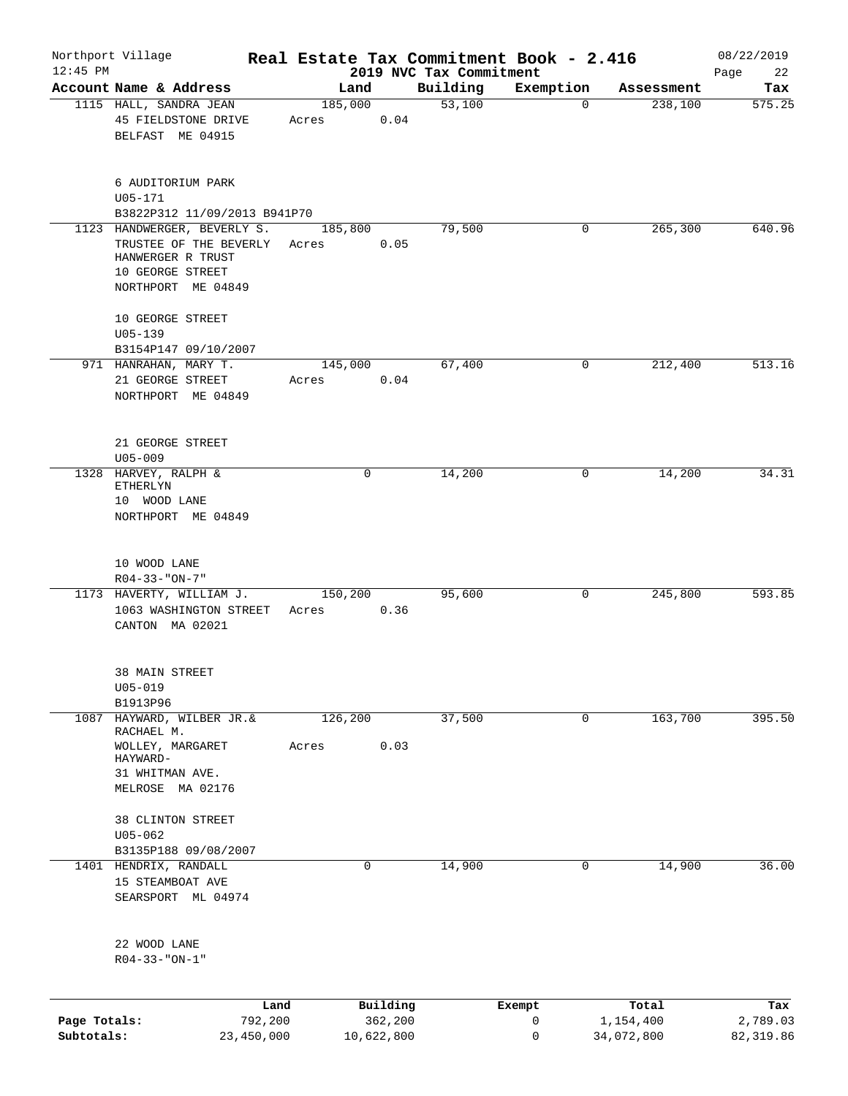| $12:45$ PM                 | Northport Village                                                                                                    | Real Estate Tax Commitment Book - 2.416 |                                   |                                     |                  |                                  | 08/22/2019                    |
|----------------------------|----------------------------------------------------------------------------------------------------------------------|-----------------------------------------|-----------------------------------|-------------------------------------|------------------|----------------------------------|-------------------------------|
|                            | Account Name & Address                                                                                               | Land                                    |                                   | 2019 NVC Tax Commitment<br>Building | Exemption        | Assessment                       | 22<br>Page<br>Tax             |
|                            | 1115 HALL, SANDRA JEAN<br>45 FIELDSTONE DRIVE<br>BELFAST ME 04915                                                    | 185,000<br>Acres                        | 0.04                              | 53,100                              | $\Omega$         | 238,100                          | 575.25                        |
|                            | 6 AUDITORIUM PARK<br>$U05 - 171$                                                                                     |                                         |                                   |                                     |                  |                                  |                               |
|                            | B3822P312 11/09/2013 B941P70                                                                                         |                                         |                                   |                                     |                  |                                  |                               |
|                            | 1123 HANDWERGER, BEVERLY S.<br>TRUSTEE OF THE BEVERLY<br>HANWERGER R TRUST<br>10 GEORGE STREET<br>NORTHPORT ME 04849 | 185,800<br>Acres                        | 0.05                              | 79,500                              | 0                | 265,300                          | 640.96                        |
|                            | 10 GEORGE STREET<br>$U05 - 139$                                                                                      |                                         |                                   |                                     |                  |                                  |                               |
|                            | B3154P147 09/10/2007<br>971 HANRAHAN, MARY T.                                                                        | 145,000                                 |                                   | 67,400                              | 0                | 212,400                          | 513.16                        |
|                            | 21 GEORGE STREET<br>NORTHPORT ME 04849                                                                               | Acres                                   | 0.04                              |                                     |                  |                                  |                               |
|                            | 21 GEORGE STREET<br>$U05 - 009$                                                                                      |                                         |                                   |                                     |                  |                                  |                               |
|                            | 1328 HARVEY, RALPH &<br>ETHERLYN<br>10 WOOD LANE<br>NORTHPORT ME 04849                                               | $\mathbf 0$                             |                                   | 14,200                              | 0                | 14,200                           | 34.31                         |
|                            | 10 WOOD LANE<br>$R04 - 33 - "ON - 7"$                                                                                |                                         |                                   |                                     |                  |                                  |                               |
|                            | 1173 HAVERTY, WILLIAM J.<br>1063 WASHINGTON STREET<br>CANTON MA 02021                                                | 150,200<br>Acres                        | 0.36                              | 95,600                              | 0                | 245,800                          | 593.85                        |
|                            | 38 MAIN STREET<br>$U05 - 019$<br>B1913P96                                                                            |                                         |                                   |                                     |                  |                                  |                               |
| 1087                       | HAYWARD, WILBER JR.&<br>RACHAEL M.                                                                                   | 126, 200                                |                                   | 37,500                              | 0                | 163,700                          | 395.50                        |
|                            | WOLLEY, MARGARET<br>HAYWARD-<br>31 WHITMAN AVE.<br>MELROSE MA 02176                                                  | Acres                                   | 0.03                              |                                     |                  |                                  |                               |
|                            | 38 CLINTON STREET<br>$U05 - 062$<br>B3135P188 09/08/2007                                                             |                                         |                                   |                                     |                  |                                  |                               |
|                            | 1401 HENDRIX, RANDALL<br>15 STEAMBOAT AVE<br>SEARSPORT ML 04974                                                      | $\mathbf 0$                             |                                   | 14,900                              | $\mathbf 0$      | 14,900                           | 36.00                         |
|                            | 22 WOOD LANE<br>$R04 - 33 - "ON-1"$                                                                                  |                                         |                                   |                                     |                  |                                  |                               |
|                            |                                                                                                                      |                                         |                                   |                                     |                  |                                  |                               |
| Page Totals:<br>Subtotals: | 792,200<br>23,450,000                                                                                                | Land                                    | Building<br>362,200<br>10,622,800 |                                     | Exempt<br>0<br>0 | Total<br>1,154,400<br>34,072,800 | Tax<br>2,789.03<br>82, 319.86 |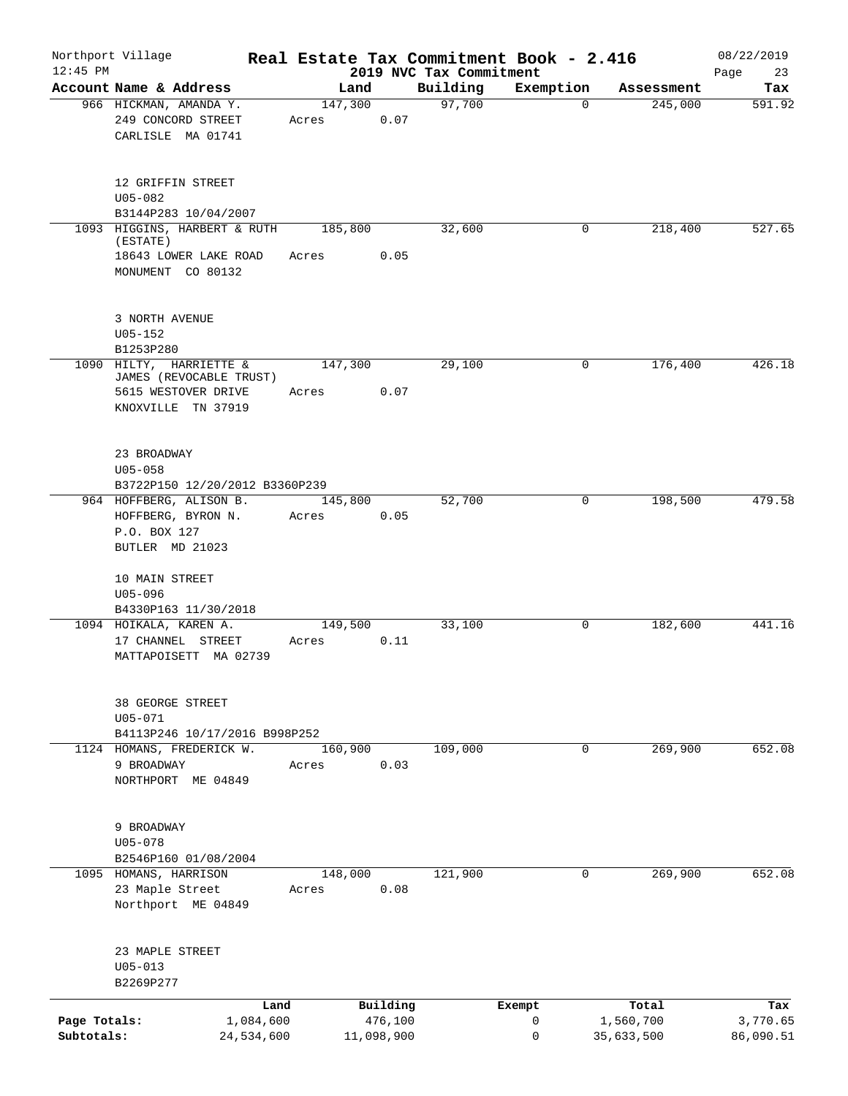| $12:45$ PM                 | Northport Village                                                    |                         |                  |                       |                                     | Real Estate Tax Commitment Book - 2.416 |                         | 08/22/2019            |
|----------------------------|----------------------------------------------------------------------|-------------------------|------------------|-----------------------|-------------------------------------|-----------------------------------------|-------------------------|-----------------------|
|                            | Account Name & Address                                               |                         | Land             |                       | 2019 NVC Tax Commitment<br>Building | Exemption                               | Assessment              | Page<br>23<br>Tax     |
|                            | 966 HICKMAN, AMANDA Y.<br>249 CONCORD STREET<br>CARLISLE MA 01741    |                         | 147,300<br>Acres | 0.07                  | 97,700                              | $\Omega$                                | 245,000                 | 591.92                |
|                            | 12 GRIFFIN STREET<br>$U05 - 082$<br>B3144P283 10/04/2007             |                         |                  |                       |                                     |                                         |                         |                       |
|                            | 1093 HIGGINS, HARBERT & RUTH                                         |                         | 185,800          |                       | 32,600                              | 0                                       | 218,400                 | 527.65                |
|                            | (ESTATE)<br>18643 LOWER LAKE ROAD<br>MONUMENT CO 80132               |                         | Acres            | 0.05                  |                                     |                                         |                         |                       |
|                            | 3 NORTH AVENUE<br>$U05 - 152$<br>B1253P280                           |                         |                  |                       |                                     |                                         |                         |                       |
| 1090                       | HILTY, HARRIETTE &                                                   |                         | 147,300          |                       | 29,100                              | 0                                       | 176,400                 | 426.18                |
|                            | JAMES (REVOCABLE TRUST)<br>5615 WESTOVER DRIVE<br>KNOXVILLE TN 37919 |                         | Acres            | 0.07                  |                                     |                                         |                         |                       |
|                            | 23 BROADWAY<br>$U05 - 058$                                           |                         |                  |                       |                                     |                                         |                         |                       |
|                            | B3722P150 12/20/2012 B3360P239<br>964 HOFFBERG, ALISON B.            |                         | 145,800          |                       | 52,700                              | $\mathbf 0$                             | 198,500                 | 479.58                |
|                            | HOFFBERG, BYRON N.<br>P.O. BOX 127<br>BUTLER MD 21023                |                         | Acres            | 0.05                  |                                     |                                         |                         |                       |
|                            | 10 MAIN STREET<br>$U05 - 096$<br>B4330P163 11/30/2018                |                         |                  |                       |                                     |                                         |                         |                       |
|                            | 1094 HOIKALA, KAREN A.                                               |                         | 149,500          |                       | 33,100                              | 0                                       | 182,600                 | 441.16                |
|                            | 17 CHANNEL STREET<br>MATTAPOISETT MA 02739                           |                         | Acres            | 0.11                  |                                     |                                         |                         |                       |
|                            | 38 GEORGE STREET<br>$U05 - 071$                                      |                         |                  |                       |                                     |                                         |                         |                       |
|                            | B4113P246 10/17/2016 B998P252<br>1124 HOMANS, FREDERICK W.           |                         | 160,900          |                       | 109,000                             | $\mathbf{0}$                            | 269,900                 | 652.08                |
|                            | 9 BROADWAY<br>NORTHPORT ME 04849                                     |                         | Acres            | 0.03                  |                                     |                                         |                         |                       |
|                            | 9 BROADWAY<br>$U05 - 078$                                            |                         |                  |                       |                                     |                                         |                         |                       |
|                            | B2546P160 01/08/2004                                                 |                         |                  |                       |                                     |                                         |                         |                       |
|                            | 1095 HOMANS, HARRISON<br>23 Maple Street<br>Northport ME 04849       |                         | 148,000<br>Acres | 0.08                  | 121,900                             | 0                                       | 269,900                 | 652.08                |
|                            | 23 MAPLE STREET<br>$U05 - 013$<br>B2269P277                          |                         |                  |                       |                                     |                                         |                         |                       |
|                            |                                                                      | Land                    |                  | Building              |                                     | Exempt                                  | Total                   | Tax                   |
| Page Totals:<br>Subtotals: |                                                                      | 1,084,600<br>24,534,600 |                  | 476,100<br>11,098,900 |                                     | 0<br>0                                  | 1,560,700<br>35,633,500 | 3,770.65<br>86,090.51 |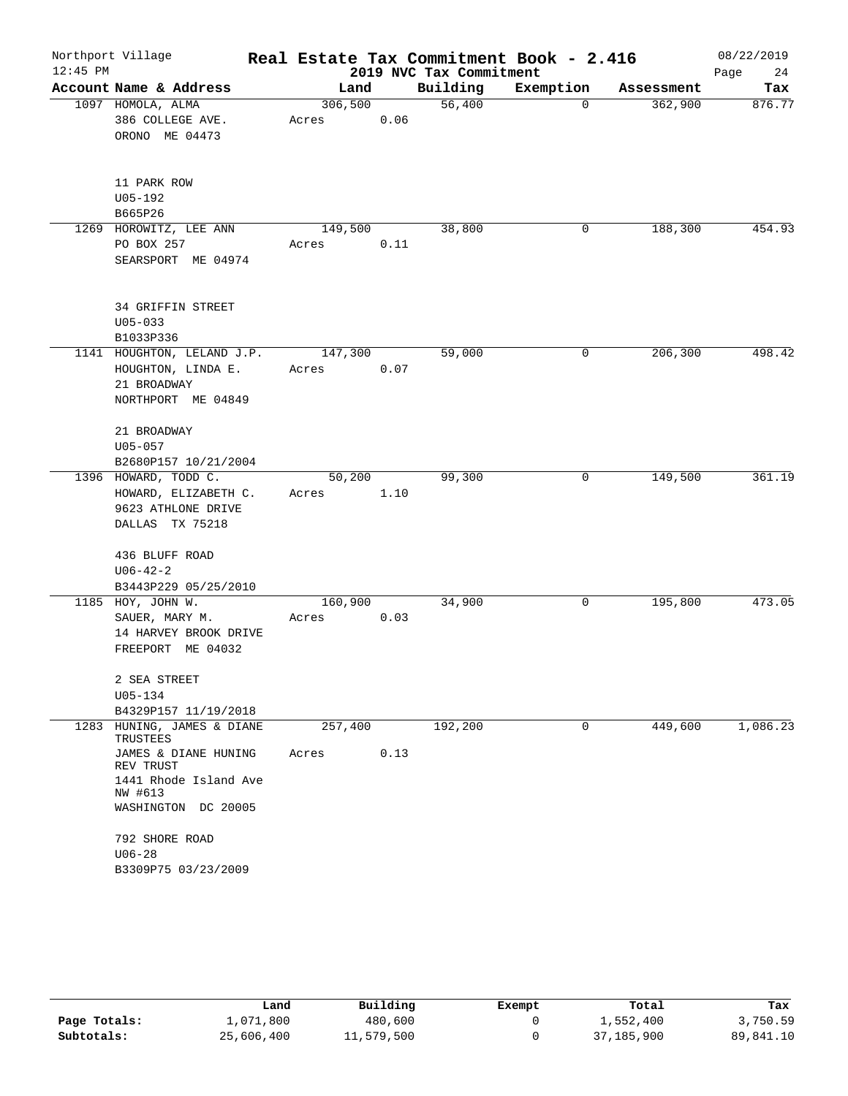| $12:45$ PM | Northport Village                                                                                                                 |                  |      | 2019 NVC Tax Commitment | Real Estate Tax Commitment Book - 2.416 |            | 08/22/2019<br>Page<br>24 |
|------------|-----------------------------------------------------------------------------------------------------------------------------------|------------------|------|-------------------------|-----------------------------------------|------------|--------------------------|
|            | Account Name & Address                                                                                                            | Land             |      | Building                | Exemption                               | Assessment | Tax                      |
|            | 1097 HOMOLA, ALMA<br>386 COLLEGE AVE.<br>ORONO ME 04473                                                                           | 306,500<br>Acres | 0.06 | 56,400                  | $\mathbf 0$                             | 362,900    | 876.77                   |
|            | 11 PARK ROW<br>$U05 - 192$<br>B665P26                                                                                             |                  |      |                         |                                         |            |                          |
|            | 1269 HOROWITZ, LEE ANN<br>PO BOX 257<br>SEARSPORT ME 04974                                                                        | 149,500<br>Acres | 0.11 | 38,800                  | 0                                       | 188,300    | 454.93                   |
|            | 34 GRIFFIN STREET<br>$U05 - 033$<br>B1033P336                                                                                     |                  |      |                         |                                         |            |                          |
|            | 1141 HOUGHTON, LELAND J.P.<br>HOUGHTON, LINDA E.<br>21 BROADWAY<br>NORTHPORT ME 04849                                             | 147,300<br>Acres | 0.07 | 59,000                  | 0                                       | 206,300    | 498.42                   |
|            | 21 BROADWAY<br>$U05 - 057$<br>B2680P157 10/21/2004                                                                                |                  |      |                         |                                         |            |                          |
|            | 1396 HOWARD, TODD C.<br>HOWARD, ELIZABETH C.<br>9623 ATHLONE DRIVE<br>DALLAS TX 75218                                             | 50,200<br>Acres  | 1.10 | 99,300                  | 0                                       | 149,500    | 361.19                   |
|            | 436 BLUFF ROAD<br>$U06 - 42 - 2$<br>B3443P229 05/25/2010                                                                          |                  |      |                         |                                         |            |                          |
|            | 1185 HOY, JOHN W.<br>SAUER, MARY M.<br>14 HARVEY BROOK DRIVE<br>FREEPORT ME 04032                                                 | 160,900<br>Acres | 0.03 | 34,900                  | 0                                       | 195,800    | 473.05                   |
|            | 2 SEA STREET<br>$U05 - 134$<br>B4329P157 11/19/2018                                                                               |                  |      |                         |                                         |            |                          |
| 1283       | HUNING, JAMES & DIANE<br>TRUSTEES<br>JAMES & DIANE HUNING<br>REV TRUST<br>1441 Rhode Island Ave<br>NW #613<br>WASHINGTON DC 20005 | 257,400<br>Acres | 0.13 | 192,200                 | 0                                       | 449,600    | 1,086.23                 |
|            | 792 SHORE ROAD<br>$U06 - 28$<br>B3309P75 03/23/2009                                                                               |                  |      |                         |                                         |            |                          |

|              | Land       | Building   | Exempt | Total        | Tax       |
|--------------|------------|------------|--------|--------------|-----------|
| Page Totals: | 1,071,800  | 480,600    |        | 1,552,400    | 3,750.59  |
| Subtotals:   | 25,606,400 | 11,579,500 |        | 37, 185, 900 | 89,841.10 |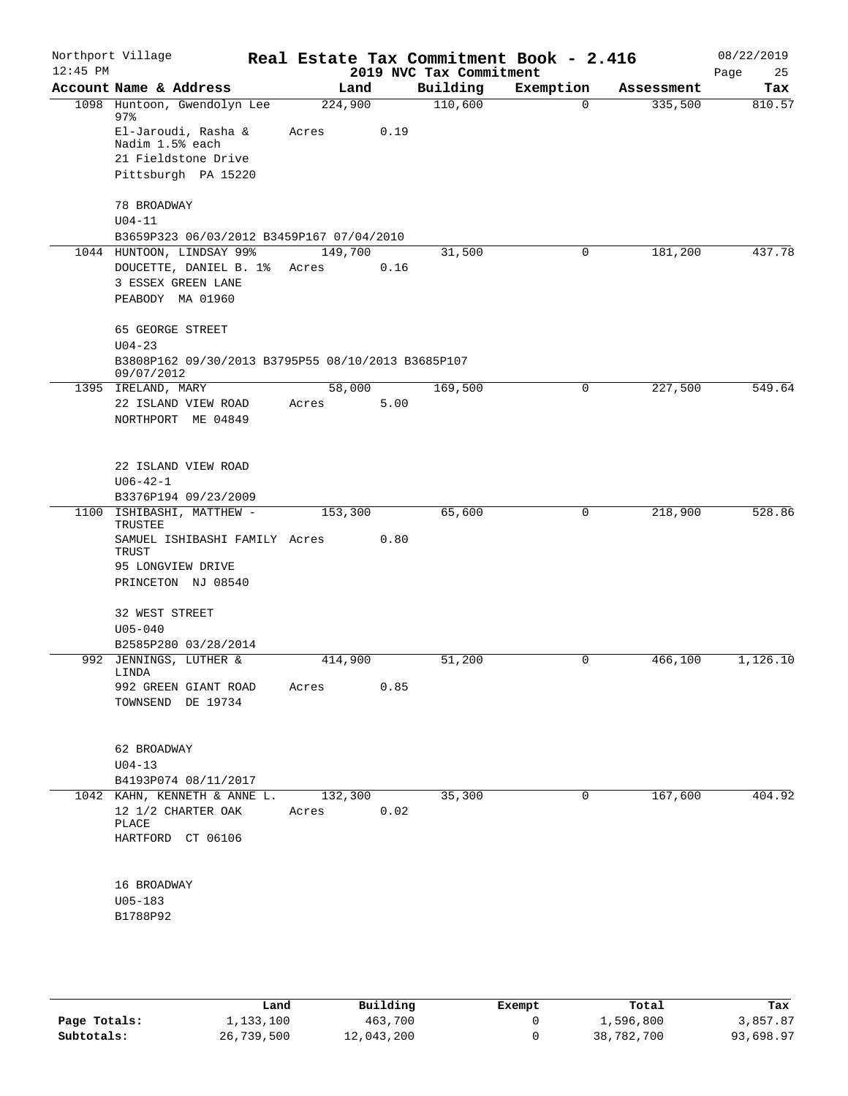| Northport Village                                                                             |                                                                                  |                               |                                                                |                                                    |                         | 08/22/2019<br>Page<br>25                |
|-----------------------------------------------------------------------------------------------|----------------------------------------------------------------------------------|-------------------------------|----------------------------------------------------------------|----------------------------------------------------|-------------------------|-----------------------------------------|
| Account Name & Address                                                                        | Land                                                                             |                               | Building                                                       | Exemption                                          | Assessment              | Tax                                     |
| 1098 Huntoon, Gwendolyn Lee                                                                   | 224,900                                                                          |                               | 110,600                                                        | $\mathbf 0$                                        | 335,500                 | 810.57                                  |
| El-Jaroudi, Rasha &<br>Nadim 1.5% each                                                        | Acres                                                                            | 0.19                          |                                                                |                                                    |                         |                                         |
| 21 Fieldstone Drive                                                                           |                                                                                  |                               |                                                                |                                                    |                         |                                         |
| Pittsburgh PA 15220                                                                           |                                                                                  |                               |                                                                |                                                    |                         |                                         |
| 78 BROADWAY                                                                                   |                                                                                  |                               |                                                                |                                                    |                         |                                         |
|                                                                                               |                                                                                  |                               |                                                                |                                                    |                         |                                         |
| 1044 HUNTOON, LINDSAY 99%<br>DOUCETTE, DANIEL B. 1%<br>3 ESSEX GREEN LANE<br>PEABODY MA 01960 | 149,700<br>Acres                                                                 | 0.16                          | 31,500                                                         | 0                                                  | 181,200                 | 437.78                                  |
| 65 GEORGE STREET                                                                              |                                                                                  |                               |                                                                |                                                    |                         |                                         |
| 09/07/2012                                                                                    |                                                                                  |                               |                                                                |                                                    |                         |                                         |
| 1395 IRELAND, MARY                                                                            |                                                                                  |                               | 169,500                                                        | 0                                                  | 227,500                 | 549.64                                  |
| 22 ISLAND VIEW ROAD<br>NORTHPORT ME 04849                                                     | Acres                                                                            | 5.00                          |                                                                |                                                    |                         |                                         |
| 22 ISLAND VIEW ROAD<br>$U06 - 42 - 1$                                                         |                                                                                  |                               |                                                                |                                                    |                         |                                         |
| B3376P194 09/23/2009                                                                          |                                                                                  |                               |                                                                |                                                    |                         |                                         |
| ISHIBASHI, MATTHEW -<br>TRUSTEE<br>TRUST<br>95 LONGVIEW DRIVE<br>PRINCETON NJ 08540           | 153,300                                                                          | 0.80                          | 65,600                                                         | 0                                                  | 218,900                 | 528.86                                  |
| 32 WEST STREET                                                                                |                                                                                  |                               |                                                                |                                                    |                         |                                         |
|                                                                                               |                                                                                  |                               |                                                                |                                                    |                         |                                         |
| 992 JENNINGS, LUTHER &                                                                        | 414,900                                                                          |                               | 51,200                                                         | 0                                                  | 466,100                 | 1,126.10                                |
| 992 GREEN GIANT ROAD<br>TOWNSEND DE 19734                                                     | Acres                                                                            | 0.85                          |                                                                |                                                    |                         |                                         |
| 62 BROADWAY<br>$U04-13$                                                                       |                                                                                  |                               |                                                                |                                                    |                         |                                         |
| B4193P074 08/11/2017                                                                          |                                                                                  |                               |                                                                |                                                    |                         |                                         |
| 1042 KAHN, KENNETH & ANNE L.<br>12 1/2 CHARTER OAK<br>PLACE                                   | Acres                                                                            | 0.02                          | 35,300                                                         | 0                                                  | 167,600                 | 404.92                                  |
| HARTFORD CT 06106<br>16 BROADWAY<br>$U05 - 183$<br>B1788P92                                   |                                                                                  |                               |                                                                |                                                    |                         |                                         |
|                                                                                               | 97.8<br>$U04 - 11$<br>$U04 - 23$<br>$U05 - 040$<br>B2585P280 03/28/2014<br>LINDA | SAMUEL ISHIBASHI FAMILY Acres | B3659P323 06/03/2012 B3459P167 07/04/2010<br>58,000<br>132,300 | B3808P162 09/30/2013 B3795P55 08/10/2013 B3685P107 | 2019 NVC Tax Commitment | Real Estate Tax Commitment Book - 2.416 |

|              | Land       | Building   | Exempt | Total      | Tax       |
|--------------|------------|------------|--------|------------|-----------|
| Page Totals: | 1,133,100  | 463,700    |        | 1,596,800  | 3,857.87  |
| Subtotals:   | 26,739,500 | 12,043,200 |        | 38,782,700 | 93,698.97 |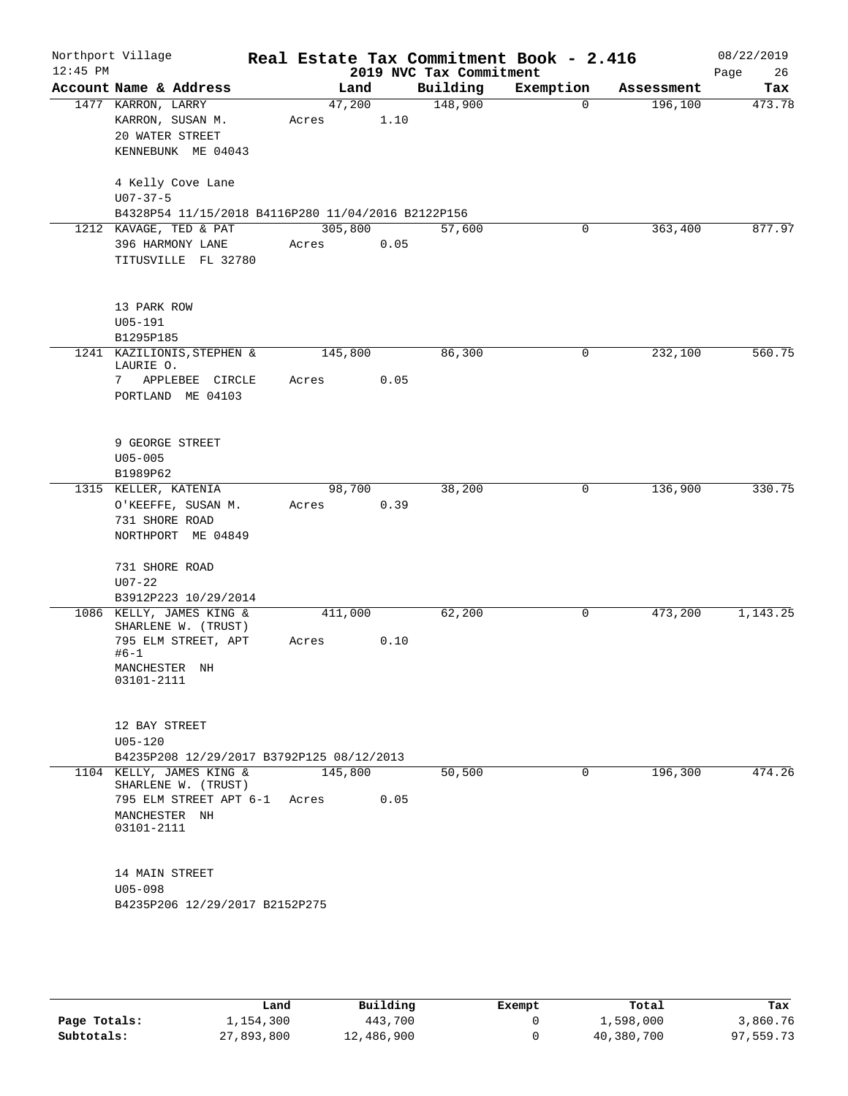| Northport Village<br>$12:45$ PM |                                            |                                                                           |       |         |      | 2019 NVC Tax Commitment | Real Estate Tax Commitment Book - 2.416 |             |            | 08/22/2019<br>Page<br>26 |
|---------------------------------|--------------------------------------------|---------------------------------------------------------------------------|-------|---------|------|-------------------------|-----------------------------------------|-------------|------------|--------------------------|
|                                 |                                            | Account Name & Address                                                    |       | Land    |      | Building                | Exemption                               |             | Assessment | Tax                      |
|                                 | 1477 KARRON, LARRY                         | KARRON, SUSAN M.<br>20 WATER STREET<br>KENNEBUNK ME 04043                 | Acres | 47,200  | 1.10 | 148,900                 |                                         | 0           | 196,100    | 473.78                   |
|                                 | $U07 - 37 - 5$                             | 4 Kelly Cove Lane                                                         |       |         |      |                         |                                         |             |            |                          |
|                                 |                                            | B4328P54 11/15/2018 B4116P280 11/04/2016 B2122P156                        |       |         |      |                         |                                         |             |            |                          |
|                                 |                                            | 1212 KAVAGE, TED & PAT                                                    |       | 305,800 |      | 57,600                  |                                         | 0           | 363,400    | 877.97                   |
|                                 |                                            | 396 HARMONY LANE<br>TITUSVILLE FL 32780                                   | Acres |         | 0.05 |                         |                                         |             |            |                          |
|                                 | 13 PARK ROW<br>$U05 - 191$                 |                                                                           |       |         |      |                         |                                         |             |            |                          |
|                                 | B1295P185                                  |                                                                           |       |         |      |                         |                                         |             |            |                          |
|                                 | LAURIE O.                                  | 1241 KAZILIONIS, STEPHEN &                                                |       | 145,800 |      | 86,300                  |                                         | $\mathbf 0$ | 232,100    | 560.75                   |
|                                 | 7                                          | APPLEBEE CIRCLE<br>PORTLAND ME 04103                                      | Acres |         | 0.05 |                         |                                         |             |            |                          |
|                                 | $U05 - 005$                                | 9 GEORGE STREET                                                           |       |         |      |                         |                                         |             |            |                          |
|                                 | B1989P62                                   |                                                                           |       |         |      | 38,200                  |                                         | 0           | 136,900    | 330.75                   |
| 1315 KELLER, KATENIA            | 731 SHORE ROAD                             | O'KEEFFE, SUSAN M.<br>NORTHPORT ME 04849                                  | Acres | 98,700  | 0.39 |                         |                                         |             |            |                          |
|                                 | 731 SHORE ROAD<br>$U07 - 22$               |                                                                           |       |         |      |                         |                                         |             |            |                          |
|                                 |                                            | B3912P223 10/29/2014                                                      |       |         |      |                         |                                         |             |            |                          |
|                                 | $#6-1$<br>MANCHESTER NH                    | 1086 KELLY, JAMES KING &<br>SHARLENE W. (TRUST)<br>795 ELM STREET, APT    | Acres | 411,000 | 0.10 | 62,200                  |                                         | 0           | 473,200    | 1,143.25                 |
|                                 | 03101-2111<br>12 BAY STREET<br>$U05 - 120$ |                                                                           |       |         |      |                         |                                         |             |            |                          |
|                                 |                                            | B4235P208 12/29/2017 B3792P125 08/12/2013                                 |       |         |      |                         |                                         |             |            |                          |
|                                 | MANCHESTER NH<br>03101-2111                | 1104 KELLY, JAMES KING &<br>SHARLENE W. (TRUST)<br>795 ELM STREET APT 6-1 | Acres | 145,800 | 0.05 | 50,500                  |                                         | 0           | 196,300    | 474.26                   |
|                                 | 14 MAIN STREET<br>$U05 - 098$              | B4235P206 12/29/2017 B2152P275                                            |       |         |      |                         |                                         |             |            |                          |
|                                 |                                            |                                                                           |       |         |      |                         |                                         |             |            |                          |

|              | Land       | Building   | Exempt | Total      | Tax       |
|--------------|------------|------------|--------|------------|-----------|
| Page Totals: | 1,154,300  | 443,700    |        | 1,598,000  | 3,860.76  |
| Subtotals:   | 27,893,800 | 12,486,900 |        | 40,380,700 | 97,559.73 |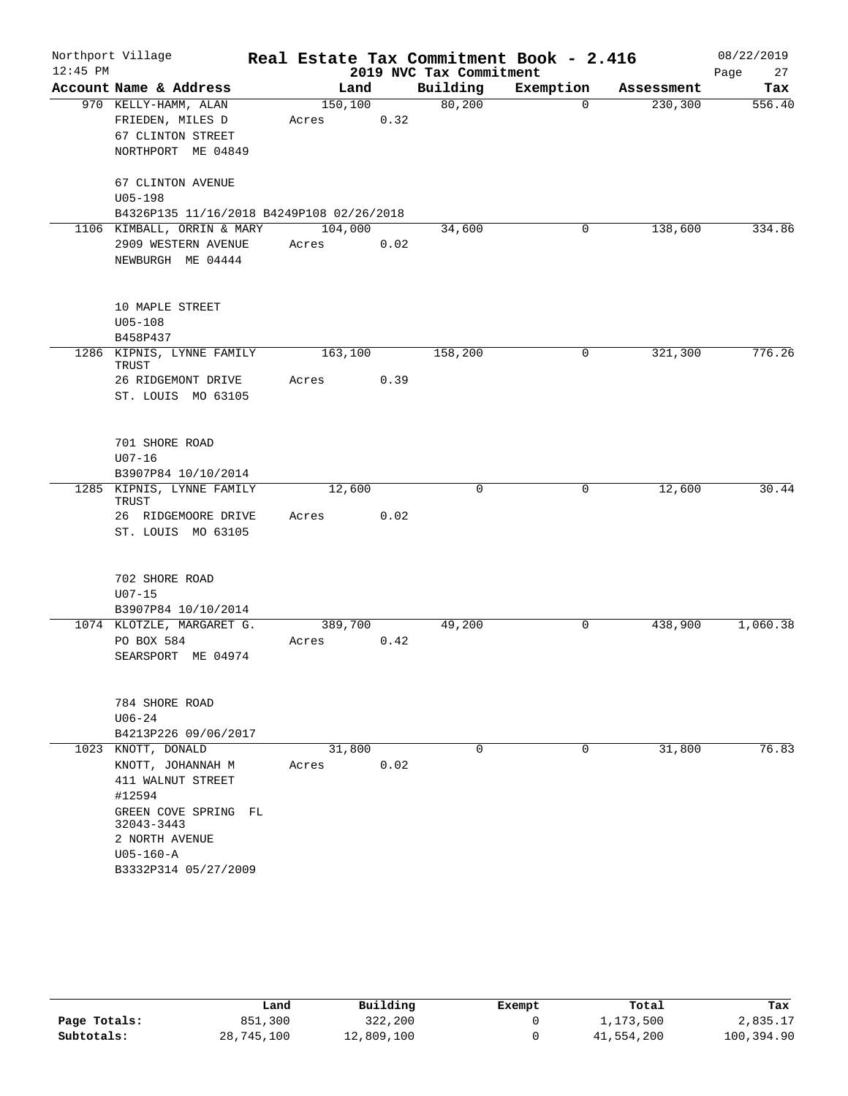|            | Northport Village                         |         |      |                         | Real Estate Tax Commitment Book - 2.416 |            | 08/22/2019 |
|------------|-------------------------------------------|---------|------|-------------------------|-----------------------------------------|------------|------------|
| $12:45$ PM |                                           |         |      | 2019 NVC Tax Commitment |                                         |            | Page<br>27 |
|            | Account Name & Address                    | Land    |      | Building                | Exemption                               | Assessment | Tax        |
|            | 970 KELLY-HAMM, ALAN                      | 150,100 |      | 80,200                  | $\mathbf 0$                             | 230,300    | 556.40     |
|            | FRIEDEN, MILES D                          | Acres   | 0.32 |                         |                                         |            |            |
|            | <b>67 CLINTON STREET</b>                  |         |      |                         |                                         |            |            |
|            | NORTHPORT ME 04849                        |         |      |                         |                                         |            |            |
|            | 67 CLINTON AVENUE                         |         |      |                         |                                         |            |            |
|            | $U05 - 198$                               |         |      |                         |                                         |            |            |
|            | B4326P135 11/16/2018 B4249P108 02/26/2018 |         |      |                         |                                         |            |            |
|            | 1106 KIMBALL, ORRIN & MARY                | 104,000 |      | 34,600                  | 0                                       | 138,600    | 334.86     |
|            | 2909 WESTERN AVENUE                       | Acres   | 0.02 |                         |                                         |            |            |
|            | NEWBURGH ME 04444                         |         |      |                         |                                         |            |            |
|            | 10 MAPLE STREET                           |         |      |                         |                                         |            |            |
|            | $U05 - 108$                               |         |      |                         |                                         |            |            |
|            | B458P437                                  |         |      |                         |                                         |            |            |
|            | 1286 KIPNIS, LYNNE FAMILY                 | 163,100 |      | 158,200                 | 0                                       | 321,300    | 776.26     |
|            | TRUST                                     |         |      |                         |                                         |            |            |
|            | 26 RIDGEMONT DRIVE                        | Acres   | 0.39 |                         |                                         |            |            |
|            | ST. LOUIS MO 63105                        |         |      |                         |                                         |            |            |
|            | 701 SHORE ROAD                            |         |      |                         |                                         |            |            |
|            | $U07 - 16$                                |         |      |                         |                                         |            |            |
|            | B3907P84 10/10/2014                       |         |      |                         |                                         |            |            |
|            | 1285 KIPNIS, LYNNE FAMILY                 | 12,600  |      | $\Omega$                | 0                                       | 12,600     | 30.44      |
|            | TRUST                                     |         |      |                         |                                         |            |            |
|            | 26 RIDGEMOORE DRIVE                       | Acres   | 0.02 |                         |                                         |            |            |
|            | ST. LOUIS MO 63105                        |         |      |                         |                                         |            |            |
|            | 702 SHORE ROAD                            |         |      |                         |                                         |            |            |
|            | $U07 - 15$                                |         |      |                         |                                         |            |            |
|            | B3907P84 10/10/2014                       |         |      |                         |                                         |            |            |
|            | 1074 KLOTZLE, MARGARET G.                 | 389,700 |      | 49,200                  | 0                                       | 438,900    | 1,060.38   |
|            | PO BOX 584                                | Acres   | 0.42 |                         |                                         |            |            |
|            | SEARSPORT ME 04974                        |         |      |                         |                                         |            |            |
|            | 784 SHORE ROAD                            |         |      |                         |                                         |            |            |
|            | $U06 - 24$                                |         |      |                         |                                         |            |            |
|            | B4213P226 09/06/2017                      |         |      |                         |                                         |            |            |
|            | 1023 KNOTT, DONALD                        | 31,800  |      | $\Omega$                | 0                                       | 31,800     | 76.83      |
|            | KNOTT, JOHANNAH M                         | Acres   | 0.02 |                         |                                         |            |            |
|            | 411 WALNUT STREET                         |         |      |                         |                                         |            |            |
|            | #12594                                    |         |      |                         |                                         |            |            |
|            | GREEN COVE SPRING FL                      |         |      |                         |                                         |            |            |
|            | 32043-3443                                |         |      |                         |                                         |            |            |
|            | 2 NORTH AVENUE                            |         |      |                         |                                         |            |            |
|            | $U05 - 160 - A$                           |         |      |                         |                                         |            |            |
|            | B3332P314 05/27/2009                      |         |      |                         |                                         |            |            |

|              | Land       | Building   | Exempt | Total      | Tax        |
|--------------|------------|------------|--------|------------|------------|
| Page Totals: | 851,300    | 322,200    |        | 1,173,500  | 2,835.17   |
| Subtotals:   | 28,745,100 | 12,809,100 |        | 41,554,200 | 100,394.90 |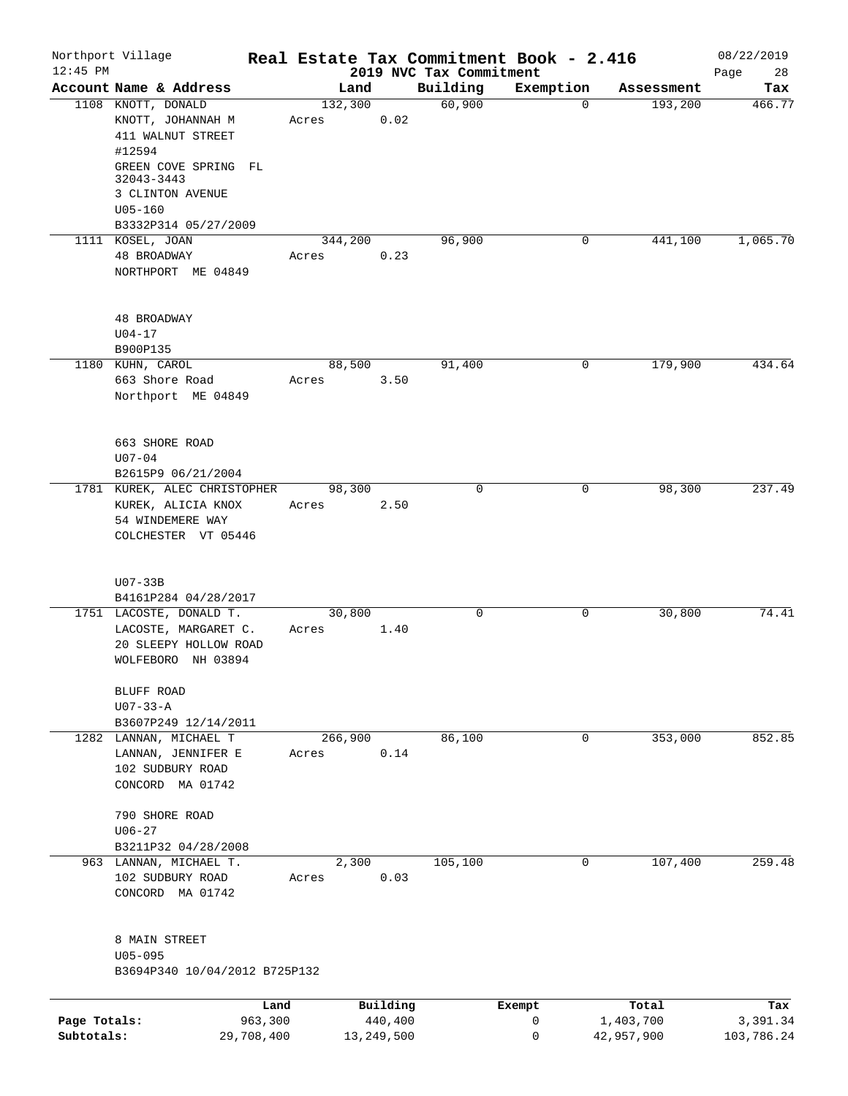|              | Northport Village                    | Real Estate Tax Commitment Book - 2.416 |            |                                     |             |            | 08/22/2019        |
|--------------|--------------------------------------|-----------------------------------------|------------|-------------------------------------|-------------|------------|-------------------|
| $12:45$ PM   | Account Name & Address               | Land                                    |            | 2019 NVC Tax Commitment<br>Building | Exemption   | Assessment | Page<br>28<br>Tax |
|              | 1108 KNOTT, DONALD                   | 132,300                                 |            | 60,900                              | $\mathbf 0$ | 193,200    | 466.77            |
|              | KNOTT, JOHANNAH M                    | Acres                                   | 0.02       |                                     |             |            |                   |
|              | 411 WALNUT STREET                    |                                         |            |                                     |             |            |                   |
|              | #12594                               |                                         |            |                                     |             |            |                   |
|              | GREEN COVE SPRING FL                 |                                         |            |                                     |             |            |                   |
|              | 32043-3443                           |                                         |            |                                     |             |            |                   |
|              | 3 CLINTON AVENUE                     |                                         |            |                                     |             |            |                   |
|              | $U05 - 160$                          |                                         |            |                                     |             |            |                   |
|              | B3332P314 05/27/2009                 |                                         |            |                                     |             |            |                   |
|              | 1111 KOSEL, JOAN                     | 344,200                                 |            | 96,900                              | 0           | 441,100    | 1,065.70          |
|              | 48 BROADWAY                          | Acres                                   | 0.23       |                                     |             |            |                   |
|              | NORTHPORT ME 04849                   |                                         |            |                                     |             |            |                   |
|              | 48 BROADWAY                          |                                         |            |                                     |             |            |                   |
|              | $U04 - 17$                           |                                         |            |                                     |             |            |                   |
|              | B900P135                             |                                         |            |                                     |             |            |                   |
|              | 1180 KUHN, CAROL                     | 88,500                                  |            | 91,400                              | 0           | 179,900    | 434.64            |
|              | 663 Shore Road                       | Acres                                   | 3.50       |                                     |             |            |                   |
|              | Northport ME 04849                   |                                         |            |                                     |             |            |                   |
|              |                                      |                                         |            |                                     |             |            |                   |
|              | 663 SHORE ROAD                       |                                         |            |                                     |             |            |                   |
|              | $U07 - 04$                           |                                         |            |                                     |             |            |                   |
|              | B2615P9 06/21/2004                   |                                         |            |                                     |             |            |                   |
|              | 1781 KUREK, ALEC CHRISTOPHER         | 98,300                                  |            | $\Omega$                            | 0           | 98,300     | 237.49            |
|              | KUREK, ALICIA KNOX                   | Acres                                   | 2.50       |                                     |             |            |                   |
|              | 54 WINDEMERE WAY                     |                                         |            |                                     |             |            |                   |
|              | COLCHESTER VT 05446                  |                                         |            |                                     |             |            |                   |
|              |                                      |                                         |            |                                     |             |            |                   |
|              | $U07-33B$<br>B4161P284 04/28/2017    |                                         |            |                                     |             |            |                   |
|              | 1751 LACOSTE, DONALD T.              | 30,800                                  |            | 0                                   | 0           | 30,800     | 74.41             |
|              | LACOSTE, MARGARET C.                 | Acres                                   | 1.40       |                                     |             |            |                   |
|              | 20 SLEEPY HOLLOW ROAD                |                                         |            |                                     |             |            |                   |
|              | WOLFEBORO NH 03894                   |                                         |            |                                     |             |            |                   |
|              | BLUFF ROAD                           |                                         |            |                                     |             |            |                   |
|              | $U07 - 33 - A$                       |                                         |            |                                     |             |            |                   |
|              | B3607P249 12/14/2011                 |                                         |            |                                     |             |            |                   |
|              | 1282 LANNAN, MICHAEL T               | 266,900                                 |            | 86,100                              | $\mathbf 0$ | 353,000    | 852.85            |
|              | LANNAN, JENNIFER E                   | Acres                                   | 0.14       |                                     |             |            |                   |
|              | 102 SUDBURY ROAD<br>CONCORD MA 01742 |                                         |            |                                     |             |            |                   |
|              |                                      |                                         |            |                                     |             |            |                   |
|              | 790 SHORE ROAD<br>$U06 - 27$         |                                         |            |                                     |             |            |                   |
|              | B3211P32 04/28/2008                  |                                         |            |                                     |             |            |                   |
|              | 963 LANNAN, MICHAEL T.               | 2,300                                   |            | 105,100                             | $\mathbf 0$ | 107,400    | 259.48            |
|              | 102 SUDBURY ROAD                     | Acres                                   | 0.03       |                                     |             |            |                   |
|              | CONCORD MA 01742                     |                                         |            |                                     |             |            |                   |
|              |                                      |                                         |            |                                     |             |            |                   |
|              | 8 MAIN STREET                        |                                         |            |                                     |             |            |                   |
|              | $U05 - 095$                          |                                         |            |                                     |             |            |                   |
|              | B3694P340 10/04/2012 B725P132        |                                         |            |                                     |             |            |                   |
|              |                                      | Land                                    | Building   |                                     | Exempt      | Total      | Tax               |
| Page Totals: |                                      | 963,300                                 | 440,400    |                                     | 0           | 1,403,700  | 3,391.34          |
| Subtotals:   | 29,708,400                           |                                         | 13,249,500 |                                     | $\mathbf 0$ | 42,957,900 | 103,786.24        |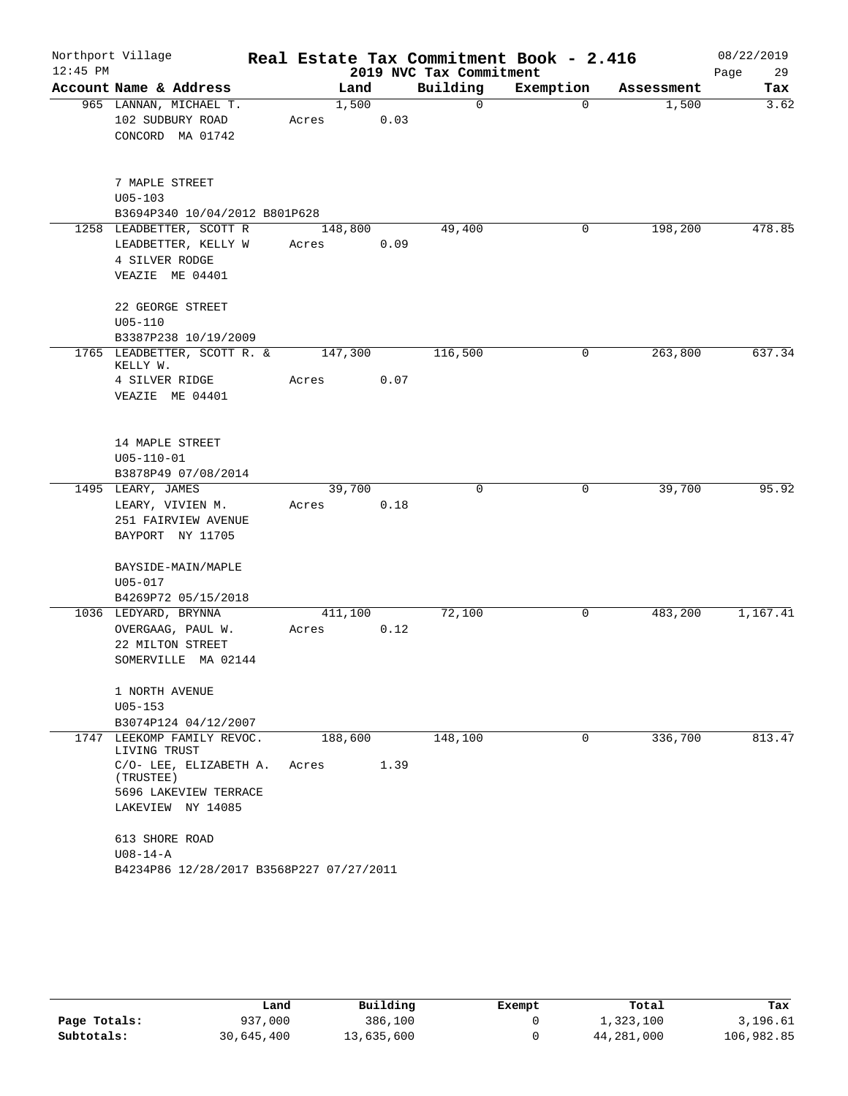|            | Northport Village                          |       |         |      |                         | Real Estate Tax Commitment Book - 2.416 |            | 08/22/2019 |
|------------|--------------------------------------------|-------|---------|------|-------------------------|-----------------------------------------|------------|------------|
| $12:45$ PM |                                            |       |         |      | 2019 NVC Tax Commitment |                                         |            | 29<br>Page |
|            | Account Name & Address                     |       | Land    |      | Building                | Exemption                               | Assessment | Tax        |
|            | 965 LANNAN, MICHAEL T.                     |       | 1,500   |      | $\mathbf 0$             | $\Omega$                                | 1,500      | 3.62       |
|            | 102 SUDBURY ROAD                           | Acres |         | 0.03 |                         |                                         |            |            |
|            | CONCORD MA 01742                           |       |         |      |                         |                                         |            |            |
|            | 7 MAPLE STREET                             |       |         |      |                         |                                         |            |            |
|            | $U05 - 103$                                |       |         |      |                         |                                         |            |            |
|            | B3694P340 10/04/2012 B801P628              |       |         |      |                         |                                         |            |            |
|            | 1258 LEADBETTER, SCOTT R                   |       | 148,800 |      | 49,400                  | 0                                       | 198,200    | 478.85     |
|            | LEADBETTER, KELLY W                        | Acres |         | 0.09 |                         |                                         |            |            |
|            | 4 SILVER RODGE<br>VEAZIE ME 04401          |       |         |      |                         |                                         |            |            |
|            |                                            |       |         |      |                         |                                         |            |            |
|            | 22 GEORGE STREET                           |       |         |      |                         |                                         |            |            |
|            | $U05 - 110$                                |       |         |      |                         |                                         |            |            |
|            | B3387P238 10/19/2009                       |       |         |      |                         |                                         |            |            |
|            | 1765 LEADBETTER, SCOTT R. &<br>KELLY W.    |       | 147,300 |      | 116,500                 | 0                                       | 263,800    | 637.34     |
|            | 4 SILVER RIDGE                             | Acres |         | 0.07 |                         |                                         |            |            |
|            | VEAZIE ME 04401                            |       |         |      |                         |                                         |            |            |
|            | 14 MAPLE STREET                            |       |         |      |                         |                                         |            |            |
|            | $U05 - 110 - 01$                           |       |         |      |                         |                                         |            |            |
|            | B3878P49 07/08/2014                        |       |         |      |                         |                                         |            |            |
|            | 1495 LEARY, JAMES                          |       | 39,700  |      | $\Omega$                | $\mathbf 0$                             | 39,700     | 95.92      |
|            | LEARY, VIVIEN M.                           | Acres |         | 0.18 |                         |                                         |            |            |
|            | 251 FAIRVIEW AVENUE                        |       |         |      |                         |                                         |            |            |
|            | BAYPORT NY 11705                           |       |         |      |                         |                                         |            |            |
|            | BAYSIDE-MAIN/MAPLE                         |       |         |      |                         |                                         |            |            |
|            | $U05 - 017$                                |       |         |      |                         |                                         |            |            |
|            | B4269P72 05/15/2018                        |       |         |      |                         |                                         |            |            |
|            | 1036 LEDYARD, BRYNNA                       |       | 411,100 |      | 72,100                  | 0                                       | 483,200    | 1,167.41   |
|            | OVERGAAG, PAUL W.                          | Acres |         | 0.12 |                         |                                         |            |            |
|            | 22 MILTON STREET                           |       |         |      |                         |                                         |            |            |
|            | SOMERVILLE MA 02144                        |       |         |      |                         |                                         |            |            |
|            | 1 NORTH AVENUE                             |       |         |      |                         |                                         |            |            |
|            | $U05 - 153$                                |       |         |      |                         |                                         |            |            |
|            | B3074P124 04/12/2007                       |       |         |      |                         |                                         |            |            |
|            | 1747 LEEKOMP FAMILY REVOC.<br>LIVING TRUST |       | 188,600 |      | 148,100                 | 0                                       | 336,700    | 813.47     |
|            | C/O- LEE, ELIZABETH A.<br>(TRUSTEE)        | Acres |         | 1.39 |                         |                                         |            |            |
|            | 5696 LAKEVIEW TERRACE                      |       |         |      |                         |                                         |            |            |
|            | LAKEVIEW NY 14085                          |       |         |      |                         |                                         |            |            |
|            | 613 SHORE ROAD                             |       |         |      |                         |                                         |            |            |
|            | $U08 - 14 - A$                             |       |         |      |                         |                                         |            |            |
|            | B4234P86 12/28/2017 B3568P227 07/27/2011   |       |         |      |                         |                                         |            |            |

|              | Land       | Building   | Exempt | Total      | Tax        |
|--------------|------------|------------|--------|------------|------------|
| Page Totals: | 937,000    | 386,100    |        | 1,323,100  | 3,196.61   |
| Subtotals:   | 30,645,400 | 13,635,600 |        | 44,281,000 | 106,982.85 |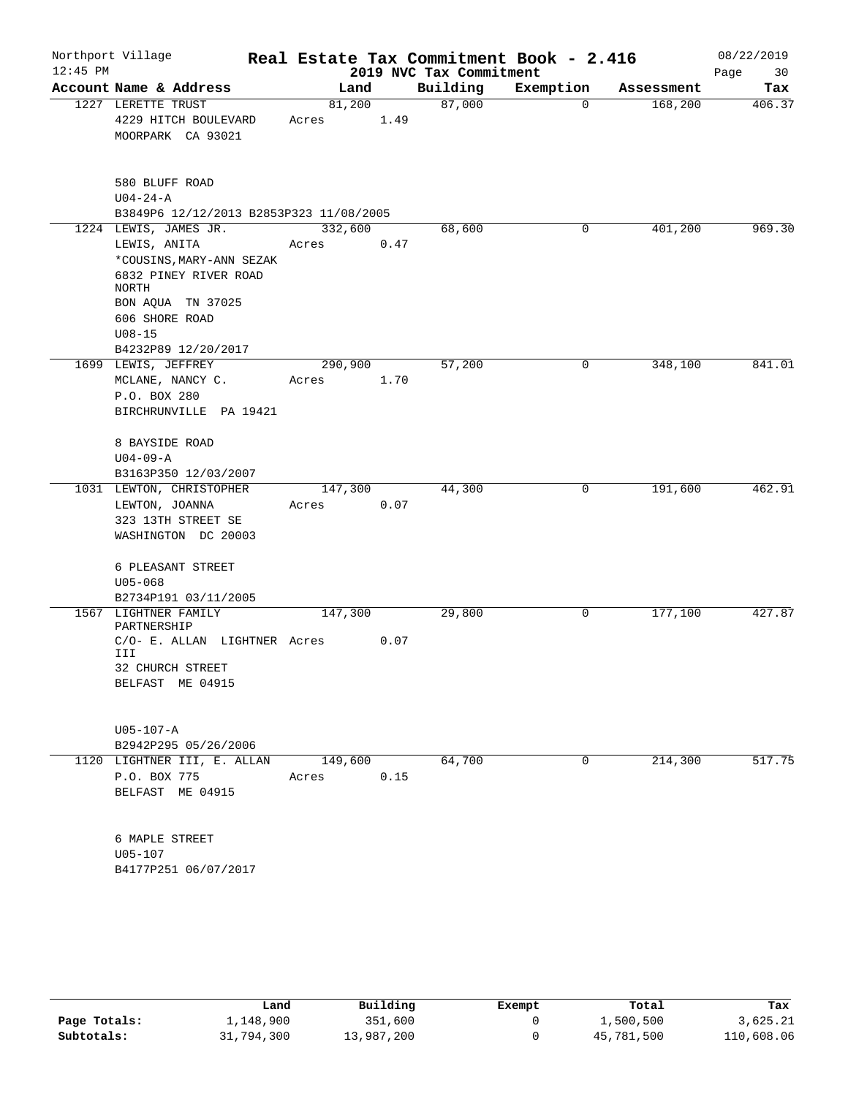|                                                                                                                                            |                  |                                                    | 2019 NVC Tax Commitment | Real Estate Tax Commitment Book - 2.416 |            | 08/22/2019<br>Page<br>30 |
|--------------------------------------------------------------------------------------------------------------------------------------------|------------------|----------------------------------------------------|-------------------------|-----------------------------------------|------------|--------------------------|
| Account Name & Address                                                                                                                     | Land             |                                                    | Building                | Exemption                               | Assessment | Tax                      |
| 1227 LERETTE TRUST<br>4229 HITCH BOULEVARD<br>MOORPARK CA 93021                                                                            | 81,200<br>Acres  | 1.49                                               | 87,000                  | 0                                       | 168,200    | 406.37                   |
| 580 BLUFF ROAD<br>$U04 - 24 - A$<br>B3849P6 12/12/2013 B2853P323 11/08/2005                                                                |                  |                                                    |                         |                                         |            |                          |
| 1224 LEWIS, JAMES JR.<br>LEWIS, ANITA<br>*COUSINS, MARY-ANN SEZAK<br>6832 PINEY RIVER ROAD<br>NORTH<br>BON AQUA TN 37025<br>606 SHORE ROAD | 332,600<br>Acres | 0.47                                               | 68,600                  | 0                                       | 401,200    | 969.30                   |
| $U08 - 15$<br>B4232P89 12/20/2017                                                                                                          |                  |                                                    |                         |                                         |            |                          |
| 1699 LEWIS, JEFFREY<br>MCLANE, NANCY C.<br>P.O. BOX 280<br>BIRCHRUNVILLE PA 19421                                                          | 290,900<br>Acres | 1.70                                               | 57,200                  | 0                                       | 348,100    | 841.01                   |
| 8 BAYSIDE ROAD<br>$U04 - 09 - A$<br>B3163P350 12/03/2007                                                                                   |                  |                                                    |                         |                                         |            |                          |
| 1031 LEWTON, CHRISTOPHER<br>LEWTON, JOANNA<br>323 13TH STREET SE<br>WASHINGTON DC 20003                                                    | Acres            | 0.07                                               | 44,300                  | 0                                       | 191,600    | 462.91                   |
| 6 PLEASANT STREET<br>$U05 - 068$<br>B2734P191 03/11/2005                                                                                   |                  |                                                    |                         |                                         |            |                          |
| 1567 LIGHTNER FAMILY<br>PARTNERSHIP<br>III<br>32 CHURCH STREET<br>BELFAST ME 04915                                                         |                  | 0.07                                               |                         | 0                                       |            | 427.87                   |
| U05-107-A<br>B2942P295 05/26/2006                                                                                                          |                  |                                                    |                         |                                         |            |                          |
| 1120 LIGHTNER III, E. ALLAN<br>P.O. BOX 775<br>BELFAST ME 04915                                                                            | Acres            | 0.15                                               | 64,700                  | 0                                       | 214,300    | 517.75                   |
| 6 MAPLE STREET<br>$U05 - 107$<br>B4177P251 06/07/2017                                                                                      |                  |                                                    |                         |                                         |            |                          |
|                                                                                                                                            |                  | 147,300<br>C/O- E. ALLAN LIGHTNER Acres<br>149,600 | 147,300                 | 29,800                                  |            | 177,100                  |

|              |            | Building   |        |            |            |
|--------------|------------|------------|--------|------------|------------|
|              | Land       |            | Exempt | Total      | Tax        |
| Page Totals: | 1,148,900  | 351,600    |        | 1,500,500  | 3,625.21   |
| Subtotals:   | 31,794,300 | 13,987,200 |        | 45,781,500 | 110,608.06 |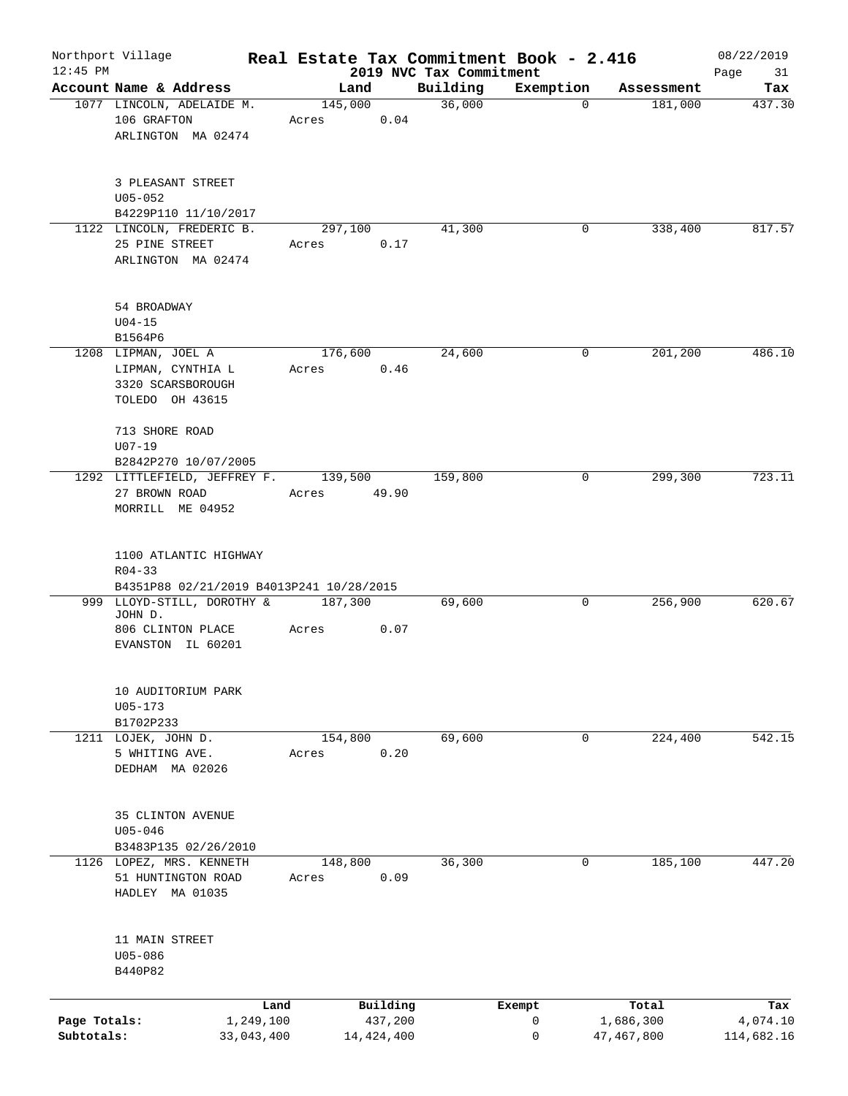| $12:45$ PM                 | Northport Village                                                                |                  |                       | 2019 NVC Tax Commitment | Real Estate Tax Commitment Book - 2.416 |                         | 08/22/2019             |
|----------------------------|----------------------------------------------------------------------------------|------------------|-----------------------|-------------------------|-----------------------------------------|-------------------------|------------------------|
|                            | Account Name & Address                                                           | Land             |                       | Building                | Exemption                               | Assessment              | Page<br>31<br>Tax      |
|                            | 1077 LINCOLN, ADELAIDE M.<br>106 GRAFTON<br>ARLINGTON MA 02474                   | 145,000<br>Acres | 0.04                  | 36,000                  |                                         | 181,000<br>$\Omega$     | 437.30                 |
|                            | 3 PLEASANT STREET<br>$U05 - 052$<br>B4229P110 11/10/2017                         |                  |                       |                         |                                         |                         |                        |
|                            | 1122 LINCOLN, FREDERIC B.<br>25 PINE STREET<br>ARLINGTON MA 02474                | 297,100<br>Acres | 0.17                  | 41,300                  |                                         | 338,400<br>0            | 817.57                 |
|                            | 54 BROADWAY<br>$U04 - 15$<br>B1564P6                                             |                  |                       |                         |                                         |                         |                        |
|                            | 1208 LIPMAN, JOEL A<br>LIPMAN, CYNTHIA L<br>3320 SCARSBOROUGH<br>TOLEDO OH 43615 | 176,600<br>Acres | 0.46                  | 24,600                  |                                         | 201,200<br>0            | 486.10                 |
|                            | 713 SHORE ROAD<br>$U07-19$<br>B2842P270 10/07/2005                               |                  |                       |                         |                                         |                         |                        |
|                            | 1292 LITTLEFIELD, JEFFREY F.<br>27 BROWN ROAD<br>MORRILL ME 04952                | 139,500<br>Acres | 49.90                 | 159,800                 |                                         | 299,300<br>0            | 723.11                 |
|                            | 1100 ATLANTIC HIGHWAY<br>$R04 - 33$<br>B4351P88 02/21/2019 B4013P241 10/28/2015  |                  |                       |                         |                                         |                         |                        |
|                            | 999 LLOYD-STILL, DOROTHY &<br>JOHN D.<br>806 CLINTON PLACE<br>EVANSTON IL 60201  | 187,300<br>Acres | 0.07                  | 69,600                  |                                         | 256,900<br>0            | 620.67                 |
|                            | 10 AUDITORIUM PARK<br>$U05 - 173$<br>B1702P233                                   |                  |                       |                         |                                         |                         |                        |
|                            | 1211 LOJEK, JOHN D.<br>5 WHITING AVE.<br>DEDHAM MA 02026                         | 154,800<br>Acres | 0.20                  | 69,600                  |                                         | 0<br>224,400            | 542.15                 |
|                            | 35 CLINTON AVENUE<br>$U05 - 046$<br>B3483P135 02/26/2010                         |                  |                       |                         |                                         |                         |                        |
|                            | 1126 LOPEZ, MRS. KENNETH<br>51 HUNTINGTON ROAD<br>HADLEY MA 01035                | 148,800<br>Acres | 0.09                  | 36,300                  |                                         | $\mathbf 0$<br>185,100  | 447.20                 |
|                            | 11 MAIN STREET<br>U05-086<br>B440P82                                             |                  |                       |                         |                                         |                         |                        |
|                            | Land                                                                             |                  | Building              |                         | Exempt                                  | Total                   | Tax                    |
| Page Totals:<br>Subtotals: | 1,249,100<br>33,043,400                                                          |                  | 437,200<br>14,424,400 |                         | 0<br>0                                  | 1,686,300<br>47,467,800 | 4,074.10<br>114,682.16 |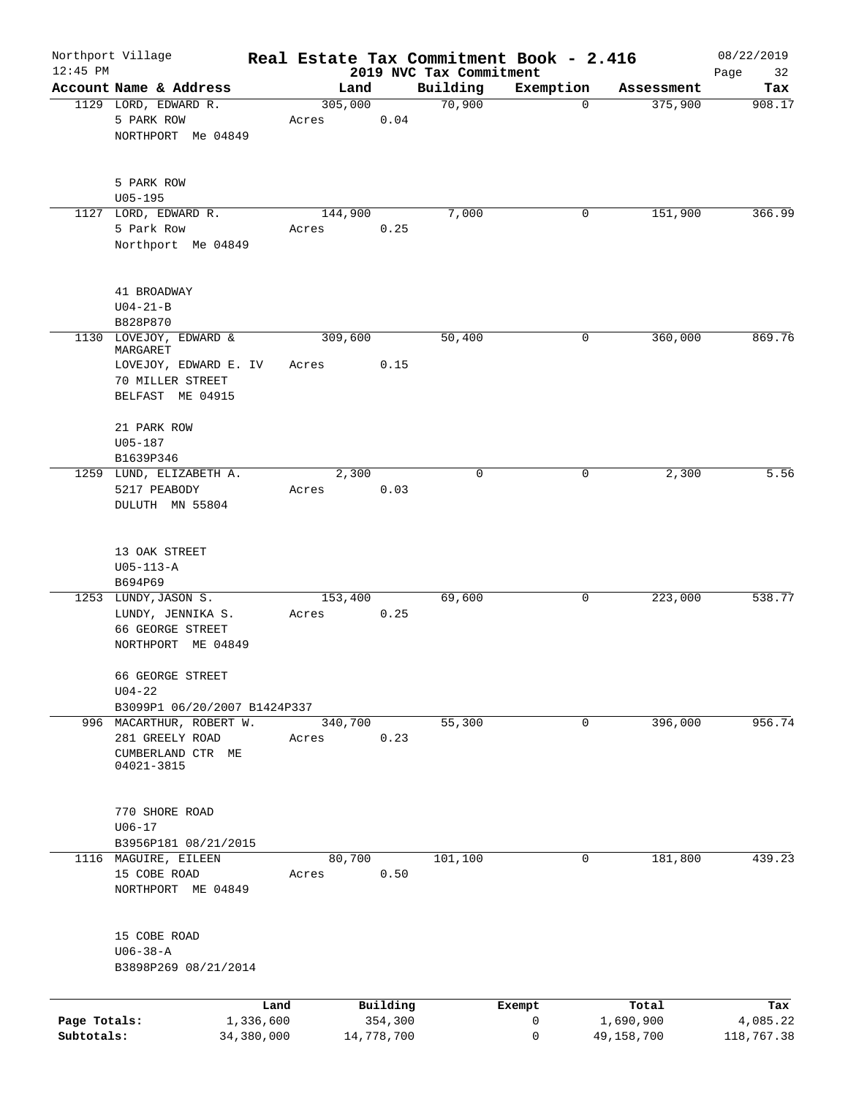| $12:45$ PM                 | Northport Village                                                                   | Real Estate Tax Commitment Book - 2.416 |                       | 2019 NVC Tax Commitment |           |                         | 08/22/2019<br>32<br>Page |
|----------------------------|-------------------------------------------------------------------------------------|-----------------------------------------|-----------------------|-------------------------|-----------|-------------------------|--------------------------|
|                            | Account Name & Address                                                              | Land                                    |                       | Building                | Exemption | Assessment              | Tax                      |
|                            | 1129 LORD, EDWARD R.<br>5 PARK ROW<br>NORTHPORT Me 04849                            | 305,000<br>Acres                        | 0.04                  | 70,900                  | $\Omega$  | 375,900                 | 908.17                   |
|                            | 5 PARK ROW<br>$U05 - 195$                                                           |                                         |                       |                         |           |                         |                          |
|                            | 1127 LORD, EDWARD R.                                                                | 144,900                                 |                       | 7,000                   | 0         | 151,900                 | 366.99                   |
|                            | 5 Park Row<br>Northport Me 04849                                                    | Acres                                   | 0.25                  |                         |           |                         |                          |
|                            | 41 BROADWAY<br>$U04 - 21 - B$<br>B828P870                                           |                                         |                       |                         |           |                         |                          |
|                            | 1130 LOVEJOY, EDWARD &                                                              | 309,600                                 |                       | 50,400                  | 0         | 360,000                 | 869.76                   |
|                            | MARGARET<br>LOVEJOY, EDWARD E. IV<br>70 MILLER STREET<br>BELFAST ME 04915           | Acres                                   | 0.15                  |                         |           |                         |                          |
|                            | 21 PARK ROW<br>$U05 - 187$<br>B1639P346                                             |                                         |                       |                         |           |                         |                          |
|                            | 1259 LUND, ELIZABETH A.<br>5217 PEABODY<br>DULUTH MN 55804                          | 2,300<br>Acres                          | 0.03                  | $\mathbf 0$             | 0         | 2,300                   | 5.56                     |
|                            | 13 OAK STREET<br>$U05 - 113 - A$<br>B694P69                                         |                                         |                       |                         |           |                         |                          |
|                            | 1253 LUNDY, JASON S.<br>LUNDY, JENNIKA S.<br>66 GEORGE STREET<br>NORTHPORT ME 04849 | 153,400<br>Acres                        | 0.25                  | 69,600                  | 0         | 223,000                 | 538.77                   |
|                            | 66 GEORGE STREET<br>$U04 - 22$<br>B3099P1 06/20/2007 B1424P337                      |                                         |                       |                         |           |                         |                          |
|                            | 996 MACARTHUR, ROBERT W.<br>281 GREELY ROAD<br>CUMBERLAND CTR ME<br>04021-3815      | 340,700<br>Acres                        | 0.23                  | 55,300                  | 0         | 396,000                 | 956.74                   |
|                            | 770 SHORE ROAD<br>$U06 - 17$<br>B3956P181 08/21/2015                                |                                         |                       |                         |           |                         |                          |
|                            | 1116 MAGUIRE, EILEEN<br>15 COBE ROAD<br>NORTHPORT ME 04849                          | 80,700<br>Acres                         | 0.50                  | 101,100                 | 0         | 181,800                 | 439.23                   |
|                            | 15 COBE ROAD<br>$U06 - 38 - A$<br>B3898P269 08/21/2014                              |                                         |                       |                         |           |                         |                          |
|                            |                                                                                     | Land                                    | Building              |                         | Exempt    | Total                   | Tax                      |
| Page Totals:<br>Subtotals: | 1,336,600<br>34,380,000                                                             |                                         | 354,300<br>14,778,700 |                         | 0<br>0    | 1,690,900<br>49,158,700 | 4,085.22<br>118,767.38   |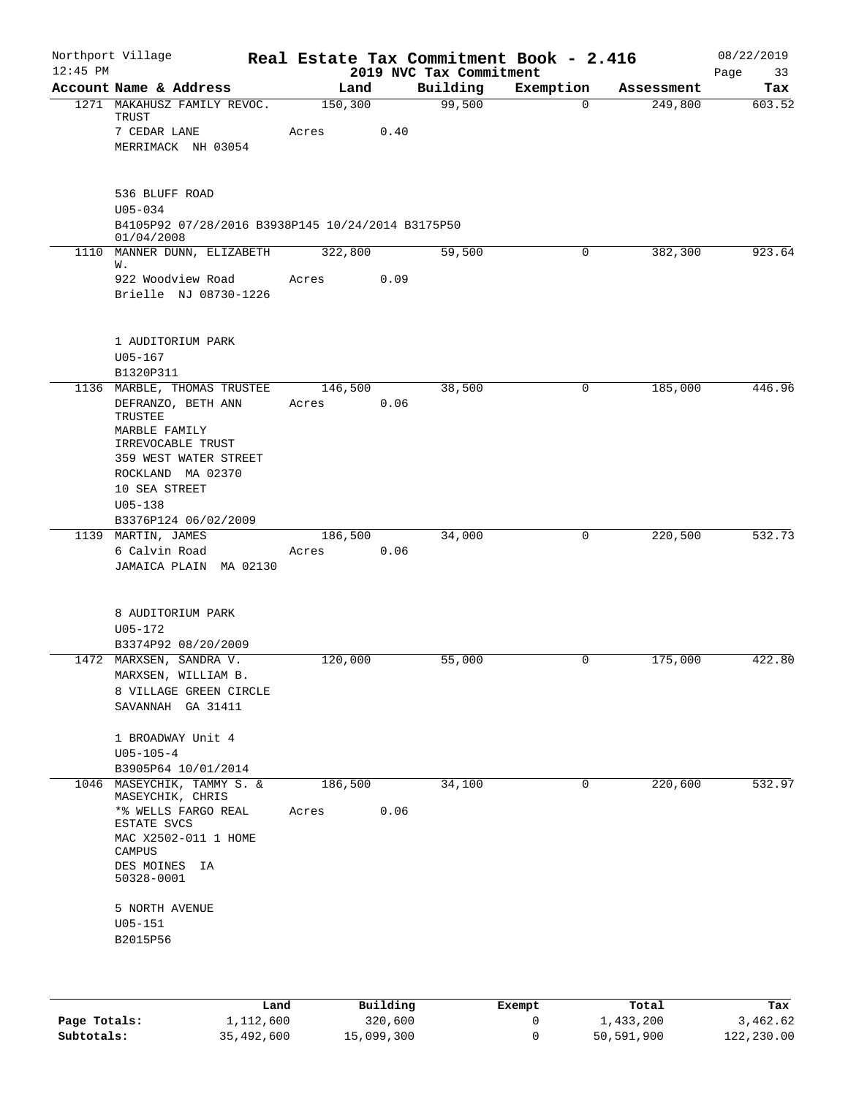| $12:45$ PM | Northport Village                                                                                                                                                                                        |                  |      | Real Estate Tax Commitment Book - 2.416<br>2019 NVC Tax Commitment |           |            | 08/22/2019<br>Page<br>33 |
|------------|----------------------------------------------------------------------------------------------------------------------------------------------------------------------------------------------------------|------------------|------|--------------------------------------------------------------------|-----------|------------|--------------------------|
|            | Account Name & Address                                                                                                                                                                                   | Land             |      | Building                                                           | Exemption | Assessment | Tax                      |
|            | 1271 MAKAHUSZ FAMILY REVOC.<br>TRUST<br>7 CEDAR LANE<br>MERRIMACK NH 03054                                                                                                                               | 150,300<br>Acres | 0.40 | 99,500                                                             | 0         | 249,800    | 603.52                   |
|            | 536 BLUFF ROAD<br>$U05 - 034$<br>B4105P92 07/28/2016 B3938P145 10/24/2014 B3175P50<br>01/04/2008                                                                                                         |                  |      |                                                                    |           |            |                          |
| 1110       | MANNER DUNN, ELIZABETH<br>W.<br>922 Woodview Road<br>Brielle NJ 08730-1226                                                                                                                               | 322,800<br>Acres | 0.09 | 59,500                                                             | 0         | 382,300    | 923.64                   |
|            | 1 AUDITORIUM PARK<br>$U05 - 167$<br>B1320P311                                                                                                                                                            |                  |      |                                                                    |           |            |                          |
|            | 1136 MARBLE, THOMAS TRUSTEE<br>DEFRANZO, BETH ANN<br>TRUSTEE<br>MARBLE FAMILY<br>IRREVOCABLE TRUST<br>359 WEST WATER STREET<br>ROCKLAND MA 02370<br>10 SEA STREET<br>$U05 - 138$<br>B3376P124 06/02/2009 | 146,500<br>Acres | 0.06 | 38,500                                                             | 0         | 185,000    | 446.96                   |
|            | 1139 MARTIN, JAMES<br>6 Calvin Road<br>JAMAICA PLAIN MA 02130                                                                                                                                            | 186,500<br>Acres | 0.06 | 34,000                                                             | 0         | 220,500    | 532.73                   |
|            | 8 AUDITORIUM PARK<br>$U05 - 172$<br>B3374P92 08/20/2009                                                                                                                                                  |                  |      |                                                                    |           |            |                          |
|            | 1472 MARXSEN, SANDRA V.<br>MARXSEN, WILLIAM B.<br>8 VILLAGE GREEN CIRCLE<br>SAVANNAH GA 31411                                                                                                            | 120,000          |      | 55,000                                                             | 0         | 175,000    | 422.80                   |
|            | 1 BROADWAY Unit 4<br>$U05 - 105 - 4$<br>B3905P64 10/01/2014                                                                                                                                              |                  |      |                                                                    |           |            |                          |
|            | 1046 MASEYCHIK, TAMMY S. &<br>MASEYCHIK, CHRIS<br>*% WELLS FARGO REAL<br>ESTATE SVCS<br>MAC X2502-011 1 HOME<br>CAMPUS<br>DES MOINES IA<br>50328-0001<br>5 NORTH AVENUE<br>$U05 - 151$<br>B2015P56       | 186,500<br>Acres | 0.06 | 34,100                                                             | 0         | 220,600    | 532.97                   |
|            |                                                                                                                                                                                                          |                  |      |                                                                    |           |            |                          |

|              | Land       | Building   | Exempt | Total      | Tax        |
|--------------|------------|------------|--------|------------|------------|
| Page Totals: | 1,112,600  | 320,600    |        | 1,433,200  | 3,462.62   |
| Subtotals:   | 35,492,600 | 15,099,300 |        | 50,591,900 | 122,230.00 |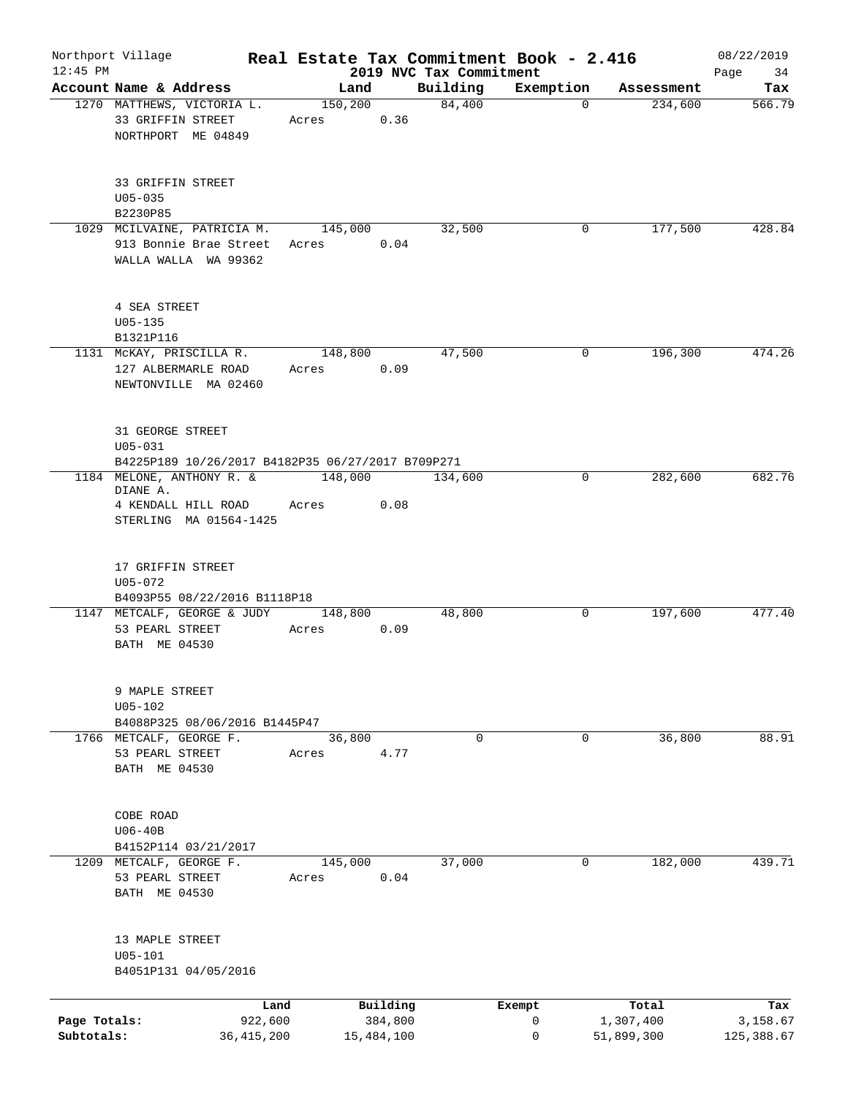| $12:45$ PM                 | Northport Village                                                                      |                         |         |                       |                                     | Real Estate Tax Commitment Book - 2.416 |                         | 08/22/2019             |
|----------------------------|----------------------------------------------------------------------------------------|-------------------------|---------|-----------------------|-------------------------------------|-----------------------------------------|-------------------------|------------------------|
|                            | Account Name & Address                                                                 |                         | Land    |                       | 2019 NVC Tax Commitment<br>Building | Exemption                               | Assessment              | Page<br>34<br>Tax      |
|                            | 1270 MATTHEWS, VICTORIA L.<br>33 GRIFFIN STREET<br>NORTHPORT ME 04849                  | Acres                   | 150,200 | 0.36                  | 84,400                              |                                         | 234,600<br>$\Omega$     | 566.79                 |
|                            | 33 GRIFFIN STREET<br>$U05 - 035$<br>B2230P85                                           |                         |         |                       |                                     |                                         |                         |                        |
|                            | 1029 MCILVAINE, PATRICIA M.<br>913 Bonnie Brae Street<br>WALLA WALLA WA 99362          | Acres                   | 145,000 | 0.04                  | 32,500                              |                                         | 177,500<br>0            | 428.84                 |
|                            | 4 SEA STREET<br>$U05 - 135$<br>B1321P116                                               |                         |         |                       |                                     |                                         |                         |                        |
|                            | 1131 McKAY, PRISCILLA R.<br>127 ALBERMARLE ROAD<br>NEWTONVILLE MA 02460                | Acres                   | 148,800 | 0.09                  | 47,500                              |                                         | 196,300<br>0            | 474.26                 |
|                            | 31 GEORGE STREET<br>$U05 - 031$<br>B4225P189 10/26/2017 B4182P35 06/27/2017 B709P271   |                         |         |                       |                                     |                                         |                         |                        |
|                            | 1184 MELONE, ANTHONY R. &<br>DIANE A.<br>4 KENDALL HILL ROAD<br>STERLING MA 01564-1425 | Acres                   | 148,000 | 0.08                  | 134,600                             |                                         | 282,600<br>0            | 682.76                 |
|                            | 17 GRIFFIN STREET<br>$U05 - 072$<br>B4093P55 08/22/2016 B1118P18                       |                         |         |                       |                                     |                                         |                         |                        |
|                            | 1147 METCALF, GEORGE & JUDY<br>53 PEARL STREET<br>BATH ME 04530                        | Acres                   | 148,800 | 0.09                  | 48,800                              |                                         | 197,600<br>0            | 477.40                 |
|                            | 9 MAPLE STREET<br>$U05 - 102$<br>B4088P325 08/06/2016 B1445P47                         |                         |         |                       |                                     |                                         |                         |                        |
|                            | 1766 METCALF, GEORGE F.<br>53 PEARL STREET<br>BATH ME 04530                            | Acres                   | 36,800  | 4.77                  | $\mathbf 0$                         |                                         | 36,800<br>0             | 88.91                  |
|                            | COBE ROAD<br>$U06-40B$<br>B4152P114 03/21/2017                                         |                         |         |                       |                                     |                                         |                         |                        |
|                            | 1209 METCALF, GEORGE F.<br>53 PEARL STREET<br>BATH ME 04530                            | Acres                   | 145,000 | 0.04                  | 37,000                              |                                         | $\mathbf 0$<br>182,000  | 439.71                 |
|                            | 13 MAPLE STREET<br>$U05 - 101$<br>B4051P131 04/05/2016                                 |                         |         |                       |                                     |                                         |                         |                        |
|                            |                                                                                        | Land                    |         | Building              |                                     | Exempt                                  | Total                   | Tax                    |
| Page Totals:<br>Subtotals: |                                                                                        | 922,600<br>36, 415, 200 |         | 384,800<br>15,484,100 |                                     | 0<br>0                                  | 1,307,400<br>51,899,300 | 3,158.67<br>125,388.67 |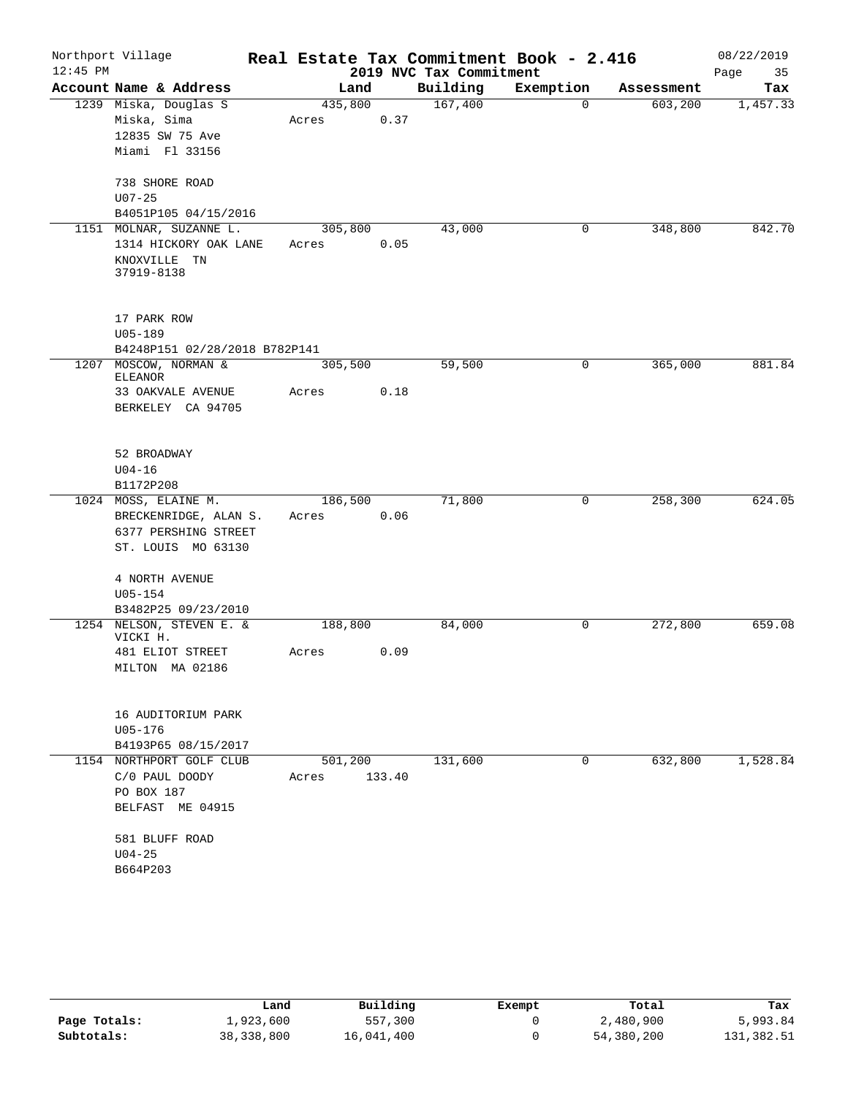| Northport Village<br>$12:45$ PM |                                                                                             |                  |        | 2019 NVC Tax Commitment | Real Estate Tax Commitment Book - 2.416 |            | 08/22/2019<br>Page<br>35 |
|---------------------------------|---------------------------------------------------------------------------------------------|------------------|--------|-------------------------|-----------------------------------------|------------|--------------------------|
|                                 | Account Name & Address                                                                      | Land             |        | Building                | Exemption                               | Assessment | Tax                      |
|                                 | 1239 Miska, Douglas S<br>Miska, Sima<br>12835 SW 75 Ave<br>Miami Fl 33156                   | 435,800<br>Acres | 0.37   | 167,400                 | $\mathbf 0$                             | 603,200    | 1,457.33                 |
|                                 | 738 SHORE ROAD<br>$U07 - 25$<br>B4051P105 04/15/2016                                        |                  |        |                         |                                         |            |                          |
| 1151                            | MOLNAR, SUZANNE L.<br>1314 HICKORY OAK LANE<br>KNOXVILLE TN<br>37919-8138                   | 305,800<br>Acres | 0.05   | 43,000                  | 0                                       | 348,800    | 842.70                   |
|                                 | 17 PARK ROW<br>$U05 - 189$<br>B4248P151 02/28/2018 B782P141                                 |                  |        |                         |                                         |            |                          |
|                                 | 1207 MOSCOW, NORMAN &<br><b>ELEANOR</b><br>33 OAKVALE AVENUE<br>BERKELEY CA 94705           | 305,500<br>Acres | 0.18   | 59,500                  | 0                                       | 365,000    | 881.84                   |
|                                 | 52 BROADWAY<br>$U04 - 16$<br>B1172P208                                                      |                  |        |                         |                                         |            |                          |
|                                 | 1024 MOSS, ELAINE M.<br>BRECKENRIDGE, ALAN S.<br>6377 PERSHING STREET<br>ST. LOUIS MO 63130 | 186,500<br>Acres | 0.06   | 71,800                  | $\mathbf 0$                             | 258,300    | 624.05                   |
|                                 | 4 NORTH AVENUE<br>$U05 - 154$<br>B3482P25 09/23/2010                                        |                  |        |                         |                                         |            |                          |
|                                 | 1254 NELSON, STEVEN E. &<br>VICKI H.<br>481 ELIOT STREET<br>MILTON MA 02186                 | 188,800<br>Acres | 0.09   | 84,000                  | 0                                       | 272,800    | 659.08                   |
|                                 | 16 AUDITORIUM PARK<br>U05-176<br>B4193P65 08/15/2017                                        |                  |        |                         |                                         |            |                          |
|                                 | 1154 NORTHPORT GOLF CLUB<br>C/0 PAUL DOODY<br>PO BOX 187<br>BELFAST ME 04915                | 501,200<br>Acres | 133.40 | 131,600                 | 0                                       | 632,800    | 1,528.84                 |
|                                 | 581 BLUFF ROAD<br>$U04 - 25$<br>B664P203                                                    |                  |        |                         |                                         |            |                          |

|              | Land       | Building   | Exempt | Total      | Tax        |
|--------------|------------|------------|--------|------------|------------|
| Page Totals: | 1,923,600  | 557,300    |        | 2,480,900  | 5,993.84   |
| Subtotals:   | 38,338,800 | 16,041,400 |        | 54,380,200 | 131,382.51 |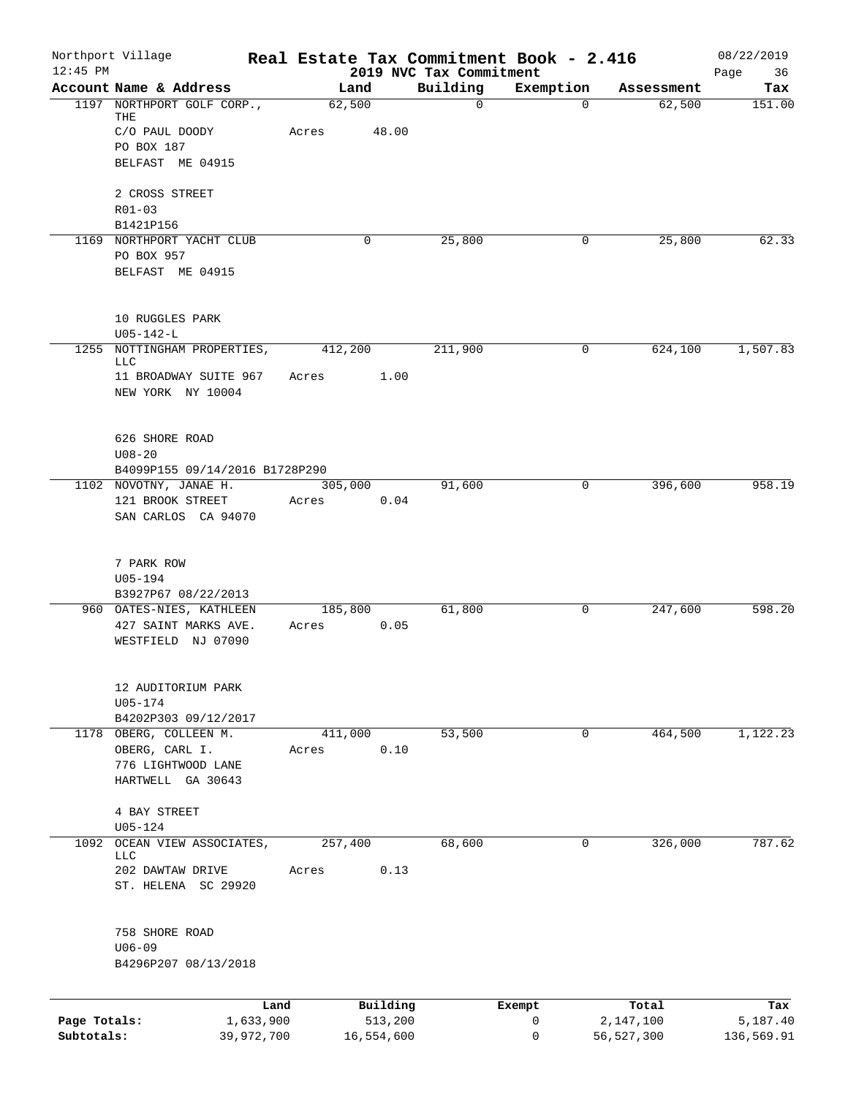| $12:45$ PM   | Northport Village                          | Real Estate Tax Commitment Book - 2.416 | 2019 NVC Tax Commitment |              |              | 08/22/2019        |
|--------------|--------------------------------------------|-----------------------------------------|-------------------------|--------------|--------------|-------------------|
|              | Account Name & Address                     | Land                                    | Building                | Exemption    | Assessment   | Page<br>36<br>Tax |
|              | 1197 NORTHPORT GOLF CORP.,                 | 62,500                                  | $\mathbf 0$             | $\Omega$     | 62,500       | 151.00            |
|              | THE                                        |                                         |                         |              |              |                   |
|              | C/O PAUL DOODY<br>PO BOX 187               | Acres<br>48.00                          |                         |              |              |                   |
|              | BELFAST ME 04915                           |                                         |                         |              |              |                   |
|              |                                            |                                         |                         |              |              |                   |
|              | 2 CROSS STREET                             |                                         |                         |              |              |                   |
|              | $R01 - 03$                                 |                                         |                         |              |              |                   |
|              | B1421P156                                  |                                         |                         |              |              |                   |
|              | 1169 NORTHPORT YACHT CLUB<br>PO BOX 957    | 0                                       | 25,800                  | 0            | 25,800       | 62.33             |
|              | BELFAST ME 04915                           |                                         |                         |              |              |                   |
|              |                                            |                                         |                         |              |              |                   |
|              |                                            |                                         |                         |              |              |                   |
|              | 10 RUGGLES PARK                            |                                         |                         |              |              |                   |
| 1255         | $U05 - 142 - L$<br>NOTTINGHAM PROPERTIES,  | 412,200                                 | 211,900                 | 0            | 624,100      | 1,507.83          |
|              | LLC                                        |                                         |                         |              |              |                   |
|              | 11 BROADWAY SUITE 967                      | 1.00<br>Acres                           |                         |              |              |                   |
|              | NEW YORK NY 10004                          |                                         |                         |              |              |                   |
|              |                                            |                                         |                         |              |              |                   |
|              | 626 SHORE ROAD                             |                                         |                         |              |              |                   |
|              | $U08 - 20$                                 |                                         |                         |              |              |                   |
|              | B4099P155 09/14/2016 B1728P290             |                                         |                         |              |              |                   |
|              | 1102 NOVOTNY, JANAE H.<br>121 BROOK STREET | 305,000<br>0.04                         | 91,600                  | 0            | 396,600      | 958.19            |
|              | SAN CARLOS CA 94070                        | Acres                                   |                         |              |              |                   |
|              |                                            |                                         |                         |              |              |                   |
|              |                                            |                                         |                         |              |              |                   |
|              | 7 PARK ROW                                 |                                         |                         |              |              |                   |
|              | U05-194<br>B3927P67 08/22/2013             |                                         |                         |              |              |                   |
|              | 960 OATES-NIES, KATHLEEN                   | 185,800                                 | 61,800                  | 0            | 247,600      | 598.20            |
|              | 427 SAINT MARKS AVE.                       | 0.05<br>Acres                           |                         |              |              |                   |
|              | WESTFIELD NJ 07090                         |                                         |                         |              |              |                   |
|              |                                            |                                         |                         |              |              |                   |
|              | 12 AUDITORIUM PARK                         |                                         |                         |              |              |                   |
|              | $U05 - 174$                                |                                         |                         |              |              |                   |
|              | B4202P303 09/12/2017                       |                                         |                         |              |              |                   |
| 1178         | OBERG, COLLEEN M.                          | 411,000<br>0.10                         | 53,500                  | 0            | 464,500      | 1,122.23          |
|              | OBERG, CARL I.<br>776 LIGHTWOOD LANE       | Acres                                   |                         |              |              |                   |
|              | HARTWELL GA 30643                          |                                         |                         |              |              |                   |
|              |                                            |                                         |                         |              |              |                   |
|              | 4 BAY STREET                               |                                         |                         |              |              |                   |
| 1092         | U05-124<br>OCEAN VIEW ASSOCIATES,          | 257,400                                 | 68,600                  | 0            | 326,000      | 787.62            |
|              | LLC                                        |                                         |                         |              |              |                   |
|              | 202 DAWTAW DRIVE                           | 0.13<br>Acres                           |                         |              |              |                   |
|              | ST. HELENA SC 29920                        |                                         |                         |              |              |                   |
|              |                                            |                                         |                         |              |              |                   |
|              | 758 SHORE ROAD<br>$U06 - 09$               |                                         |                         |              |              |                   |
|              | B4296P207 08/13/2018                       |                                         |                         |              |              |                   |
|              |                                            |                                         |                         |              |              |                   |
|              |                                            | Building<br>Land                        |                         | Exempt       | Total        | Tax               |
| Page Totals: | 1,633,900                                  | 513,200                                 |                         | $\mathsf{O}$ | 2,147,100    | 5,187.40          |
| Subtotals:   | 39,972,700                                 | 16,554,600                              |                         | 0            | 56, 527, 300 | 136,569.91        |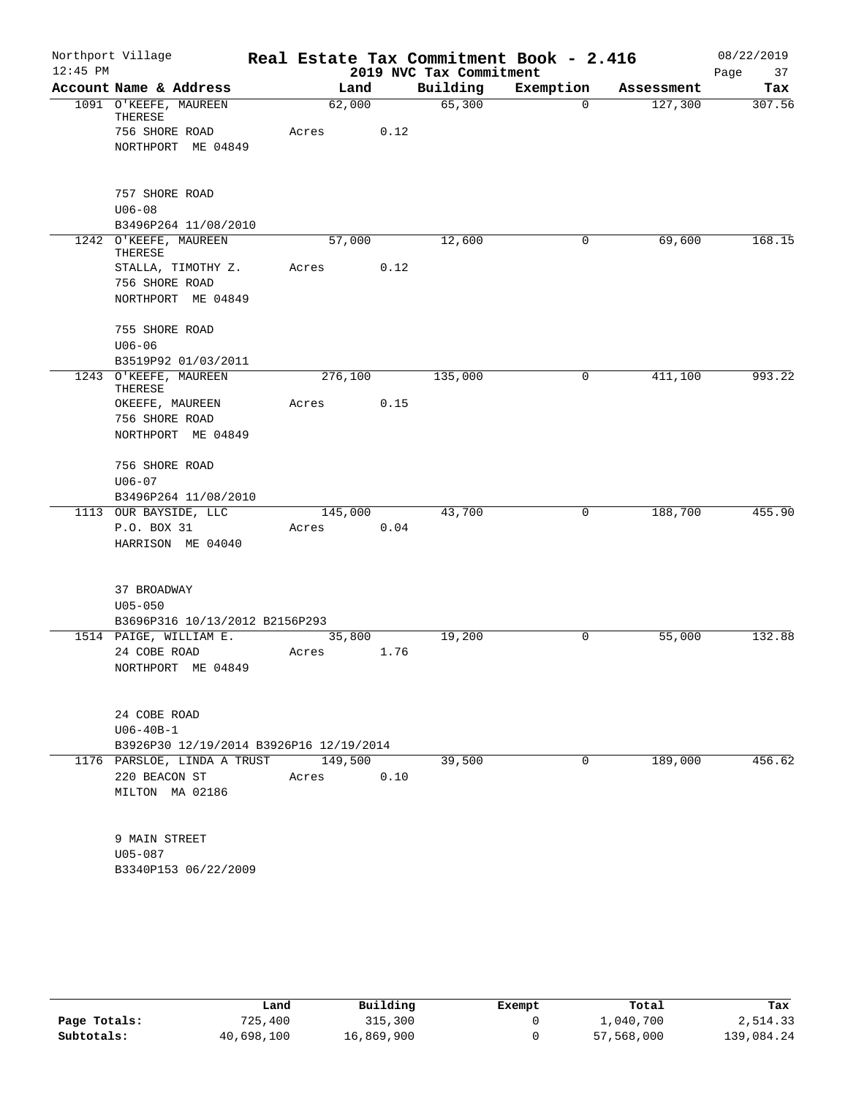|            | Northport Village                       |         |      |                         | Real Estate Tax Commitment Book - 2.416 |            | 08/22/2019 |
|------------|-----------------------------------------|---------|------|-------------------------|-----------------------------------------|------------|------------|
| $12:45$ PM |                                         |         |      | 2019 NVC Tax Commitment |                                         |            | Page<br>37 |
|            | Account Name & Address                  | Land    |      | Building                | Exemption                               | Assessment | Tax        |
|            | 1091 O'KEEFE, MAUREEN<br>THERESE        | 62,000  |      | 65,300                  | $\mathbf 0$                             | 127,300    | 307.56     |
|            | 756 SHORE ROAD                          | Acres   | 0.12 |                         |                                         |            |            |
|            | NORTHPORT ME 04849                      |         |      |                         |                                         |            |            |
|            | 757 SHORE ROAD                          |         |      |                         |                                         |            |            |
|            | $U06 - 08$                              |         |      |                         |                                         |            |            |
|            | B3496P264 11/08/2010                    |         |      |                         |                                         |            |            |
|            | 1242 O'KEEFE, MAUREEN<br>THERESE        | 57,000  |      | 12,600                  | 0                                       | 69,600     | 168.15     |
|            | STALLA, TIMOTHY Z.                      | Acres   | 0.12 |                         |                                         |            |            |
|            | 756 SHORE ROAD<br>NORTHPORT ME 04849    |         |      |                         |                                         |            |            |
|            | 755 SHORE ROAD                          |         |      |                         |                                         |            |            |
|            | $U06 - 06$                              |         |      |                         |                                         |            |            |
|            | B3519P92 01/03/2011                     |         |      |                         |                                         |            |            |
|            | 1243 O'KEEFE, MAUREEN<br>THERESE        | 276,100 |      | 135,000                 | 0                                       | 411,100    | 993.22     |
|            | OKEEFE, MAUREEN                         | Acres   | 0.15 |                         |                                         |            |            |
|            | 756 SHORE ROAD<br>NORTHPORT ME 04849    |         |      |                         |                                         |            |            |
|            | 756 SHORE ROAD<br>$U06 - 07$            |         |      |                         |                                         |            |            |
|            | B3496P264 11/08/2010                    |         |      |                         |                                         |            |            |
|            | 1113 OUR BAYSIDE, LLC                   | 145,000 |      | 43,700                  | 0                                       | 188,700    | 455.90     |
|            | P.O. BOX 31<br>HARRISON ME 04040        | Acres   | 0.04 |                         |                                         |            |            |
|            | 37 BROADWAY                             |         |      |                         |                                         |            |            |
|            | $U05 - 050$                             |         |      |                         |                                         |            |            |
|            | B3696P316 10/13/2012 B2156P293          |         |      |                         |                                         |            |            |
|            | 1514 PAIGE, WILLIAM E.<br>24 COBE ROAD  | 35,800  |      | 19,200                  | 0                                       | 55,000     | 132.88     |
|            | NORTHPORT ME 04849                      | Acres   | 1.76 |                         |                                         |            |            |
|            | 24 COBE ROAD                            |         |      |                         |                                         |            |            |
|            | $U06 - 40B - 1$                         |         |      |                         |                                         |            |            |
|            | B3926P30 12/19/2014 B3926P16 12/19/2014 |         |      |                         |                                         |            |            |
|            | 1176 PARSLOE, LINDA A TRUST             | 149,500 |      | 39,500                  | 0                                       | 189,000    | 456.62     |
|            | 220 BEACON ST                           | Acres   | 0.10 |                         |                                         |            |            |
|            | MILTON MA 02186                         |         |      |                         |                                         |            |            |
|            | 9 MAIN STREET                           |         |      |                         |                                         |            |            |
|            | $U05 - 087$                             |         |      |                         |                                         |            |            |
|            | B3340P153 06/22/2009                    |         |      |                         |                                         |            |            |

|              | Land       | Building   | Exempt | Total      | Tax        |
|--------------|------------|------------|--------|------------|------------|
| Page Totals: | 725,400    | 315,300    |        | 1,040,700  | 2,514.33   |
| Subtotals:   | 40,698,100 | 16,869,900 |        | 57,568,000 | 139,084.24 |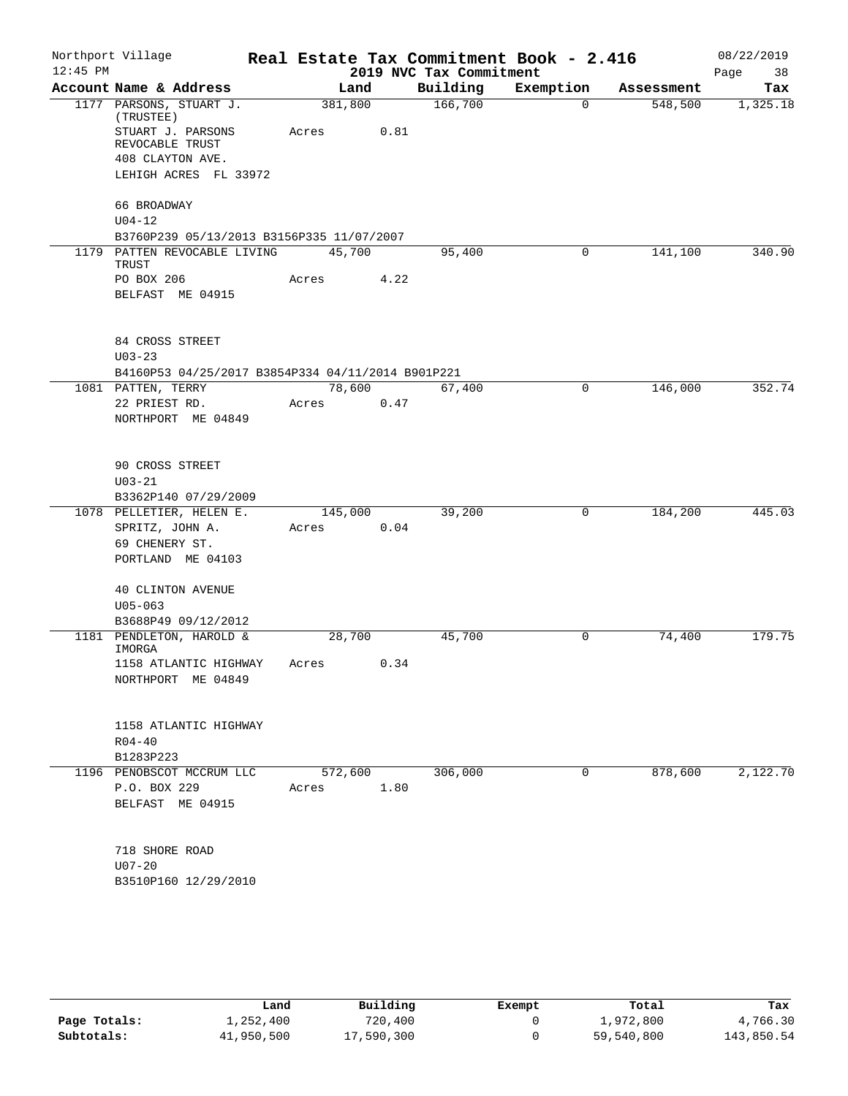| $12:45$ PM | Northport Village                                       |         |      | 2019 NVC Tax Commitment | Real Estate Tax Commitment Book - 2.416 |            | 08/22/2019<br>Page<br>38 |
|------------|---------------------------------------------------------|---------|------|-------------------------|-----------------------------------------|------------|--------------------------|
|            | Account Name & Address                                  | Land    |      | Building                | Exemption                               | Assessment | Tax                      |
|            | 1177 PARSONS, STUART J.<br>(TRUSTEE)                    | 381,800 |      | 166,700                 | $\mathbf 0$                             | 548,500    | 1,325.18                 |
|            | STUART J. PARSONS<br>REVOCABLE TRUST                    | Acres   | 0.81 |                         |                                         |            |                          |
|            | 408 CLAYTON AVE.                                        |         |      |                         |                                         |            |                          |
|            | LEHIGH ACRES FL 33972                                   |         |      |                         |                                         |            |                          |
|            | 66 BROADWAY                                             |         |      |                         |                                         |            |                          |
|            | $U04 - 12$<br>B3760P239 05/13/2013 B3156P335 11/07/2007 |         |      |                         |                                         |            |                          |
|            | 1179 PATTEN REVOCABLE LIVING<br>TRUST                   | 45,700  |      | 95,400                  | 0                                       | 141,100    | 340.90                   |
|            | PO BOX 206                                              | Acres   | 4.22 |                         |                                         |            |                          |
|            | BELFAST ME 04915                                        |         |      |                         |                                         |            |                          |
|            | 84 CROSS STREET                                         |         |      |                         |                                         |            |                          |
|            | $U03 - 23$                                              |         |      |                         |                                         |            |                          |
|            | B4160P53 04/25/2017 B3854P334 04/11/2014 B901P221       |         |      |                         |                                         |            |                          |
|            | 1081 PATTEN, TERRY                                      | 78,600  |      | 67,400                  | $\mathbf 0$                             | 146,000    | 352.74                   |
|            | 22 PRIEST RD.<br>NORTHPORT ME 04849                     | Acres   | 0.47 |                         |                                         |            |                          |
|            |                                                         |         |      |                         |                                         |            |                          |
|            | 90 CROSS STREET                                         |         |      |                         |                                         |            |                          |
|            | $U03 - 21$                                              |         |      |                         |                                         |            |                          |
|            | B3362P140 07/29/2009                                    |         |      |                         |                                         |            |                          |
|            | 1078 PELLETIER, HELEN E.                                | 145,000 |      | 39,200                  | $\mathsf{O}$                            | 184,200    | 445.03                   |
|            | SPRITZ, JOHN A.                                         | Acres   | 0.04 |                         |                                         |            |                          |
|            | 69 CHENERY ST.                                          |         |      |                         |                                         |            |                          |
|            | PORTLAND ME 04103                                       |         |      |                         |                                         |            |                          |
|            | <b>40 CLINTON AVENUE</b>                                |         |      |                         |                                         |            |                          |
|            | $U05 - 063$                                             |         |      |                         |                                         |            |                          |
|            | B3688P49 09/12/2012                                     |         |      |                         |                                         |            |                          |
|            | 1181 PENDLETON, HAROLD &<br>IMORGA                      | 28,700  |      | 45,700                  | 0                                       | 74,400     | 179.75                   |
|            | 1158 ATLANTIC HIGHWAY                                   | Acres   | 0.34 |                         |                                         |            |                          |
|            | NORTHPORT ME 04849                                      |         |      |                         |                                         |            |                          |
|            |                                                         |         |      |                         |                                         |            |                          |
|            | 1158 ATLANTIC HIGHWAY                                   |         |      |                         |                                         |            |                          |
|            | $R04 - 40$                                              |         |      |                         |                                         |            |                          |
|            | B1283P223<br>1196 PENOBSCOT MCCRUM LLC                  | 572,600 |      | 306,000                 | 0                                       | 878,600    | 2,122.70                 |
|            | P.O. BOX 229                                            | Acres   | 1.80 |                         |                                         |            |                          |
|            | BELFAST ME 04915                                        |         |      |                         |                                         |            |                          |
|            |                                                         |         |      |                         |                                         |            |                          |
|            | 718 SHORE ROAD                                          |         |      |                         |                                         |            |                          |
|            | $U07 - 20$                                              |         |      |                         |                                         |            |                          |
|            | B3510P160 12/29/2010                                    |         |      |                         |                                         |            |                          |
|            |                                                         |         |      |                         |                                         |            |                          |
|            |                                                         |         |      |                         |                                         |            |                          |

|              | Land       | Building   | Exempt | Total      | Tax        |
|--------------|------------|------------|--------|------------|------------|
| Page Totals: | 1,252,400  | 720,400    |        | 1,972,800  | 4,766.30   |
| Subtotals:   | 41,950,500 | 17,590,300 |        | 59,540,800 | 143,850.54 |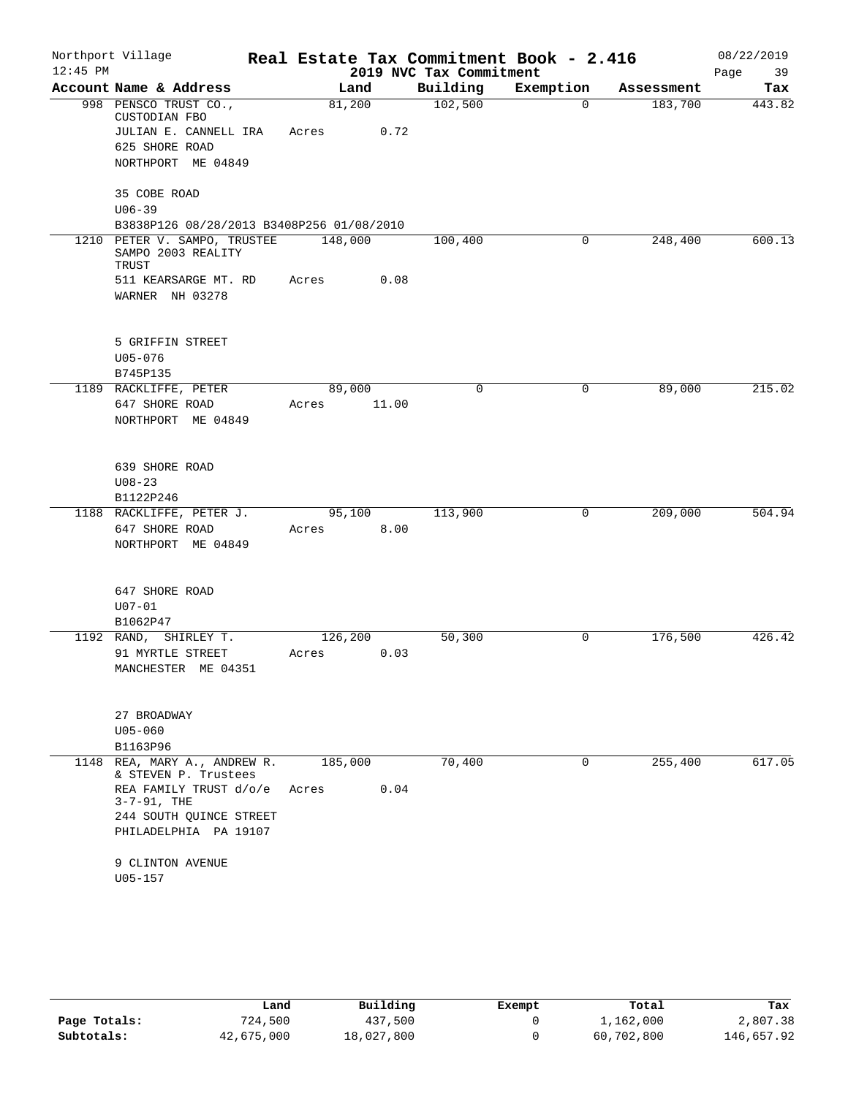| $12:45$ PM | Northport Village                                             |                  |       | 2019 NVC Tax Commitment | Real Estate Tax Commitment Book - 2.416 |            | 08/22/2019<br>Page<br>39 |
|------------|---------------------------------------------------------------|------------------|-------|-------------------------|-----------------------------------------|------------|--------------------------|
|            | Account Name & Address                                        | Land             |       | Building                | Exemption                               | Assessment | Tax                      |
|            | 998 PENSCO TRUST CO.,<br>CUSTODIAN FBO                        | 81,200           |       | 102,500                 | 0                                       | 183,700    | 443.82                   |
|            | JULIAN E. CANNELL IRA<br>625 SHORE ROAD<br>NORTHPORT ME 04849 | Acres            | 0.72  |                         |                                         |            |                          |
|            |                                                               |                  |       |                         |                                         |            |                          |
|            | 35 COBE ROAD<br>$U06 - 39$                                    |                  |       |                         |                                         |            |                          |
|            | B3838P126 08/28/2013 B3408P256 01/08/2010                     |                  |       |                         |                                         |            |                          |
|            | 1210 PETER V. SAMPO, TRUSTEE<br>SAMPO 2003 REALITY<br>TRUST   | 148,000          |       | 100,400                 | 0                                       | 248,400    | 600.13                   |
|            | 511 KEARSARGE MT. RD                                          | Acres            | 0.08  |                         |                                         |            |                          |
|            | WARNER NH 03278                                               |                  |       |                         |                                         |            |                          |
|            | 5 GRIFFIN STREET                                              |                  |       |                         |                                         |            |                          |
|            | $U05 - 076$                                                   |                  |       |                         |                                         |            |                          |
|            | B745P135<br>1189 RACKLIFFE, PETER                             | 89,000           |       | $\Omega$                | 0                                       | 89,000     | 215.02                   |
|            | 647 SHORE ROAD                                                | Acres            | 11.00 |                         |                                         |            |                          |
|            | NORTHPORT ME 04849                                            |                  |       |                         |                                         |            |                          |
|            |                                                               |                  |       |                         |                                         |            |                          |
|            | 639 SHORE ROAD                                                |                  |       |                         |                                         |            |                          |
|            | $U08 - 23$                                                    |                  |       |                         |                                         |            |                          |
|            | B1122P246                                                     |                  |       |                         |                                         |            |                          |
|            | 1188 RACKLIFFE, PETER J.                                      | 95,100           |       | 113,900                 | 0                                       | 209,000    | 504.94                   |
|            | 647 SHORE ROAD                                                | Acres            | 8.00  |                         |                                         |            |                          |
|            | NORTHPORT ME 04849                                            |                  |       |                         |                                         |            |                          |
|            | 647 SHORE ROAD                                                |                  |       |                         |                                         |            |                          |
|            | $U07 - 01$                                                    |                  |       |                         |                                         |            |                          |
|            | B1062P47                                                      |                  |       |                         |                                         |            |                          |
|            | 1192 RAND, SHIRLEY T.<br>91 MYRTLE STREET                     | 126,200<br>Acres | 0.03  | 50,300                  | 0                                       | 176,500    | 426.42                   |
|            | MANCHESTER ME 04351                                           |                  |       |                         |                                         |            |                          |
|            |                                                               |                  |       |                         |                                         |            |                          |
|            | 27 BROADWAY                                                   |                  |       |                         |                                         |            |                          |
|            | $U05 - 060$<br>B1163P96                                       |                  |       |                         |                                         |            |                          |
|            | 1148 REA, MARY A., ANDREW R.                                  | 185,000          |       | 70,400                  | $\Omega$                                | 255,400    | 617.05                   |
|            | & STEVEN P. Trustees                                          |                  |       |                         |                                         |            |                          |
|            | REA FAMILY TRUST d/o/e<br>$3 - 7 - 91$ , THE                  | Acres            | 0.04  |                         |                                         |            |                          |
|            | 244 SOUTH QUINCE STREET                                       |                  |       |                         |                                         |            |                          |
|            | PHILADELPHIA PA 19107                                         |                  |       |                         |                                         |            |                          |
|            | 9 CLINTON AVENUE                                              |                  |       |                         |                                         |            |                          |
|            | $U05 - 157$                                                   |                  |       |                         |                                         |            |                          |
|            |                                                               |                  |       |                         |                                         |            |                          |

|              | Land       | Building   | Exempt | Total      | Tax        |
|--------------|------------|------------|--------|------------|------------|
| Page Totals: | 724,500    | 437,500    |        | 1,162,000  | 2,807.38   |
| Subtotals:   | 42,675,000 | 18,027,800 |        | 60,702,800 | 146,657.92 |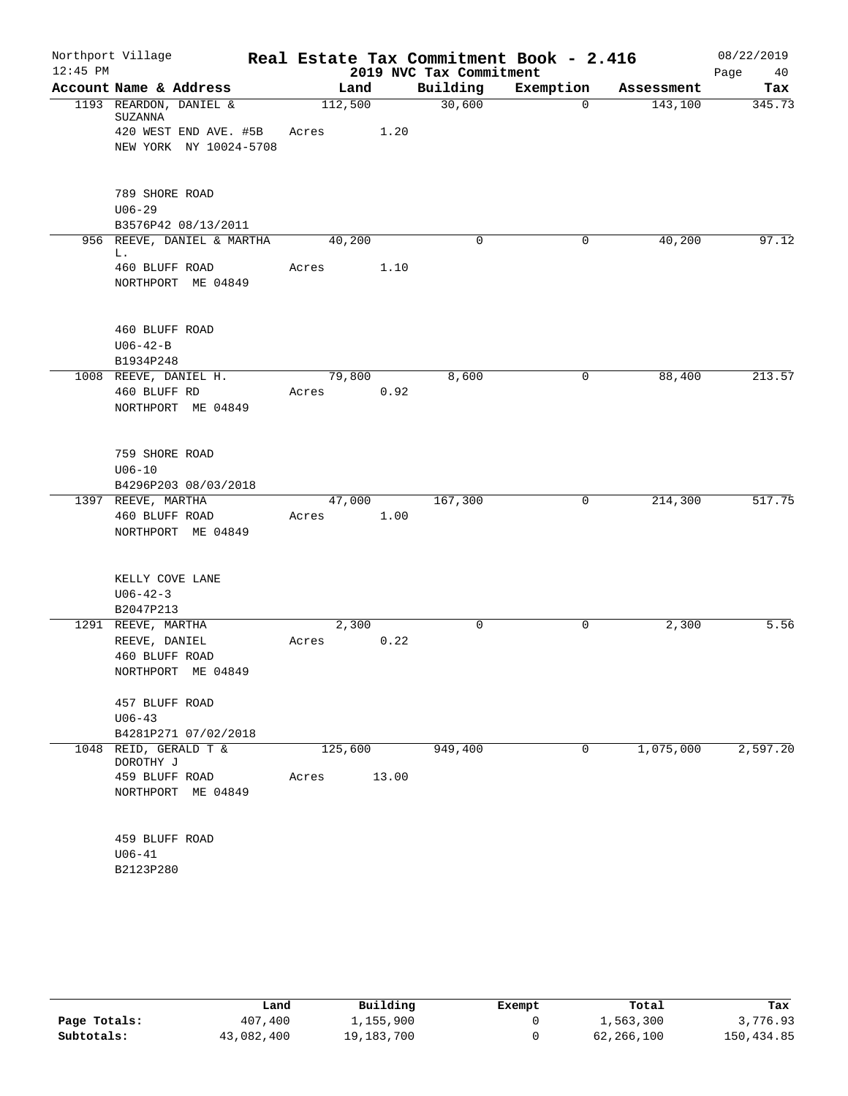| $12:45$ PM | Northport Village                    |                            |                  |       | 2019 NVC Tax Commitment | Real Estate Tax Commitment Book - 2.416 |            | 08/22/2019<br>Page<br>40 |
|------------|--------------------------------------|----------------------------|------------------|-------|-------------------------|-----------------------------------------|------------|--------------------------|
|            | Account Name & Address               |                            | Land             |       | Building                | Exemption                               | Assessment | Tax                      |
|            | 1193 REARDON, DANIEL &<br>SUZANNA    | 420 WEST END AVE. #5B      | 112,500<br>Acres | 1.20  | 30,600                  | $\Omega$                                | 143,100    | 345.73                   |
|            |                                      | NEW YORK NY 10024-5708     |                  |       |                         |                                         |            |                          |
|            | 789 SHORE ROAD<br>$U06 - 29$         |                            |                  |       |                         |                                         |            |                          |
|            | B3576P42 08/13/2011                  |                            |                  |       |                         |                                         |            |                          |
|            | L.                                   | 956 REEVE, DANIEL & MARTHA | 40,200           |       | 0                       | 0                                       | 40,200     | 97.12                    |
|            | 460 BLUFF ROAD<br>NORTHPORT ME 04849 |                            | Acres            | 1.10  |                         |                                         |            |                          |
|            | 460 BLUFF ROAD                       |                            |                  |       |                         |                                         |            |                          |
|            | $U06 - 42 - B$                       |                            |                  |       |                         |                                         |            |                          |
|            | B1934P248<br>1008 REEVE, DANIEL H.   |                            | 79,800           |       | 8,600                   | 0                                       | 88,400     | 213.57                   |
|            | 460 BLUFF RD                         |                            | Acres            | 0.92  |                         |                                         |            |                          |
|            | NORTHPORT ME 04849                   |                            |                  |       |                         |                                         |            |                          |
|            | 759 SHORE ROAD                       |                            |                  |       |                         |                                         |            |                          |
|            | $U06 - 10$                           |                            |                  |       |                         |                                         |            |                          |
|            | B4296P203 08/03/2018                 |                            |                  |       |                         |                                         |            |                          |
|            | 1397 REEVE, MARTHA                   |                            | 47,000           |       | 167,300                 | 0                                       | 214,300    | 517.75                   |
|            | 460 BLUFF ROAD<br>NORTHPORT ME 04849 |                            | Acres            | 1.00  |                         |                                         |            |                          |
|            | KELLY COVE LANE                      |                            |                  |       |                         |                                         |            |                          |
|            | $U06 - 42 - 3$                       |                            |                  |       |                         |                                         |            |                          |
|            | B2047P213                            |                            |                  |       |                         |                                         |            |                          |
|            | 1291 REEVE, MARTHA                   |                            | 2,300            |       | $\mathbf 0$             | $\mathbf 0$                             | 2,300      | 5.56                     |
|            | REEVE, DANIEL                        |                            | Acres            | 0.22  |                         |                                         |            |                          |
|            | 460 BLUFF ROAD<br>NORTHPORT ME 04849 |                            |                  |       |                         |                                         |            |                          |
|            | 457 BLUFF ROAD                       |                            |                  |       |                         |                                         |            |                          |
|            | $U06 - 43$<br>B4281P271 07/02/2018   |                            |                  |       |                         |                                         |            |                          |
|            | 1048 REID, GERALD T &<br>DOROTHY J   |                            | 125,600          |       | 949,400                 | $\mathbf 0$                             | 1,075,000  | 2,597.20                 |
|            | 459 BLUFF ROAD                       |                            | Acres            | 13.00 |                         |                                         |            |                          |
|            | NORTHPORT ME 04849                   |                            |                  |       |                         |                                         |            |                          |
|            | 459 BLUFF ROAD                       |                            |                  |       |                         |                                         |            |                          |
|            | $U06 - 41$                           |                            |                  |       |                         |                                         |            |                          |
|            | B2123P280                            |                            |                  |       |                         |                                         |            |                          |

|              | Land       | Building   | Exempt | Total      | Tax        |
|--------------|------------|------------|--------|------------|------------|
| Page Totals: | 407,400    | ⊥,155,900  |        | 1,563,300  | 3,776.93   |
| Subtotals:   | 43,082,400 | 19,183,700 |        | 62,266,100 | 150,434.85 |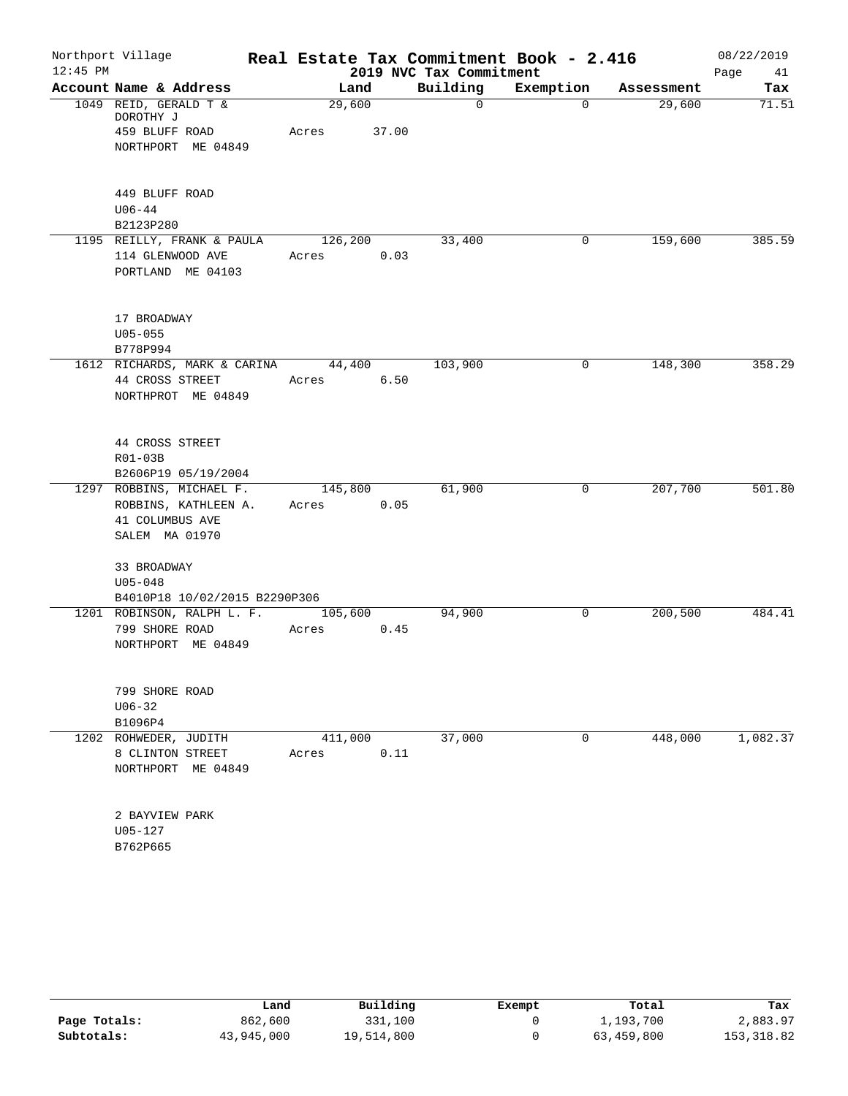|            | Northport Village                   |         |       |                         | Real Estate Tax Commitment Book - 2.416 |            | 08/22/2019 |
|------------|-------------------------------------|---------|-------|-------------------------|-----------------------------------------|------------|------------|
| $12:45$ PM |                                     |         |       | 2019 NVC Tax Commitment |                                         |            | Page<br>41 |
|            | Account Name & Address              | Land    |       | Building                | Exemption                               | Assessment | Tax        |
|            | 1049 REID, GERALD T &               | 29,600  |       | $\mathbf 0$             | $\Omega$                                | 29,600     | 71.51      |
|            | DOROTHY J<br>459 BLUFF ROAD         | Acres   | 37.00 |                         |                                         |            |            |
|            | NORTHPORT ME 04849                  |         |       |                         |                                         |            |            |
|            |                                     |         |       |                         |                                         |            |            |
|            | 449 BLUFF ROAD                      |         |       |                         |                                         |            |            |
|            | $U06 - 44$                          |         |       |                         |                                         |            |            |
|            | B2123P280                           |         |       |                         |                                         |            |            |
|            | 1195 REILLY, FRANK & PAULA          | 126,200 |       | 33,400                  | 0                                       | 159,600    | 385.59     |
|            | 114 GLENWOOD AVE                    | Acres   | 0.03  |                         |                                         |            |            |
|            | PORTLAND ME 04103                   |         |       |                         |                                         |            |            |
|            | 17 BROADWAY                         |         |       |                         |                                         |            |            |
|            | $U05 - 055$                         |         |       |                         |                                         |            |            |
|            | B778P994                            |         |       |                         |                                         |            |            |
|            | 1612 RICHARDS, MARK & CARINA 44,400 |         |       | 103,900                 | 0                                       | 148,300    | 358.29     |
|            | 44 CROSS STREET                     | Acres   | 6.50  |                         |                                         |            |            |
|            | NORTHPROT ME 04849                  |         |       |                         |                                         |            |            |
|            |                                     |         |       |                         |                                         |            |            |
|            | 44 CROSS STREET                     |         |       |                         |                                         |            |            |
|            | $R01-03B$                           |         |       |                         |                                         |            |            |
|            | B2606P19 05/19/2004                 |         |       |                         |                                         |            |            |
|            | 1297 ROBBINS, MICHAEL F.            | 145,800 |       | 61,900                  | 0                                       | 207,700    | 501.80     |
|            | ROBBINS, KATHLEEN A.                | Acres   | 0.05  |                         |                                         |            |            |
|            | 41 COLUMBUS AVE<br>SALEM MA 01970   |         |       |                         |                                         |            |            |
|            |                                     |         |       |                         |                                         |            |            |
|            | 33 BROADWAY                         |         |       |                         |                                         |            |            |
|            | $U05 - 048$                         |         |       |                         |                                         |            |            |
|            | B4010P18 10/02/2015 B2290P306       |         |       |                         |                                         |            |            |
|            | 1201 ROBINSON, RALPH L. F.          | 105,600 |       | 94,900                  | 0                                       | 200, 500   | 484.41     |
|            | 799 SHORE ROAD                      | Acres   | 0.45  |                         |                                         |            |            |
|            | NORTHPORT ME 04849                  |         |       |                         |                                         |            |            |
|            | 799 SHORE ROAD                      |         |       |                         |                                         |            |            |
|            | $U06 - 32$                          |         |       |                         |                                         |            |            |
|            | B1096P4                             |         |       |                         |                                         |            |            |
|            | 1202 ROHWEDER, JUDITH               | 411,000 |       | 37,000                  | $\mathbf 0$                             | 448,000    | 1,082.37   |
|            | 8 CLINTON STREET                    | Acres   | 0.11  |                         |                                         |            |            |
|            | NORTHPORT ME 04849                  |         |       |                         |                                         |            |            |
|            |                                     |         |       |                         |                                         |            |            |
|            | 2 BAYVIEW PARK                      |         |       |                         |                                         |            |            |
|            | $U05 - 127$                         |         |       |                         |                                         |            |            |
|            | B762P665                            |         |       |                         |                                         |            |            |

|              | Land       | Building   | Exempt | Total      | Tax         |
|--------------|------------|------------|--------|------------|-------------|
| Page Totals: | 862,600    | 331,100    |        | 1,193,700  | 2,883.97    |
| Subtotals:   | 43,945,000 | 19,514,800 |        | 63,459,800 | 153, 318.82 |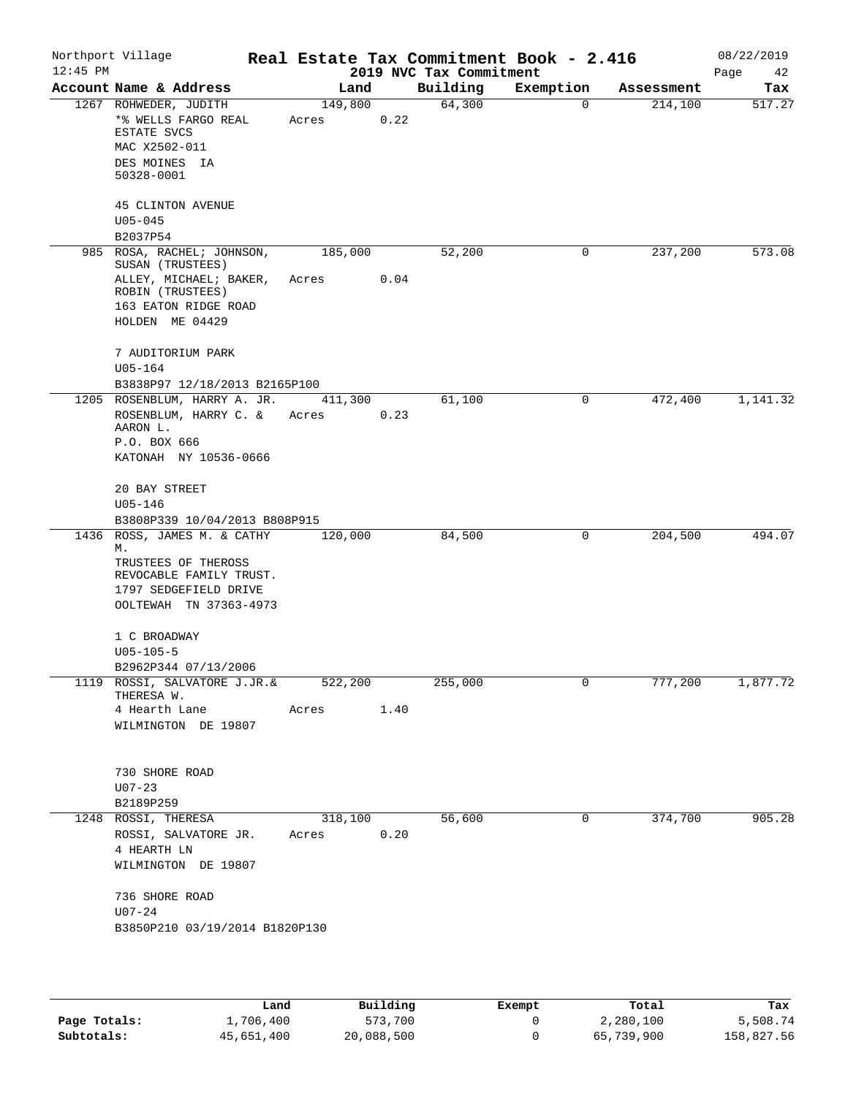| $12:45$ PM | Northport Village                                                                                                                       |                  |      | 2019 NVC Tax Commitment | Real Estate Tax Commitment Book - 2.416 |            | 08/22/2019<br>42 |
|------------|-----------------------------------------------------------------------------------------------------------------------------------------|------------------|------|-------------------------|-----------------------------------------|------------|------------------|
|            | Account Name & Address                                                                                                                  | Land             |      | Building                | Exemption                               | Assessment | Page<br>Tax      |
|            | 1267 ROHWEDER, JUDITH<br>*% WELLS FARGO REAL<br>ESTATE SVCS<br>MAC X2502-011                                                            | 149,800<br>Acres | 0.22 | 64,300                  | $\mathbf 0$                             | 214,100    | 517.27           |
|            | DES MOINES IA<br>50328-0001                                                                                                             |                  |      |                         |                                         |            |                  |
|            | <b>45 CLINTON AVENUE</b><br>$U05 - 045$                                                                                                 |                  |      |                         |                                         |            |                  |
|            | B2037P54                                                                                                                                |                  |      |                         |                                         |            |                  |
|            | 985 ROSA, RACHEL; JOHNSON,<br>SUSAN (TRUSTEES)<br>ALLEY, MICHAEL; BAKER,<br>ROBIN (TRUSTEES)<br>163 EATON RIDGE ROAD<br>HOLDEN ME 04429 | 185,000<br>Acres | 0.04 | 52,200                  | 0                                       | 237,200    | 573.08           |
|            | 7 AUDITORIUM PARK<br>$U05 - 164$                                                                                                        |                  |      |                         |                                         |            |                  |
|            | B3838P97 12/18/2013 B2165P100<br>1205 ROSENBLUM, HARRY A. JR.                                                                           | 411,300          |      | 61,100                  | 0                                       | 472,400    | 1,141.32         |
|            | ROSENBLUM, HARRY C. &<br>AARON L.                                                                                                       | Acres            | 0.23 |                         |                                         |            |                  |
|            | P.O. BOX 666<br>KATONAH NY 10536-0666                                                                                                   |                  |      |                         |                                         |            |                  |
|            | 20 BAY STREET<br>$U05 - 146$                                                                                                            |                  |      |                         |                                         |            |                  |
|            | B3808P339 10/04/2013 B808P915                                                                                                           |                  |      |                         |                                         |            |                  |
|            | 1436 ROSS, JAMES M. & CATHY<br>М.<br>TRUSTEES OF THEROSS<br>REVOCABLE FAMILY TRUST.<br>1797 SEDGEFIELD DRIVE<br>OOLTEWAH TN 37363-4973  | 120,000          |      | 84,500                  | 0                                       | 204,500    | 494.07           |
|            | 1 C BROADWAY<br>$U05 - 105 - 5$                                                                                                         |                  |      |                         |                                         |            |                  |
|            | B2962P344 07/13/2006                                                                                                                    |                  |      |                         |                                         |            |                  |
|            | 1119 ROSSI, SALVATORE J.JR.&<br>THERESA W.                                                                                              | 522,200          |      | 255,000                 | 0                                       | 777,200    | 1,877.72         |
|            | 4 Hearth Lane<br>WILMINGTON DE 19807                                                                                                    | Acres            | 1.40 |                         |                                         |            |                  |
|            | 730 SHORE ROAD<br>$U07 - 23$                                                                                                            |                  |      |                         |                                         |            |                  |
|            | B2189P259                                                                                                                               |                  |      |                         |                                         |            |                  |
| 1248       | ROSSI, THERESA<br>ROSSI, SALVATORE JR.<br>4 HEARTH LN<br>WILMINGTON DE 19807                                                            | 318,100<br>Acres | 0.20 | 56,600                  | 0                                       | 374,700    | 905.28           |
|            | 736 SHORE ROAD<br>$U07 - 24$                                                                                                            |                  |      |                         |                                         |            |                  |

|              | Land       | Building   | Exempt | Total      | Tax        |
|--------------|------------|------------|--------|------------|------------|
| Page Totals: | 1,706,400  | 573,700    |        | 2,280,100  | 5,508.74   |
| Subtotals:   | 45,651,400 | 20,088,500 |        | 65,739,900 | 158,827.56 |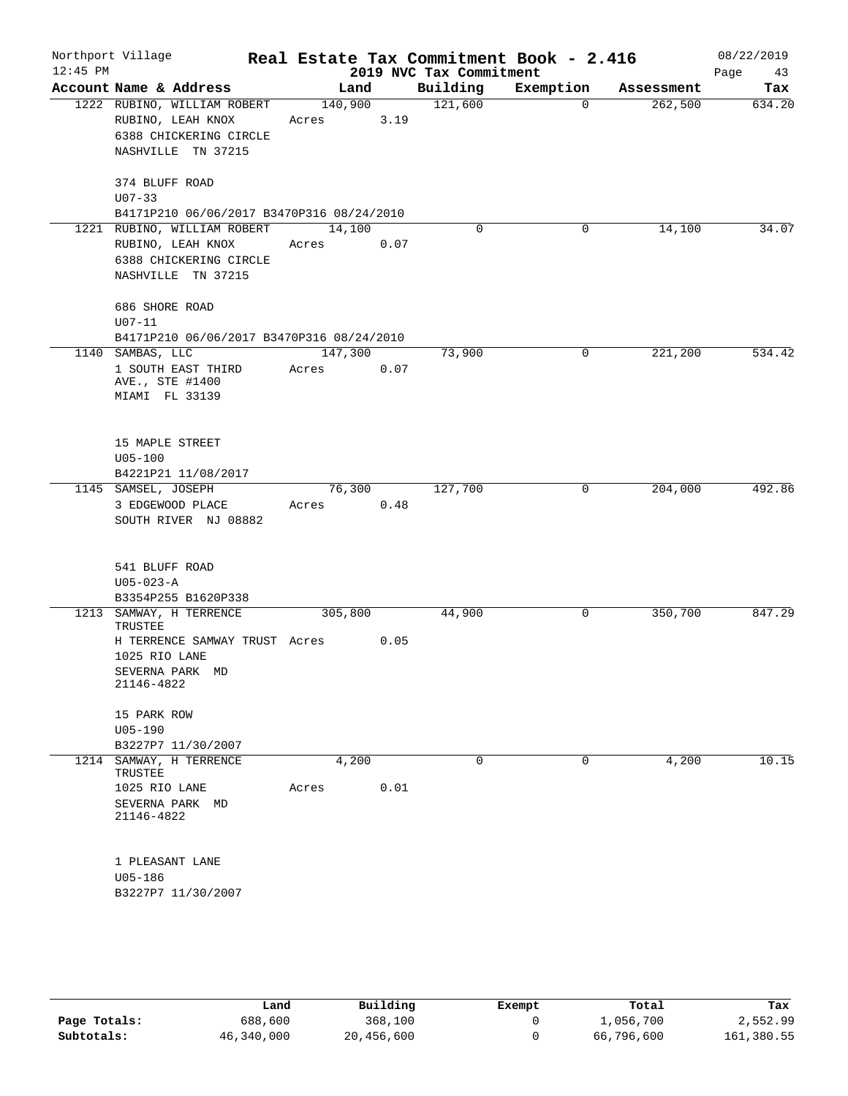| Account Name & Address                                                                           |                                                                                                                         |                               |                                                                                                                                           | 2019 NVC Tax Commitment |            | Page<br>43        |
|--------------------------------------------------------------------------------------------------|-------------------------------------------------------------------------------------------------------------------------|-------------------------------|-------------------------------------------------------------------------------------------------------------------------------------------|-------------------------|------------|-------------------|
|                                                                                                  | Land                                                                                                                    |                               | Building                                                                                                                                  | Exemption               | Assessment | Tax               |
| 1222 RUBINO, WILLIAM ROBERT<br>RUBINO, LEAH KNOX<br>6388 CHICKERING CIRCLE<br>NASHVILLE TN 37215 | 140,900<br>Acres                                                                                                        | 3.19                          | 121,600                                                                                                                                   | $\mathbf 0$             | 262,500    | 634.20            |
| 374 BLUFF ROAD<br>$U07 - 33$                                                                     |                                                                                                                         |                               |                                                                                                                                           |                         |            |                   |
|                                                                                                  |                                                                                                                         |                               |                                                                                                                                           |                         |            |                   |
| RUBINO, LEAH KNOX<br>6388 CHICKERING CIRCLE<br>NASHVILLE TN 37215                                | Acres                                                                                                                   | 0.07                          |                                                                                                                                           |                         |            | 34.07             |
| 686 SHORE ROAD<br>$U07 - 11$                                                                     |                                                                                                                         |                               |                                                                                                                                           |                         |            |                   |
|                                                                                                  |                                                                                                                         |                               |                                                                                                                                           |                         |            |                   |
| 1 SOUTH EAST THIRD<br>AVE., STE #1400<br>MIAMI FL 33139                                          | Acres                                                                                                                   | 0.07                          |                                                                                                                                           |                         |            | 534.42            |
| 15 MAPLE STREET<br>$U05 - 100$<br>B4221P21 11/08/2017                                            |                                                                                                                         |                               |                                                                                                                                           |                         |            |                   |
| 3 EDGEWOOD PLACE<br>SOUTH RIVER NJ 08882                                                         | Acres                                                                                                                   | 0.48                          | 127,700                                                                                                                                   | 0                       | 204,000    | 492.86            |
| 541 BLUFF ROAD<br>$U05 - 023 - A$<br>B3354P255 B1620P338                                         |                                                                                                                         |                               |                                                                                                                                           |                         |            |                   |
| TRUSTEE<br>1025 RIO LANE<br>SEVERNA PARK MD<br>21146-4822                                        |                                                                                                                         | 0.05                          | 44,900                                                                                                                                    | 0                       | 350,700    | 847.29            |
| 15 PARK ROW<br>$U05 - 190$<br>B3227P7 11/30/2007                                                 |                                                                                                                         |                               |                                                                                                                                           |                         |            |                   |
| TRUSTEE<br>1025 RIO LANE<br>SEVERNA PARK MD<br>21146-4822                                        | Acres                                                                                                                   | 0.01                          | 0                                                                                                                                         | $\mathsf{O}$            | 4,200      | 10.15             |
| 1 PLEASANT LANE<br>$U05 - 186$<br>B3227P7 11/30/2007                                             |                                                                                                                         |                               |                                                                                                                                           |                         |            |                   |
| 1221                                                                                             | RUBINO, WILLIAM ROBERT<br>1140 SAMBAS, LLC<br>1145 SAMSEL, JOSEPH<br>1213 SAMWAY, H TERRENCE<br>1214 SAMWAY, H TERRENCE | H TERRENCE SAMWAY TRUST Acres | B4171P210 06/06/2017 B3470P316 08/24/2010<br>14,100<br>B4171P210 06/06/2017 B3470P316 08/24/2010<br>147,300<br>76,300<br>305,800<br>4,200 | $\Omega$<br>73,900      | 0<br>0     | 14,100<br>221,200 |

|              | Land       | Building   | Exempt | Total      | Tax        |
|--------------|------------|------------|--------|------------|------------|
| Page Totals: | 688,600    | 368,100    |        | l,056,700  | 2,552.99   |
| Subtotals:   | 46,340,000 | 20,456,600 |        | 66,796,600 | 161,380.55 |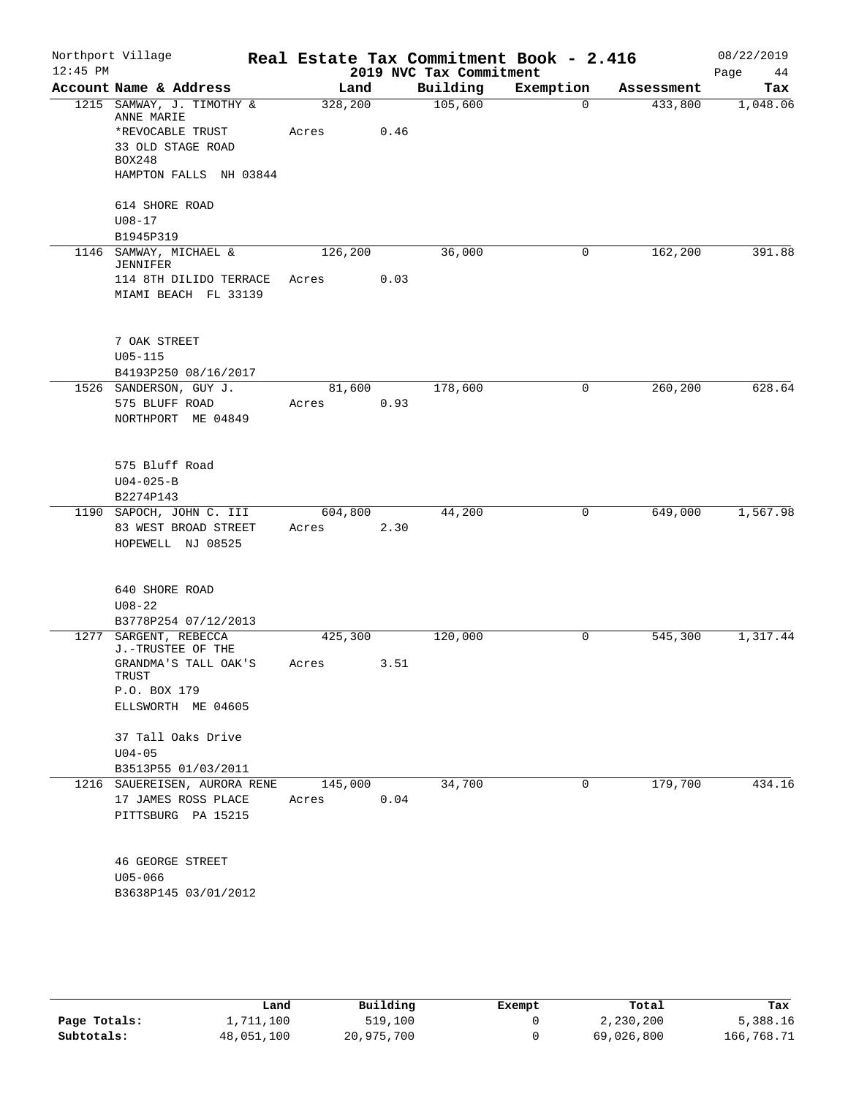| Account Name & Address<br>Building<br>Exemption<br>Land<br>Assessment<br>105,600<br>1215 SAMWAY, J. TIMOTHY &<br>328,200<br>$\Omega$<br>433,800<br>ANNE MARIE<br>*REVOCABLE TRUST<br>Acres<br>0.46<br>33 OLD STAGE ROAD<br><b>BOX248</b><br>HAMPTON FALLS NH 03844<br>614 SHORE ROAD<br>$U08 - 17$<br>B1945P319<br>1146 SAMWAY, MICHAEL &<br>126,200<br>36,000<br>162,200<br>0<br>JENNIFER<br>114 8TH DILIDO TERRACE<br>0.03<br>Acres<br>MIAMI BEACH FL 33139<br>7 OAK STREET<br>$U05 - 115$<br>B4193P250 08/16/2017<br>1526 SANDERSON, GUY J.<br>81,600<br>178,600<br>260,200<br>0<br>0.93<br>575 BLUFF ROAD<br>Acres<br>NORTHPORT ME 04849<br>575 Bluff Road<br>$U04 - 025 - B$<br>B2274P143<br>1190 SAPOCH, JOHN C. III<br>604,800<br>44,200<br>649,000<br>0<br>2.30<br>83 WEST BROAD STREET<br>Acres<br>HOPEWELL NJ 08525<br>640 SHORE ROAD<br>$U08 - 22$<br>B3778P254 07/12/2013<br>1277 SARGENT, REBECCA<br>120,000<br>425,300<br>0<br>545,300 | $12:45$ PM | Northport Village |  | 2019 NVC Tax Commitment | Real Estate Tax Commitment Book - 2.416 | 08/22/2019<br>Page<br>44 |
|------------------------------------------------------------------------------------------------------------------------------------------------------------------------------------------------------------------------------------------------------------------------------------------------------------------------------------------------------------------------------------------------------------------------------------------------------------------------------------------------------------------------------------------------------------------------------------------------------------------------------------------------------------------------------------------------------------------------------------------------------------------------------------------------------------------------------------------------------------------------------------------------------------------------------------------------------|------------|-------------------|--|-------------------------|-----------------------------------------|--------------------------|
|                                                                                                                                                                                                                                                                                                                                                                                                                                                                                                                                                                                                                                                                                                                                                                                                                                                                                                                                                      |            |                   |  |                         |                                         | Tax                      |
|                                                                                                                                                                                                                                                                                                                                                                                                                                                                                                                                                                                                                                                                                                                                                                                                                                                                                                                                                      |            |                   |  |                         |                                         | 1,048.06                 |
|                                                                                                                                                                                                                                                                                                                                                                                                                                                                                                                                                                                                                                                                                                                                                                                                                                                                                                                                                      |            |                   |  |                         |                                         |                          |
|                                                                                                                                                                                                                                                                                                                                                                                                                                                                                                                                                                                                                                                                                                                                                                                                                                                                                                                                                      |            |                   |  |                         |                                         |                          |
|                                                                                                                                                                                                                                                                                                                                                                                                                                                                                                                                                                                                                                                                                                                                                                                                                                                                                                                                                      |            |                   |  |                         |                                         |                          |
|                                                                                                                                                                                                                                                                                                                                                                                                                                                                                                                                                                                                                                                                                                                                                                                                                                                                                                                                                      |            |                   |  |                         |                                         |                          |
|                                                                                                                                                                                                                                                                                                                                                                                                                                                                                                                                                                                                                                                                                                                                                                                                                                                                                                                                                      |            |                   |  |                         |                                         |                          |
|                                                                                                                                                                                                                                                                                                                                                                                                                                                                                                                                                                                                                                                                                                                                                                                                                                                                                                                                                      |            |                   |  |                         |                                         |                          |
|                                                                                                                                                                                                                                                                                                                                                                                                                                                                                                                                                                                                                                                                                                                                                                                                                                                                                                                                                      |            |                   |  |                         |                                         | 391.88                   |
|                                                                                                                                                                                                                                                                                                                                                                                                                                                                                                                                                                                                                                                                                                                                                                                                                                                                                                                                                      |            |                   |  |                         |                                         |                          |
|                                                                                                                                                                                                                                                                                                                                                                                                                                                                                                                                                                                                                                                                                                                                                                                                                                                                                                                                                      |            |                   |  |                         |                                         |                          |
|                                                                                                                                                                                                                                                                                                                                                                                                                                                                                                                                                                                                                                                                                                                                                                                                                                                                                                                                                      |            |                   |  |                         |                                         |                          |
|                                                                                                                                                                                                                                                                                                                                                                                                                                                                                                                                                                                                                                                                                                                                                                                                                                                                                                                                                      |            |                   |  |                         |                                         |                          |
|                                                                                                                                                                                                                                                                                                                                                                                                                                                                                                                                                                                                                                                                                                                                                                                                                                                                                                                                                      |            |                   |  |                         |                                         |                          |
|                                                                                                                                                                                                                                                                                                                                                                                                                                                                                                                                                                                                                                                                                                                                                                                                                                                                                                                                                      |            |                   |  |                         |                                         | 628.64                   |
|                                                                                                                                                                                                                                                                                                                                                                                                                                                                                                                                                                                                                                                                                                                                                                                                                                                                                                                                                      |            |                   |  |                         |                                         |                          |
|                                                                                                                                                                                                                                                                                                                                                                                                                                                                                                                                                                                                                                                                                                                                                                                                                                                                                                                                                      |            |                   |  |                         |                                         |                          |
|                                                                                                                                                                                                                                                                                                                                                                                                                                                                                                                                                                                                                                                                                                                                                                                                                                                                                                                                                      |            |                   |  |                         |                                         |                          |
|                                                                                                                                                                                                                                                                                                                                                                                                                                                                                                                                                                                                                                                                                                                                                                                                                                                                                                                                                      |            |                   |  |                         |                                         |                          |
|                                                                                                                                                                                                                                                                                                                                                                                                                                                                                                                                                                                                                                                                                                                                                                                                                                                                                                                                                      |            |                   |  |                         |                                         |                          |
|                                                                                                                                                                                                                                                                                                                                                                                                                                                                                                                                                                                                                                                                                                                                                                                                                                                                                                                                                      |            |                   |  |                         |                                         | 1,567.98                 |
|                                                                                                                                                                                                                                                                                                                                                                                                                                                                                                                                                                                                                                                                                                                                                                                                                                                                                                                                                      |            |                   |  |                         |                                         |                          |
|                                                                                                                                                                                                                                                                                                                                                                                                                                                                                                                                                                                                                                                                                                                                                                                                                                                                                                                                                      |            |                   |  |                         |                                         |                          |
|                                                                                                                                                                                                                                                                                                                                                                                                                                                                                                                                                                                                                                                                                                                                                                                                                                                                                                                                                      |            |                   |  |                         |                                         |                          |
|                                                                                                                                                                                                                                                                                                                                                                                                                                                                                                                                                                                                                                                                                                                                                                                                                                                                                                                                                      |            |                   |  |                         |                                         |                          |
|                                                                                                                                                                                                                                                                                                                                                                                                                                                                                                                                                                                                                                                                                                                                                                                                                                                                                                                                                      |            |                   |  |                         |                                         |                          |
|                                                                                                                                                                                                                                                                                                                                                                                                                                                                                                                                                                                                                                                                                                                                                                                                                                                                                                                                                      |            | J.-TRUSTEE OF THE |  |                         |                                         | 1,317.44                 |
| 3.51<br>GRANDMA'S TALL OAK'S<br>Acres                                                                                                                                                                                                                                                                                                                                                                                                                                                                                                                                                                                                                                                                                                                                                                                                                                                                                                                |            |                   |  |                         |                                         |                          |
| TRUST                                                                                                                                                                                                                                                                                                                                                                                                                                                                                                                                                                                                                                                                                                                                                                                                                                                                                                                                                |            |                   |  |                         |                                         |                          |
| P.O. BOX 179                                                                                                                                                                                                                                                                                                                                                                                                                                                                                                                                                                                                                                                                                                                                                                                                                                                                                                                                         |            |                   |  |                         |                                         |                          |
| ELLSWORTH ME 04605                                                                                                                                                                                                                                                                                                                                                                                                                                                                                                                                                                                                                                                                                                                                                                                                                                                                                                                                   |            |                   |  |                         |                                         |                          |
| 37 Tall Oaks Drive                                                                                                                                                                                                                                                                                                                                                                                                                                                                                                                                                                                                                                                                                                                                                                                                                                                                                                                                   |            |                   |  |                         |                                         |                          |
| $U04 - 05$                                                                                                                                                                                                                                                                                                                                                                                                                                                                                                                                                                                                                                                                                                                                                                                                                                                                                                                                           |            |                   |  |                         |                                         |                          |
| B3513P55 01/03/2011                                                                                                                                                                                                                                                                                                                                                                                                                                                                                                                                                                                                                                                                                                                                                                                                                                                                                                                                  |            |                   |  |                         |                                         |                          |
| 179,700<br>34,700<br>1216<br>SAUEREISEN, AURORA RENE<br>145,000<br>0                                                                                                                                                                                                                                                                                                                                                                                                                                                                                                                                                                                                                                                                                                                                                                                                                                                                                 |            |                   |  |                         |                                         | 434.16                   |
| 0.04<br>17 JAMES ROSS PLACE<br>Acres                                                                                                                                                                                                                                                                                                                                                                                                                                                                                                                                                                                                                                                                                                                                                                                                                                                                                                                 |            |                   |  |                         |                                         |                          |
| PITTSBURG PA 15215                                                                                                                                                                                                                                                                                                                                                                                                                                                                                                                                                                                                                                                                                                                                                                                                                                                                                                                                   |            |                   |  |                         |                                         |                          |
| <b>46 GEORGE STREET</b>                                                                                                                                                                                                                                                                                                                                                                                                                                                                                                                                                                                                                                                                                                                                                                                                                                                                                                                              |            |                   |  |                         |                                         |                          |
| U05-066                                                                                                                                                                                                                                                                                                                                                                                                                                                                                                                                                                                                                                                                                                                                                                                                                                                                                                                                              |            |                   |  |                         |                                         |                          |
| B3638P145 03/01/2012                                                                                                                                                                                                                                                                                                                                                                                                                                                                                                                                                                                                                                                                                                                                                                                                                                                                                                                                 |            |                   |  |                         |                                         |                          |
|                                                                                                                                                                                                                                                                                                                                                                                                                                                                                                                                                                                                                                                                                                                                                                                                                                                                                                                                                      |            |                   |  |                         |                                         |                          |

|              | Land       | Building   | Exempt | Total      | Tax        |
|--------------|------------|------------|--------|------------|------------|
| Page Totals: | 1,711,100  | 519,100    |        | 2,230,200  | 5,388.16   |
| Subtotals:   | 48,051,100 | 20,975,700 |        | 69,026,800 | 166,768.71 |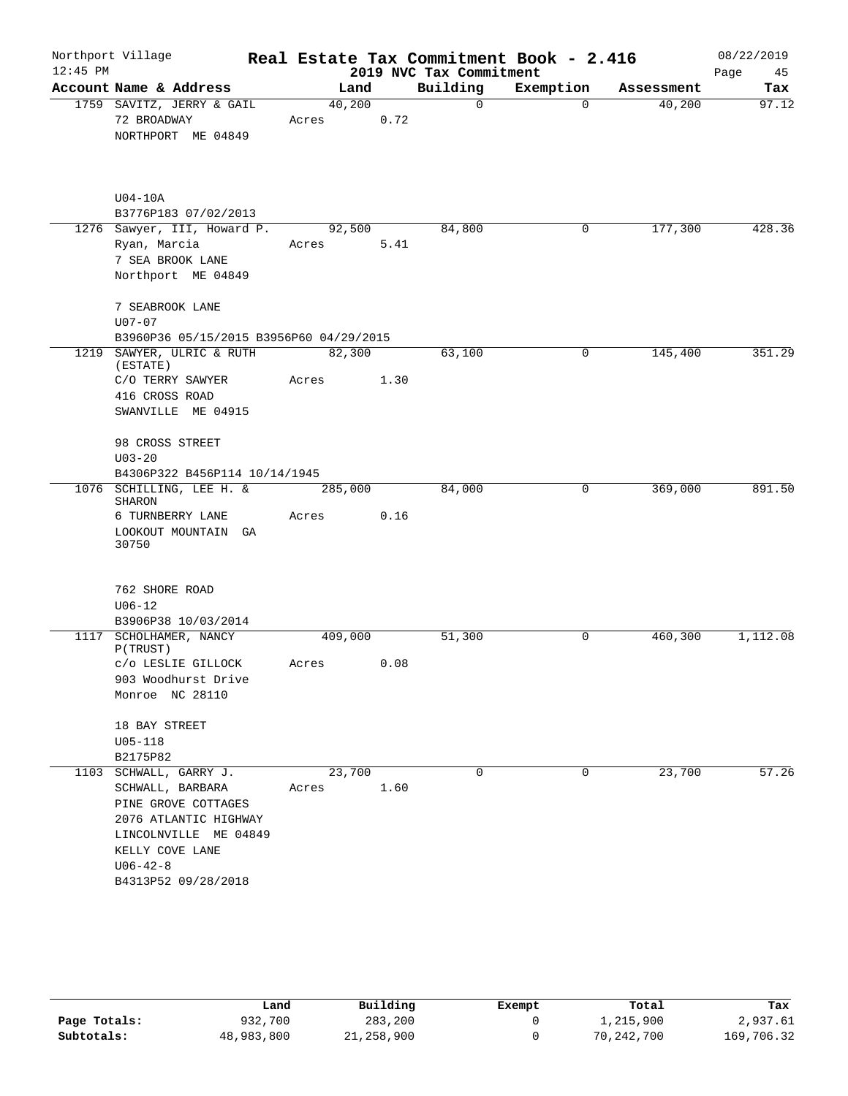|            | Northport Village                                                                                                                                                               |                 |      |                         | Real Estate Tax Commitment Book - 2.416 |            | 08/22/2019 |
|------------|---------------------------------------------------------------------------------------------------------------------------------------------------------------------------------|-----------------|------|-------------------------|-----------------------------------------|------------|------------|
| $12:45$ PM |                                                                                                                                                                                 |                 |      | 2019 NVC Tax Commitment |                                         |            | Page<br>45 |
|            | Account Name & Address                                                                                                                                                          | Land            |      | Building                | Exemption                               | Assessment | Tax        |
|            | 1759 SAVITZ, JERRY & GAIL<br>72 BROADWAY<br>NORTHPORT ME 04849                                                                                                                  | 40,200<br>Acres | 0.72 | $\mathsf{O}$            | $\Omega$                                | 40,200     | 97.12      |
|            | $U04-10A$<br>B3776P183 07/02/2013                                                                                                                                               |                 |      |                         |                                         |            |            |
|            | 1276 Sawyer, III, Howard P.<br>Ryan, Marcia<br>7 SEA BROOK LANE<br>Northport ME 04849                                                                                           | 92,500<br>Acres | 5.41 | 84,800                  | 0                                       | 177,300    | 428.36     |
|            | 7 SEABROOK LANE<br>$U07 - 07$<br>B3960P36 05/15/2015 B3956P60 04/29/2015                                                                                                        |                 |      |                         |                                         |            |            |
| 1219       | SAWYER, ULRIC & RUTH<br>(ESTATE)<br>C/O TERRY SAWYER                                                                                                                            | 82,300<br>Acres | 1.30 | 63,100                  | 0                                       | 145,400    | 351.29     |
|            | 416 CROSS ROAD<br>SWANVILLE ME 04915                                                                                                                                            |                 |      |                         |                                         |            |            |
|            | 98 CROSS STREET<br>$U03 - 20$<br>B4306P322 B456P114 10/14/1945                                                                                                                  |                 |      |                         |                                         |            |            |
|            | 1076 SCHILLING, LEE H. &<br>SHARON                                                                                                                                              | 285,000         |      | 84,000                  | 0                                       | 369,000    | 891.50     |
|            | 6 TURNBERRY LANE<br>LOOKOUT MOUNTAIN GA<br>30750                                                                                                                                | Acres           | 0.16 |                         |                                         |            |            |
|            | 762 SHORE ROAD<br>$U06 - 12$<br>B3906P38 10/03/2014                                                                                                                             |                 |      |                         |                                         |            |            |
| 1117       | SCHOLHAMER, NANCY<br>P(TRUST)                                                                                                                                                   | 409,000         |      | 51,300                  | 0                                       | 460,300    | 1,112.08   |
|            | C/O LESLIE GILLOCK<br>903 Woodhurst Drive<br>Monroe NC 28110                                                                                                                    | Acres           | 0.08 |                         |                                         |            |            |
|            | 18 BAY STREET<br>$U05 - 118$<br>B2175P82                                                                                                                                        |                 |      |                         |                                         |            |            |
|            | 1103 SCHWALL, GARRY J.<br>SCHWALL, BARBARA<br>PINE GROVE COTTAGES<br>2076 ATLANTIC HIGHWAY<br>LINCOLNVILLE ME 04849<br>KELLY COVE LANE<br>$U06 - 42 - 8$<br>B4313P52 09/28/2018 | 23,700<br>Acres | 1.60 | 0                       | $\mathbf 0$                             | 23,700     | 57.26      |

|              | Land       | Building     | Exempt | Total      | Tax        |
|--------------|------------|--------------|--------|------------|------------|
| Page Totals: | 932,700    | 283,200      |        | 1,215,900  | 2,937.61   |
| Subtotals:   | 48,983,800 | 21, 258, 900 |        | 70,242,700 | 169,706.32 |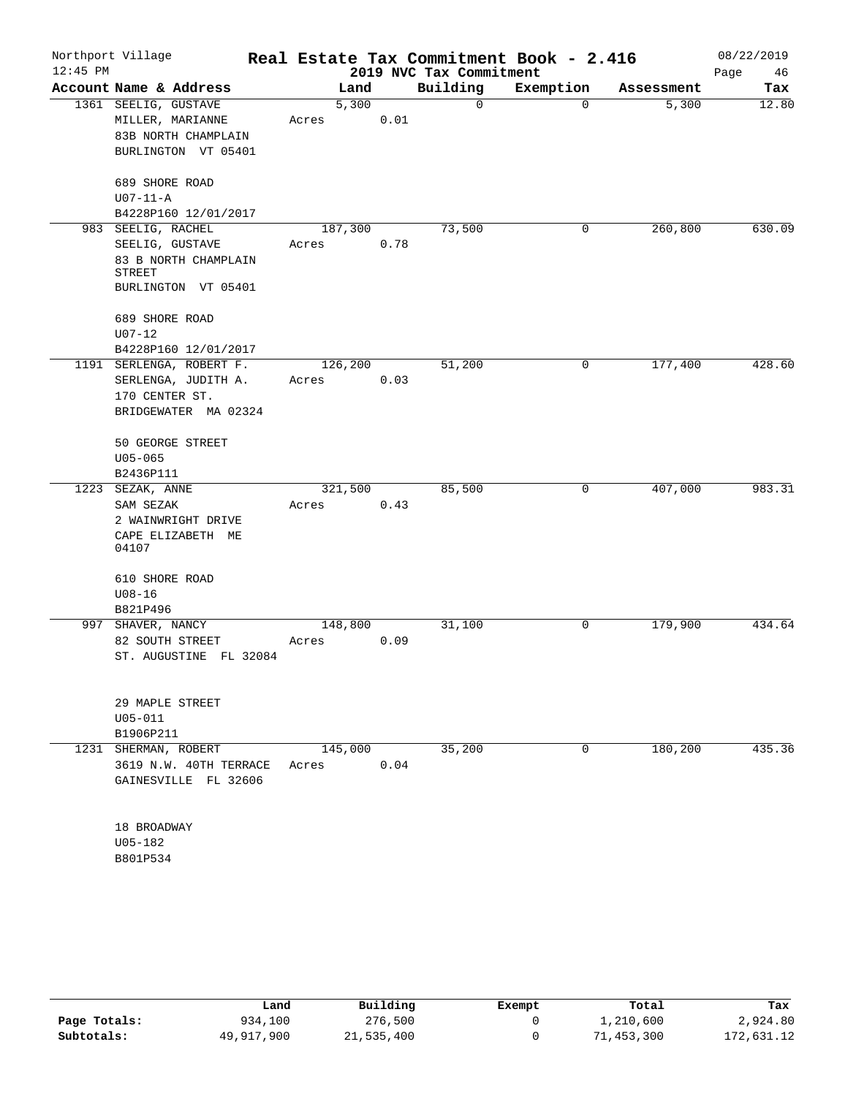| $12:45$ PM | Northport Village                                                                              |                  |      | 2019 NVC Tax Commitment | Real Estate Tax Commitment Book - 2.416 |            | 08/22/2019<br>Page<br>46 |
|------------|------------------------------------------------------------------------------------------------|------------------|------|-------------------------|-----------------------------------------|------------|--------------------------|
|            | Account Name & Address                                                                         | Land             |      | Building                | Exemption                               | Assessment | Tax                      |
|            | 1361 SEELIG, GUSTAVE<br>MILLER, MARIANNE<br>83B NORTH CHAMPLAIN<br>BURLINGTON VT 05401         | 5,300<br>Acres   | 0.01 | 0                       | $\mathbf 0$                             | 5,300      | 12.80                    |
|            | 689 SHORE ROAD<br>$U07-11-A$<br>B4228P160 12/01/2017                                           |                  |      |                         |                                         |            |                          |
|            | 983 SEELIG, RACHEL<br>SEELIG, GUSTAVE<br>83 B NORTH CHAMPLAIN<br>STREET<br>BURLINGTON VT 05401 | 187,300<br>Acres | 0.78 | 73,500                  | 0                                       | 260, 800   | 630.09                   |
|            | 689 SHORE ROAD<br>$U07 - 12$<br>B4228P160 12/01/2017                                           |                  |      |                         |                                         |            |                          |
|            | 1191 SERLENGA, ROBERT F.<br>SERLENGA, JUDITH A.<br>170 CENTER ST.<br>BRIDGEWATER MA 02324      | 126,200<br>Acres | 0.03 | 51,200                  | 0                                       | 177,400    | 428.60                   |
|            | 50 GEORGE STREET<br>$U05 - 065$<br>B2436P111                                                   |                  |      |                         |                                         |            |                          |
|            | 1223 SEZAK, ANNE<br>SAM SEZAK<br>2 WAINWRIGHT DRIVE<br>CAPE ELIZABETH ME<br>04107              | 321,500<br>Acres | 0.43 | 85,500                  | 0                                       | 407,000    | 983.31                   |
|            | 610 SHORE ROAD<br>$U08 - 16$<br>B821P496                                                       |                  |      |                         |                                         |            |                          |
|            | 997 SHAVER, NANCY<br>82 SOUTH STREET<br>ST. AUGUSTINE FL 32084                                 | 148,800<br>Acres | 0.09 | 31,100                  | 0                                       | 179,900    | 434.64                   |
|            | 29 MAPLE STREET<br>$U05 - 011$<br>B1906P211                                                    |                  |      |                         |                                         |            |                          |
|            | 1231 SHERMAN, ROBERT<br>3619 N.W. 40TH TERRACE<br>GAINESVILLE FL 32606                         | 145,000<br>Acres | 0.04 | 35,200                  | $\overline{0}$                          | 180,200    | 435.36                   |
|            | 18 BROADWAY<br>U05-182<br>B801P534                                                             |                  |      |                         |                                         |            |                          |

|              | Land       | Building   | Exempt | Total      | Tax        |
|--------------|------------|------------|--------|------------|------------|
| Page Totals: | 934,100    | 276,500    |        | 1,210,600  | 2,924.80   |
| Subtotals:   | 49,917,900 | 21,535,400 |        | 71,453,300 | 172,631.12 |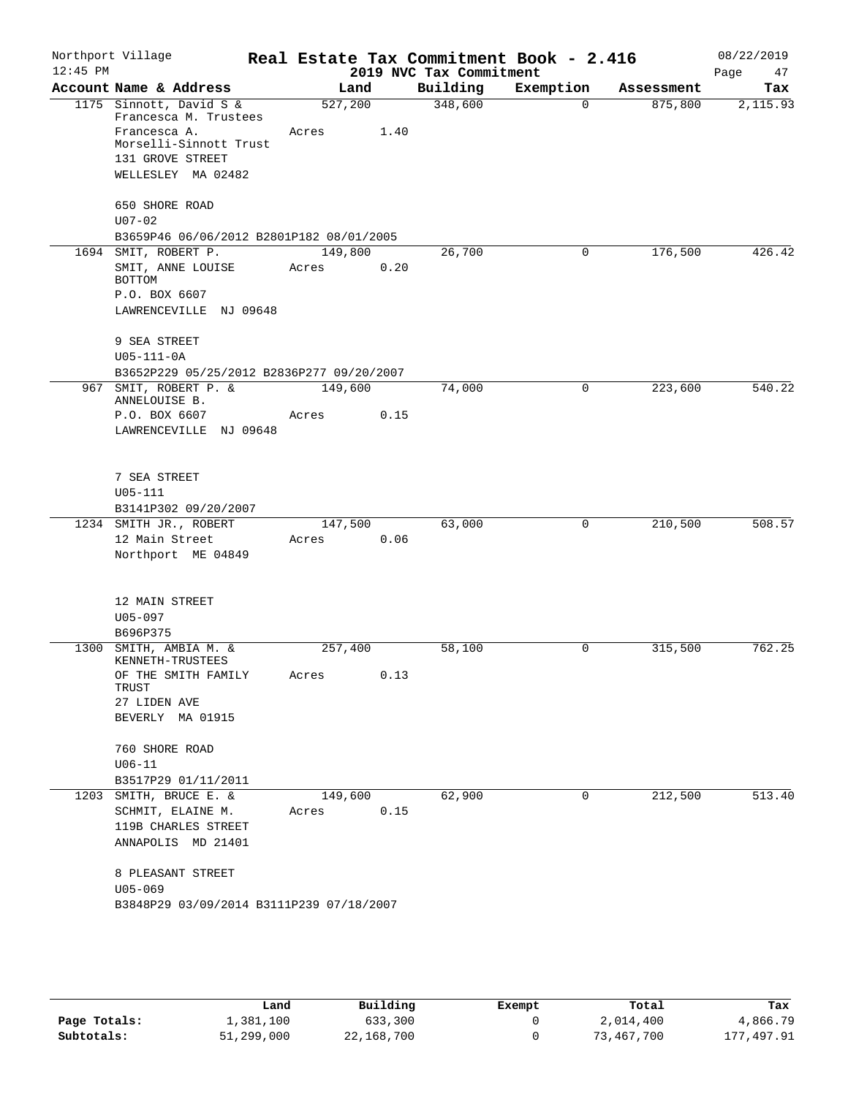| $12:45$ PM     | Northport Village                                                |                  |      | 2019 NVC Tax Commitment | Real Estate Tax Commitment Book - 2.416 |            | 08/22/2019<br>Page<br>47 |
|----------------|------------------------------------------------------------------|------------------|------|-------------------------|-----------------------------------------|------------|--------------------------|
|                | Account Name & Address                                           | Land             |      | Building                | Exemption                               | Assessment | Tax                      |
|                | 1175 Sinnott, David S &<br>Francesca M. Trustees<br>Francesca A. | 527,200<br>Acres | 1.40 | 348,600                 | $\mathbf 0$                             | 875,800    | 2,115.93                 |
|                | Morselli-Sinnott Trust<br>131 GROVE STREET                       |                  |      |                         |                                         |            |                          |
|                | WELLESLEY MA 02482                                               |                  |      |                         |                                         |            |                          |
|                | 650 SHORE ROAD<br>$U07 - 02$                                     |                  |      |                         |                                         |            |                          |
|                | B3659P46 06/06/2012 B2801P182 08/01/2005                         |                  |      |                         |                                         |            |                          |
|                | 1694 SMIT, ROBERT P.                                             | 149,800          |      | 26,700                  | 0                                       | 176,500    | 426.42                   |
|                | SMIT, ANNE LOUISE<br>BOTTOM                                      | Acres            | 0.20 |                         |                                         |            |                          |
|                | P.O. BOX 6607<br>LAWRENCEVILLE NJ 09648                          |                  |      |                         |                                         |            |                          |
|                | 9 SEA STREET<br>$U05 - 111 - 0A$                                 |                  |      |                         |                                         |            |                          |
|                | B3652P229 05/25/2012 B2836P277 09/20/2007                        |                  |      |                         |                                         |            |                          |
| 967            | SMIT, ROBERT P. &<br>ANNELOUISE B.                               | 149,600          |      | 74,000                  | $\mathbf 0$                             | 223,600    | 540.22                   |
|                | P.O. BOX 6607                                                    | Acres            | 0.15 |                         |                                         |            |                          |
|                | LAWRENCEVILLE NJ 09648                                           |                  |      |                         |                                         |            |                          |
|                | 7 SEA STREET                                                     |                  |      |                         |                                         |            |                          |
|                | U05-111                                                          |                  |      |                         |                                         |            |                          |
|                | B3141P302 09/20/2007                                             |                  |      |                         |                                         |            |                          |
|                | 1234 SMITH JR., ROBERT                                           | 147,500          |      | 63,000                  | 0                                       | 210,500    | 508.57                   |
| 12 Main Street | Northport ME 04849                                               | Acres            | 0.06 |                         |                                         |            |                          |
|                | 12 MAIN STREET                                                   |                  |      |                         |                                         |            |                          |
|                | U05-097                                                          |                  |      |                         |                                         |            |                          |
|                | B696P375                                                         |                  |      |                         |                                         |            |                          |
| 1300           | SMITH, AMBIA M. &                                                | 257,400          |      | 58,100                  | 0                                       | 315,500    | 762.25                   |
|                | KENNETH-TRUSTEES<br>OF THE SMITH FAMILY<br>TRUST                 | Acres            | 0.13 |                         |                                         |            |                          |
|                | 27 LIDEN AVE<br>BEVERLY MA 01915                                 |                  |      |                         |                                         |            |                          |
|                | 760 SHORE ROAD                                                   |                  |      |                         |                                         |            |                          |
|                | $U06 - 11$                                                       |                  |      |                         |                                         |            |                          |
|                | B3517P29 01/11/2011<br>1203 SMITH, BRUCE E. &                    | 149,600          |      | 62,900                  | 0                                       | 212,500    | 513.40                   |
|                | SCHMIT, ELAINE M.<br>119B CHARLES STREET                         | Acres            | 0.15 |                         |                                         |            |                          |
|                | ANNAPOLIS MD 21401                                               |                  |      |                         |                                         |            |                          |
|                | 8 PLEASANT STREET<br>$U05 - 069$                                 |                  |      |                         |                                         |            |                          |
|                | B3848P29 03/09/2014 B3111P239 07/18/2007                         |                  |      |                         |                                         |            |                          |
|                |                                                                  |                  |      |                         |                                         |            |                          |

|              | Land       | Building   | Exempt | Total      | Tax             |
|--------------|------------|------------|--------|------------|-----------------|
| Page Totals: | l,381,100  | 633,300    |        | 2,014,400  | 4,866.79        |
| Subtotals:   | 51,299,000 | 22,168,700 |        | 73,467,700 | 1,497.91<br>177 |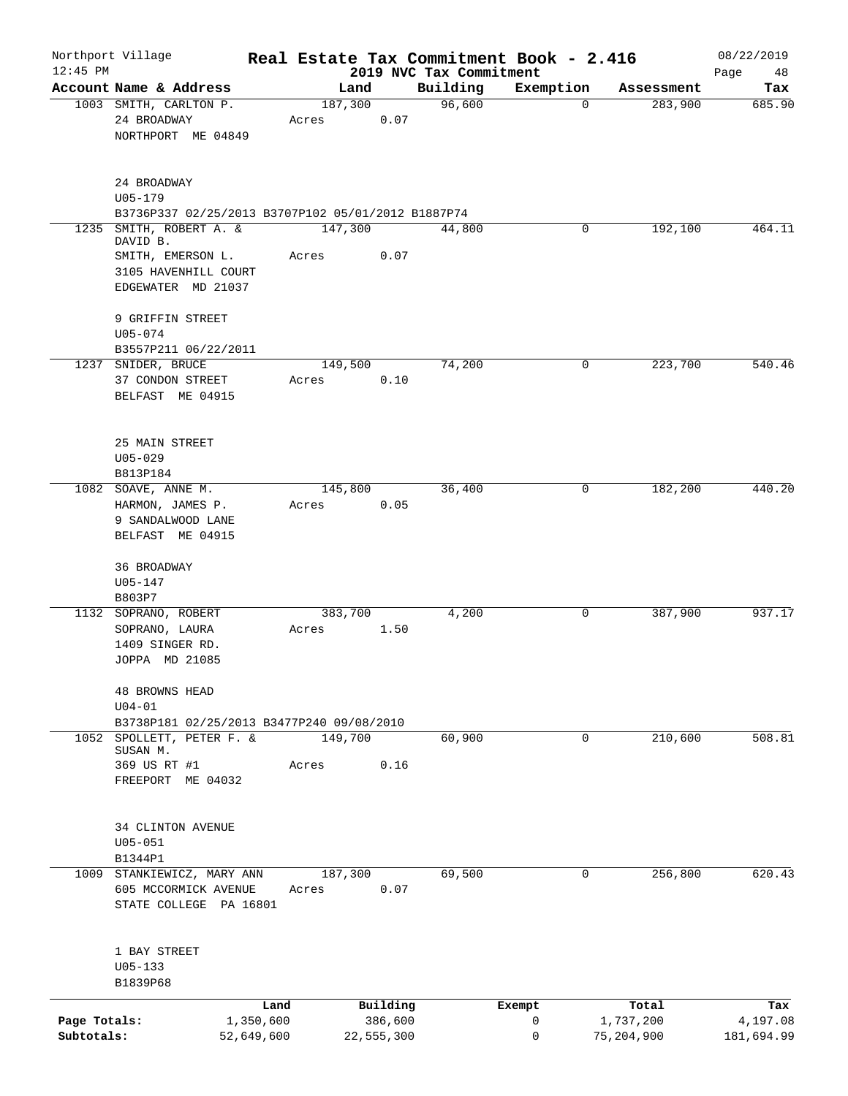| $12:45$ PM                 | Northport Village                                                                                 |                                 |         |                                   |                                     | Real Estate Tax Commitment Book - 2.416 |                                  | 08/22/2019                    |
|----------------------------|---------------------------------------------------------------------------------------------------|---------------------------------|---------|-----------------------------------|-------------------------------------|-----------------------------------------|----------------------------------|-------------------------------|
|                            | Account Name & Address                                                                            |                                 | Land    |                                   | 2019 NVC Tax Commitment<br>Building | Exemption                               | Assessment                       | Page<br>48<br>Tax             |
|                            | 1003 SMITH, CARLTON P.<br>24 BROADWAY<br>NORTHPORT ME 04849                                       | Acres                           | 187,300 | 0.07                              | 96,600                              | $\Omega$                                | 283,900                          | 685.90                        |
|                            | 24 BROADWAY<br>$U05 - 179$<br>B3736P337 02/25/2013 B3707P102 05/01/2012 B1887P74                  |                                 |         |                                   |                                     |                                         |                                  |                               |
| 1235                       | SMITH, ROBERT A. &<br>DAVID B.<br>SMITH, EMERSON L.<br>3105 HAVENHILL COURT<br>EDGEWATER MD 21037 | Acres                           | 147,300 | 0.07                              | 44,800                              | 0                                       | 192,100                          | 464.11                        |
|                            | 9 GRIFFIN STREET<br>$U05 - 074$<br>B3557P211 06/22/2011                                           |                                 |         |                                   |                                     |                                         |                                  |                               |
|                            | 1237 SNIDER, BRUCE<br>37 CONDON STREET<br>BELFAST ME 04915                                        | Acres                           | 149,500 | 0.10                              | 74,200                              | 0                                       | 223,700                          | 540.46                        |
|                            | 25 MAIN STREET<br>$U05 - 029$<br>B813P184                                                         |                                 |         |                                   |                                     |                                         |                                  |                               |
|                            | 1082 SOAVE, ANNE M.<br>HARMON, JAMES P.<br>9 SANDALWOOD LANE<br>BELFAST ME 04915                  | Acres                           | 145,800 | 0.05                              | 36,400                              | $\mathbf 0$                             | 182,200                          | 440.20                        |
|                            | 36 BROADWAY<br>$U05 - 147$<br>B803P7                                                              |                                 |         |                                   |                                     |                                         |                                  |                               |
|                            | 1132 SOPRANO, ROBERT<br>SOPRANO, LAURA<br>1409 SINGER RD.<br>JOPPA MD 21085                       | Acres                           | 383,700 | 1.50                              | 4,200                               | 0                                       | 387,900                          | 937.17                        |
|                            | <b>48 BROWNS HEAD</b><br>$U04-01$<br>B3738P181 02/25/2013 B3477P240 09/08/2010                    |                                 |         |                                   |                                     |                                         |                                  |                               |
| 1052                       | SPOLLETT, PETER F. &<br>SUSAN M.<br>369 US RT #1<br>FREEPORT ME 04032                             | Acres                           | 149,700 | 0.16                              | 60,900                              | $\mathbf 0$                             | 210,600                          | 508.81                        |
|                            | <b>34 CLINTON AVENUE</b><br>$U05 - 051$<br>B1344P1                                                |                                 |         |                                   |                                     |                                         |                                  |                               |
| 1009                       | STANKIEWICZ, MARY ANN<br>605 MCCORMICK AVENUE<br>STATE COLLEGE PA 16801                           | Acres                           | 187,300 | 0.07                              | 69,500                              | 0                                       | 256,800                          | 620.43                        |
|                            | 1 BAY STREET<br>$U05 - 133$<br>B1839P68                                                           |                                 |         |                                   |                                     |                                         |                                  |                               |
| Page Totals:<br>Subtotals: |                                                                                                   | Land<br>1,350,600<br>52,649,600 |         | Building<br>386,600<br>22,555,300 |                                     | Exempt<br>0<br>0                        | Total<br>1,737,200<br>75,204,900 | Tax<br>4,197.08<br>181,694.99 |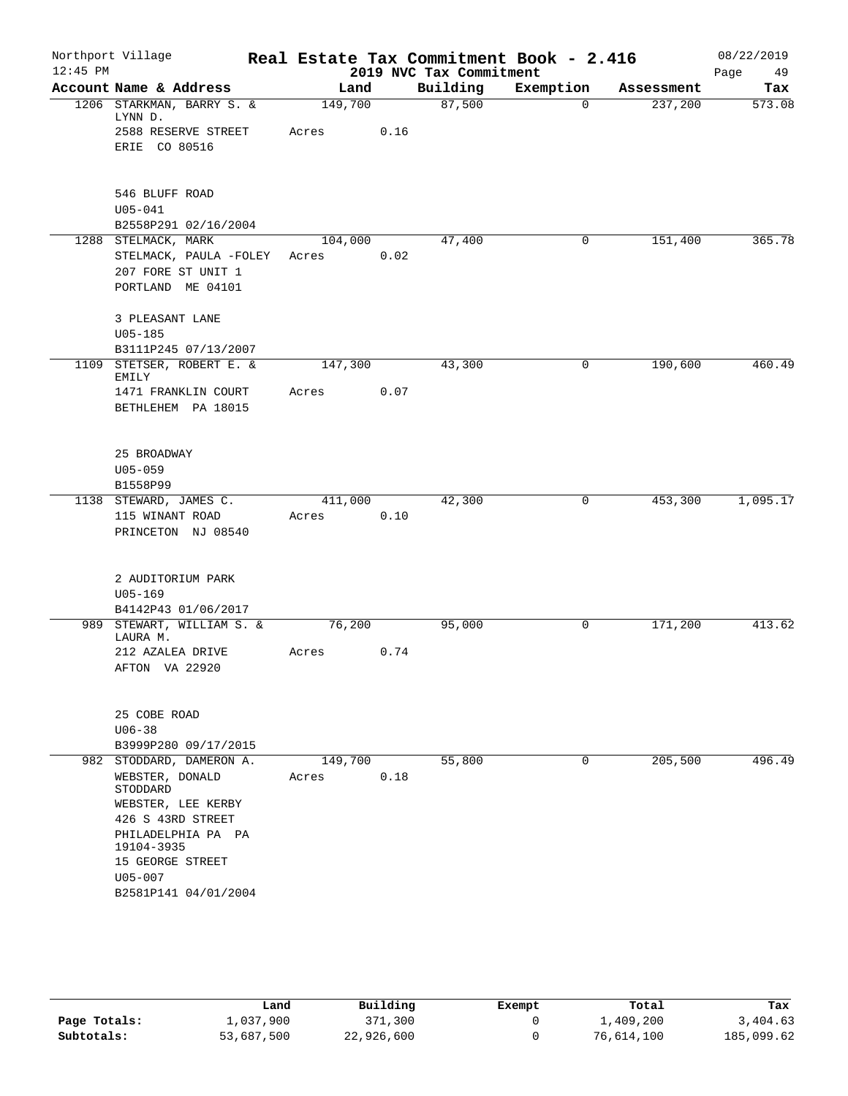| $12:45$ PM | Northport Village                                                                                                        |                   |      | 2019 NVC Tax Commitment | Real Estate Tax Commitment Book - 2.416 |            | 08/22/2019<br>Page<br>49 |
|------------|--------------------------------------------------------------------------------------------------------------------------|-------------------|------|-------------------------|-----------------------------------------|------------|--------------------------|
|            | Account Name & Address                                                                                                   | Land              |      | Building                | Exemption                               | Assessment | Tax                      |
|            | 1206 STARKMAN, BARRY S. &<br>LYNN D.                                                                                     | 149,700           |      | 87,500                  | $\mathbf 0$                             | 237,200    | 573.08                   |
|            | 2588 RESERVE STREET<br>ERIE CO 80516                                                                                     | Acres             | 0.16 |                         |                                         |            |                          |
|            | 546 BLUFF ROAD<br>$U05 - 041$<br>B2558P291 02/16/2004                                                                    |                   |      |                         |                                         |            |                          |
|            | 1288 STELMACK, MARK<br>STELMACK, PAULA -FOLEY<br>207 FORE ST UNIT 1<br>PORTLAND ME 04101                                 | 104, 000<br>Acres | 0.02 | 47,400                  | 0                                       | 151,400    | 365.78                   |
|            | 3 PLEASANT LANE<br>$U05 - 185$<br>B3111P245 07/13/2007                                                                   |                   |      |                         |                                         |            |                          |
|            | 1109 STETSER, ROBERT E. &<br>EMILY                                                                                       | 147,300           |      | 43,300                  | 0                                       | 190,600    | 460.49                   |
|            | 1471 FRANKLIN COURT<br>BETHLEHEM PA 18015                                                                                | Acres             | 0.07 |                         |                                         |            |                          |
|            | 25 BROADWAY<br>$U05 - 059$<br>B1558P99                                                                                   |                   |      |                         |                                         |            |                          |
|            | 1138 STEWARD, JAMES C.<br>115 WINANT ROAD<br>PRINCETON NJ 08540                                                          | 411,000<br>Acres  | 0.10 | 42,300                  | 0                                       | 453,300    | 1,095.17                 |
|            | 2 AUDITORIUM PARK<br>$U05 - 169$<br>B4142P43 01/06/2017                                                                  |                   |      |                         |                                         |            |                          |
|            | 989 STEWART, WILLIAM S. &<br>LAURA M.                                                                                    | 76,200            |      | 95,000                  | 0                                       | 171,200    | 413.62                   |
|            | 212 AZALEA DRIVE<br>AFTON VA 22920                                                                                       | Acres             | 0.74 |                         |                                         |            |                          |
|            | 25 COBE ROAD<br>$U06 - 38$                                                                                               |                   |      |                         |                                         |            |                          |
|            | B3999P280 09/17/2015                                                                                                     |                   |      |                         | $\mathbf 0$                             | 205,500    | 496.49                   |
|            | 982 STODDARD, DAMERON A.<br>WEBSTER, DONALD<br>STODDARD<br>WEBSTER, LEE KERBY<br>426 S 43RD STREET<br>PHILADELPHIA PA PA | 149,700<br>Acres  | 0.18 | 55,800                  |                                         |            |                          |
|            | 19104-3935<br>15 GEORGE STREET<br>$U05 - 007$<br>B2581P141 04/01/2004                                                    |                   |      |                         |                                         |            |                          |

|              | Land       | Building   | Exempt | Total      | Tax        |
|--------------|------------|------------|--------|------------|------------|
| Page Totals: | 1,037,900  | 371,300    |        | 1,409,200  | 3,404.63   |
| Subtotals:   | 53,687,500 | 22,926,600 |        | 76,614,100 | 185,099.62 |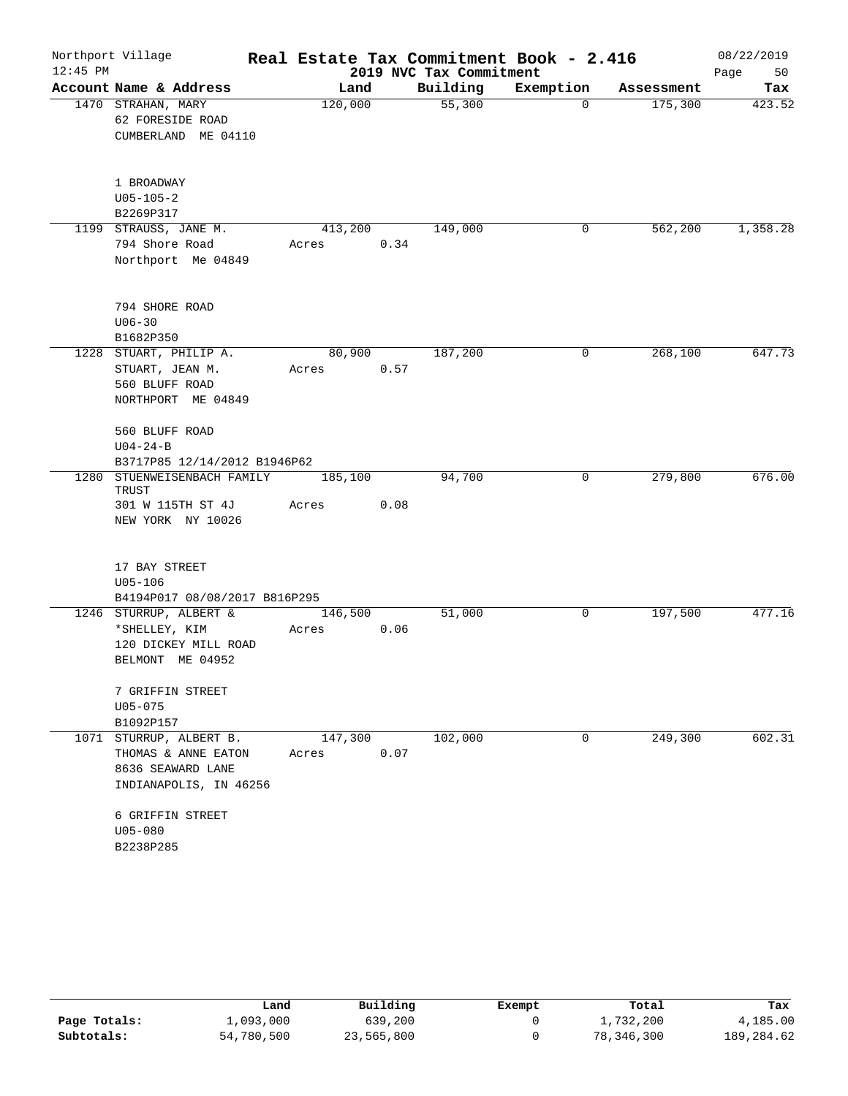|            | Northport Village                                                                             |                  |      |                         | Real Estate Tax Commitment Book - 2.416 |            | 08/22/2019 |
|------------|-----------------------------------------------------------------------------------------------|------------------|------|-------------------------|-----------------------------------------|------------|------------|
| $12:45$ PM |                                                                                               |                  |      | 2019 NVC Tax Commitment |                                         |            | Page<br>50 |
|            | Account Name & Address                                                                        | Land             |      | Building                | Exemption                               | Assessment | Tax        |
|            | 1470 STRAHAN, MARY<br>62 FORESIDE ROAD<br>CUMBERLAND ME 04110                                 | 120,000          |      | 55,300                  | $\Omega$                                | 175,300    | 423.52     |
|            | 1 BROADWAY<br>$U05 - 105 - 2$<br>B2269P317                                                    |                  |      |                         |                                         |            |            |
|            | 1199 STRAUSS, JANE M.<br>794 Shore Road<br>Northport Me 04849                                 | 413,200<br>Acres | 0.34 | 149,000                 | 0                                       | 562,200    | 1,358.28   |
|            | 794 SHORE ROAD<br>$U06 - 30$<br>B1682P350                                                     |                  |      |                         |                                         |            |            |
|            | 1228 STUART, PHILIP A.<br>STUART, JEAN M.<br>560 BLUFF ROAD<br>NORTHPORT ME 04849             | 80,900<br>Acres  | 0.57 | 187,200                 | 0                                       | 268,100    | 647.73     |
|            | 560 BLUFF ROAD<br>$U04 - 24 - B$<br>B3717P85 12/14/2012 B1946P62                              |                  |      |                         |                                         |            |            |
| 1280       | STUENWEISENBACH FAMILY<br>TRUST<br>301 W 115TH ST 4J<br>NEW YORK NY 10026                     | 185,100<br>Acres | 0.08 | 94,700                  | 0                                       | 279,800    | 676.00     |
|            | 17 BAY STREET<br>$U05 - 106$<br>B4194P017 08/08/2017 B816P295                                 |                  |      |                         |                                         |            |            |
|            | 1246 STURRUP, ALBERT &<br>*SHELLEY, KIM<br>120 DICKEY MILL ROAD<br>BELMONT ME 04952           | 146,500<br>Acres | 0.06 | 51,000                  | 0                                       | 197,500    | 477.16     |
|            | 7 GRIFFIN STREET<br>$U05 - 075$<br>B1092P157                                                  |                  |      |                         |                                         |            |            |
|            | 1071 STURRUP, ALBERT B.<br>THOMAS & ANNE EATON<br>8636 SEAWARD LANE<br>INDIANAPOLIS, IN 46256 | 147,300<br>Acres | 0.07 | 102,000                 | 0                                       | 249,300    | 602.31     |
|            | 6 GRIFFIN STREET<br>U05-080<br>B2238P285                                                      |                  |      |                         |                                         |            |            |

|              | Land       | Building   | Exempt | Total      | Tax        |
|--------------|------------|------------|--------|------------|------------|
| Page Totals: | 1,093,000  | 639,200    |        | 1,732,200  | 4,185.00   |
| Subtotals:   | 54,780,500 | 23,565,800 |        | 78,346,300 | 189,284.62 |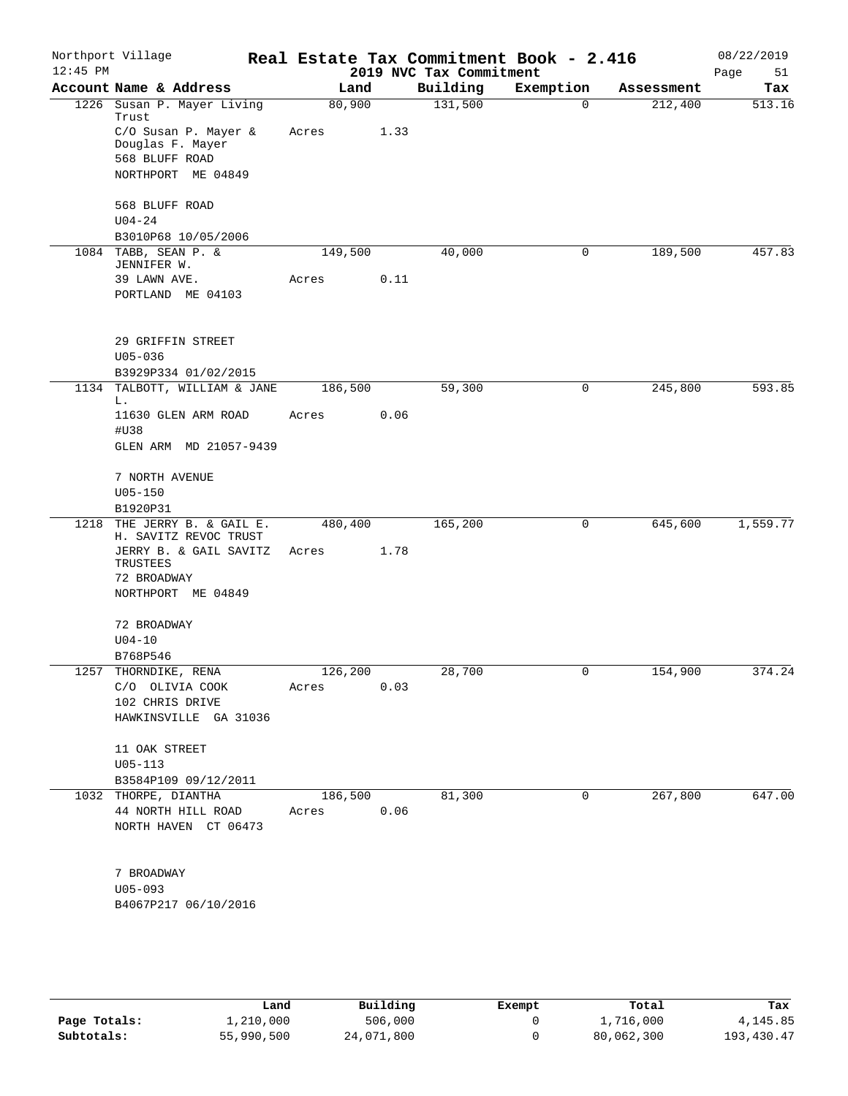| $12:45$ PM | Northport Village                                    |                  |      | 2019 NVC Tax Commitment | Real Estate Tax Commitment Book - 2.416 |            | 08/22/2019<br>Page<br>51 |
|------------|------------------------------------------------------|------------------|------|-------------------------|-----------------------------------------|------------|--------------------------|
|            | Account Name & Address                               | Land             |      | Building                | Exemption                               | Assessment | Tax                      |
|            | 1226 Susan P. Mayer Living<br>Trust                  | 80,900           |      | 131,500                 | $\mathbf 0$                             | 212,400    | 513.16                   |
|            | C/O Susan P. Mayer &<br>Douglas F. Mayer             | Acres            | 1.33 |                         |                                         |            |                          |
|            | 568 BLUFF ROAD                                       |                  |      |                         |                                         |            |                          |
|            | NORTHPORT ME 04849                                   |                  |      |                         |                                         |            |                          |
|            | 568 BLUFF ROAD<br>$U04 - 24$                         |                  |      |                         |                                         |            |                          |
|            | B3010P68 10/05/2006                                  |                  |      |                         |                                         |            |                          |
|            | 1084 TABB, SEAN P. &                                 | 149,500          |      | 40,000                  | 0                                       | 189,500    | 457.83                   |
|            | JENNIFER W.<br>39 LAWN AVE.                          | Acres            | 0.11 |                         |                                         |            |                          |
|            | PORTLAND ME 04103                                    |                  |      |                         |                                         |            |                          |
|            | 29 GRIFFIN STREET                                    |                  |      |                         |                                         |            |                          |
|            | $U05 - 036$                                          |                  |      |                         |                                         |            |                          |
|            | B3929P334 01/02/2015                                 |                  |      |                         |                                         |            |                          |
| 1134       | TALBOTT, WILLIAM & JANE<br>L.<br>11630 GLEN ARM ROAD | 186,500<br>Acres | 0.06 | 59,300                  | $\mathbf 0$                             | 245,800    | 593.85                   |
|            | #U38                                                 |                  |      |                         |                                         |            |                          |
|            | GLEN ARM MD 21057-9439                               |                  |      |                         |                                         |            |                          |
|            | 7 NORTH AVENUE                                       |                  |      |                         |                                         |            |                          |
|            | $U05 - 150$                                          |                  |      |                         |                                         |            |                          |
| 1218       | B1920P31<br>THE JERRY B. & GAIL E.                   | 480,400          |      | 165,200                 | 0                                       | 645,600    | 1,559.77                 |
|            | H. SAVITZ REVOC TRUST                                |                  |      |                         |                                         |            |                          |
|            | JERRY B. & GAIL SAVITZ<br>TRUSTEES                   | Acres            | 1.78 |                         |                                         |            |                          |
|            | 72 BROADWAY                                          |                  |      |                         |                                         |            |                          |
|            | NORTHPORT ME 04849                                   |                  |      |                         |                                         |            |                          |
|            | 72 BROADWAY                                          |                  |      |                         |                                         |            |                          |
|            | $U04 - 10$                                           |                  |      |                         |                                         |            |                          |
|            | B768P546                                             |                  |      |                         |                                         |            |                          |
|            | 1257 THORNDIKE, RENA                                 | 126, 200         |      | 28,700                  |                                         | 154,900    | 374.24                   |
|            | C/O OLIVIA COOK<br>102 CHRIS DRIVE                   | Acres            | 0.03 |                         |                                         |            |                          |
|            | HAWKINSVILLE GA 31036                                |                  |      |                         |                                         |            |                          |
|            | 11 OAK STREET                                        |                  |      |                         |                                         |            |                          |
|            | $U05 - 113$                                          |                  |      |                         |                                         |            |                          |
|            | B3584P109 09/12/2011                                 |                  |      |                         |                                         |            |                          |
|            | 1032 THORPE, DIANTHA                                 | 186,500          |      | 81,300                  | 0                                       | 267,800    | 647.00                   |
|            | 44 NORTH HILL ROAD<br>NORTH HAVEN CT 06473           | Acres            | 0.06 |                         |                                         |            |                          |
|            | 7 BROADWAY                                           |                  |      |                         |                                         |            |                          |
|            | $U05 - 093$                                          |                  |      |                         |                                         |            |                          |
|            | B4067P217 06/10/2016                                 |                  |      |                         |                                         |            |                          |
|            |                                                      |                  |      |                         |                                         |            |                          |

|              | Land       | Building   | Exempt | Total      | Tax          |
|--------------|------------|------------|--------|------------|--------------|
| Page Totals: | 1,210,000  | 506,000    |        | 1,716,000  | 4,145.85     |
| Subtotals:   | 55,990,500 | 24,071,800 |        | 80,062,300 | 193, 430. 47 |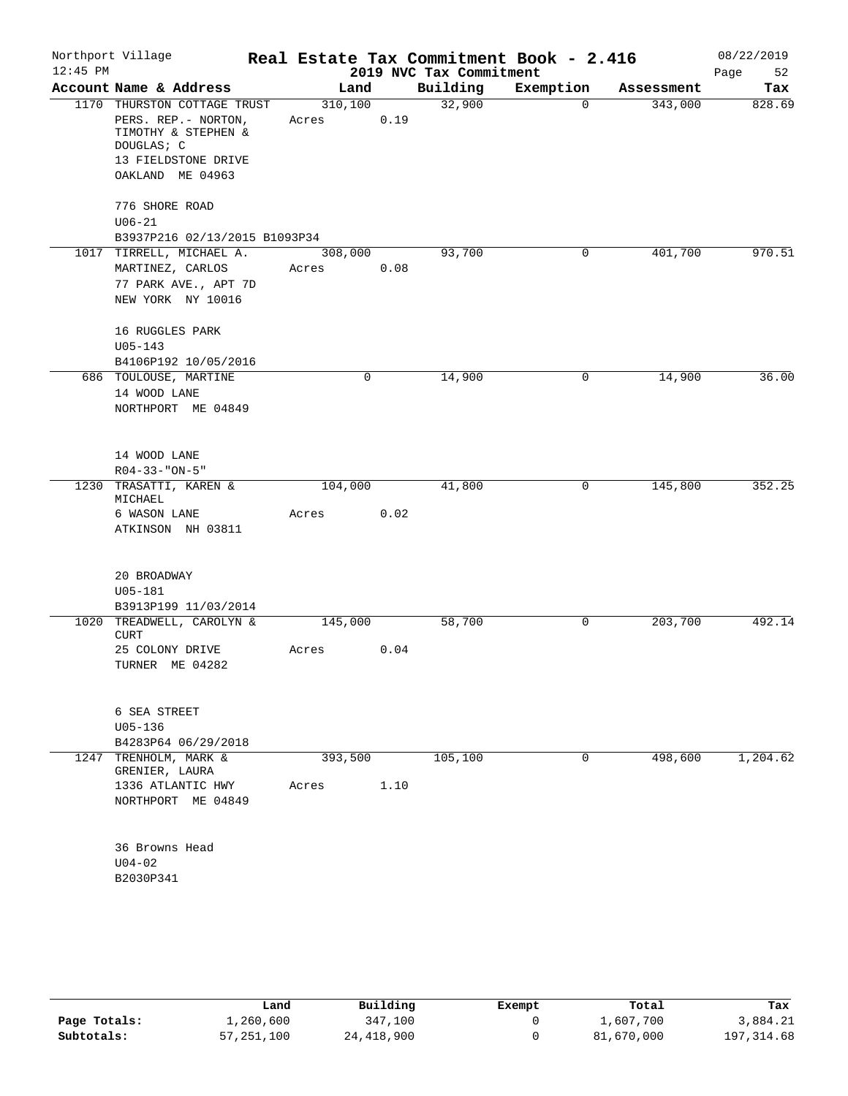| Account Name & Address<br>Building<br>Land<br>Exemption<br>Assessment<br>310, 100<br>32,900<br>343,000<br>1170 THURSTON COTTAGE TRUST<br>$\mathbf 0$<br>PERS. REP. - NORTON,<br>0.19<br>Acres<br>TIMOTHY & STEPHEN &<br>DOUGLAS; C<br>13 FIELDSTONE DRIVE<br>OAKLAND ME 04963<br>776 SHORE ROAD<br>$U06 - 21$<br>B3937P216 02/13/2015 B1093P34<br>1017 TIRRELL, MICHAEL A.<br>93,700<br>401,700<br>308,000<br>0<br>0.08<br>MARTINEZ, CARLOS<br>Acres<br>77 PARK AVE., APT 7D<br>NEW YORK NY 10016<br>16 RUGGLES PARK<br>$U05 - 143$<br>B4106P192 10/05/2016<br>14,900<br>14,900<br>686 TOULOUSE, MARTINE<br>0<br>0<br>14 WOOD LANE<br>NORTHPORT ME 04849<br>14 WOOD LANE<br>$R04 - 33 - "ON - 5"$<br>1230 TRASATTI, KAREN &<br>41,800<br>0<br>145,800<br>104,000<br>MICHAEL<br>0.02<br>6 WASON LANE<br>Acres<br>ATKINSON NH 03811<br>20 BROADWAY<br>$U05 - 181$<br>B3913P199 11/03/2014<br>1020 TREADWELL, CAROLYN &<br>203,700<br>145,000<br>58,700<br>0<br><b>CURT</b><br>0.04<br>25 COLONY DRIVE<br>Acres<br>TURNER ME 04282<br>6 SEA STREET<br>$U05 - 136$<br>B4283P64 06/29/2018<br>1247 TRENHOLM, MARK &<br>105,100<br>498,600<br>393,500<br>0<br>GRENIER, LAURA<br>1336 ATLANTIC HWY<br>1.10<br>Acres<br>NORTHPORT ME 04849<br>36 Browns Head<br>$U04 - 02$<br>B2030P341 | $12:45$ PM | Northport Village |  | 2019 NVC Tax Commitment | Real Estate Tax Commitment Book - 2.416 | 08/22/2019<br>Page<br>52 |
|---------------------------------------------------------------------------------------------------------------------------------------------------------------------------------------------------------------------------------------------------------------------------------------------------------------------------------------------------------------------------------------------------------------------------------------------------------------------------------------------------------------------------------------------------------------------------------------------------------------------------------------------------------------------------------------------------------------------------------------------------------------------------------------------------------------------------------------------------------------------------------------------------------------------------------------------------------------------------------------------------------------------------------------------------------------------------------------------------------------------------------------------------------------------------------------------------------------------------------------------------------------------------------|------------|-------------------|--|-------------------------|-----------------------------------------|--------------------------|
|                                                                                                                                                                                                                                                                                                                                                                                                                                                                                                                                                                                                                                                                                                                                                                                                                                                                                                                                                                                                                                                                                                                                                                                                                                                                                 |            |                   |  |                         |                                         | Tax                      |
|                                                                                                                                                                                                                                                                                                                                                                                                                                                                                                                                                                                                                                                                                                                                                                                                                                                                                                                                                                                                                                                                                                                                                                                                                                                                                 |            |                   |  |                         |                                         | 828.69                   |
|                                                                                                                                                                                                                                                                                                                                                                                                                                                                                                                                                                                                                                                                                                                                                                                                                                                                                                                                                                                                                                                                                                                                                                                                                                                                                 |            |                   |  |                         |                                         |                          |
|                                                                                                                                                                                                                                                                                                                                                                                                                                                                                                                                                                                                                                                                                                                                                                                                                                                                                                                                                                                                                                                                                                                                                                                                                                                                                 |            |                   |  |                         |                                         |                          |
|                                                                                                                                                                                                                                                                                                                                                                                                                                                                                                                                                                                                                                                                                                                                                                                                                                                                                                                                                                                                                                                                                                                                                                                                                                                                                 |            |                   |  |                         |                                         |                          |
|                                                                                                                                                                                                                                                                                                                                                                                                                                                                                                                                                                                                                                                                                                                                                                                                                                                                                                                                                                                                                                                                                                                                                                                                                                                                                 |            |                   |  |                         |                                         | 970.51                   |
|                                                                                                                                                                                                                                                                                                                                                                                                                                                                                                                                                                                                                                                                                                                                                                                                                                                                                                                                                                                                                                                                                                                                                                                                                                                                                 |            |                   |  |                         |                                         |                          |
|                                                                                                                                                                                                                                                                                                                                                                                                                                                                                                                                                                                                                                                                                                                                                                                                                                                                                                                                                                                                                                                                                                                                                                                                                                                                                 |            |                   |  |                         |                                         | 36.00                    |
|                                                                                                                                                                                                                                                                                                                                                                                                                                                                                                                                                                                                                                                                                                                                                                                                                                                                                                                                                                                                                                                                                                                                                                                                                                                                                 |            |                   |  |                         |                                         |                          |
|                                                                                                                                                                                                                                                                                                                                                                                                                                                                                                                                                                                                                                                                                                                                                                                                                                                                                                                                                                                                                                                                                                                                                                                                                                                                                 |            |                   |  |                         |                                         | 352.25                   |
|                                                                                                                                                                                                                                                                                                                                                                                                                                                                                                                                                                                                                                                                                                                                                                                                                                                                                                                                                                                                                                                                                                                                                                                                                                                                                 |            |                   |  |                         |                                         |                          |
|                                                                                                                                                                                                                                                                                                                                                                                                                                                                                                                                                                                                                                                                                                                                                                                                                                                                                                                                                                                                                                                                                                                                                                                                                                                                                 |            |                   |  |                         |                                         |                          |
|                                                                                                                                                                                                                                                                                                                                                                                                                                                                                                                                                                                                                                                                                                                                                                                                                                                                                                                                                                                                                                                                                                                                                                                                                                                                                 |            |                   |  |                         |                                         |                          |
|                                                                                                                                                                                                                                                                                                                                                                                                                                                                                                                                                                                                                                                                                                                                                                                                                                                                                                                                                                                                                                                                                                                                                                                                                                                                                 |            |                   |  |                         |                                         | 492.14                   |
|                                                                                                                                                                                                                                                                                                                                                                                                                                                                                                                                                                                                                                                                                                                                                                                                                                                                                                                                                                                                                                                                                                                                                                                                                                                                                 |            |                   |  |                         |                                         |                          |
|                                                                                                                                                                                                                                                                                                                                                                                                                                                                                                                                                                                                                                                                                                                                                                                                                                                                                                                                                                                                                                                                                                                                                                                                                                                                                 |            |                   |  |                         |                                         |                          |
|                                                                                                                                                                                                                                                                                                                                                                                                                                                                                                                                                                                                                                                                                                                                                                                                                                                                                                                                                                                                                                                                                                                                                                                                                                                                                 |            |                   |  |                         |                                         |                          |
|                                                                                                                                                                                                                                                                                                                                                                                                                                                                                                                                                                                                                                                                                                                                                                                                                                                                                                                                                                                                                                                                                                                                                                                                                                                                                 |            |                   |  |                         |                                         | 1,204.62                 |
|                                                                                                                                                                                                                                                                                                                                                                                                                                                                                                                                                                                                                                                                                                                                                                                                                                                                                                                                                                                                                                                                                                                                                                                                                                                                                 |            |                   |  |                         |                                         |                          |
|                                                                                                                                                                                                                                                                                                                                                                                                                                                                                                                                                                                                                                                                                                                                                                                                                                                                                                                                                                                                                                                                                                                                                                                                                                                                                 |            |                   |  |                         |                                         |                          |
|                                                                                                                                                                                                                                                                                                                                                                                                                                                                                                                                                                                                                                                                                                                                                                                                                                                                                                                                                                                                                                                                                                                                                                                                                                                                                 |            |                   |  |                         |                                         |                          |

|              | Land       | Building   | Exempt | Total      | Tax         |
|--------------|------------|------------|--------|------------|-------------|
| Page Totals: | 1,260,600  | 347,100    |        | 1,607,700  | 3,884.21    |
| Subtotals:   | 57,251,100 | 24,418,900 |        | 81,670,000 | 197, 314.68 |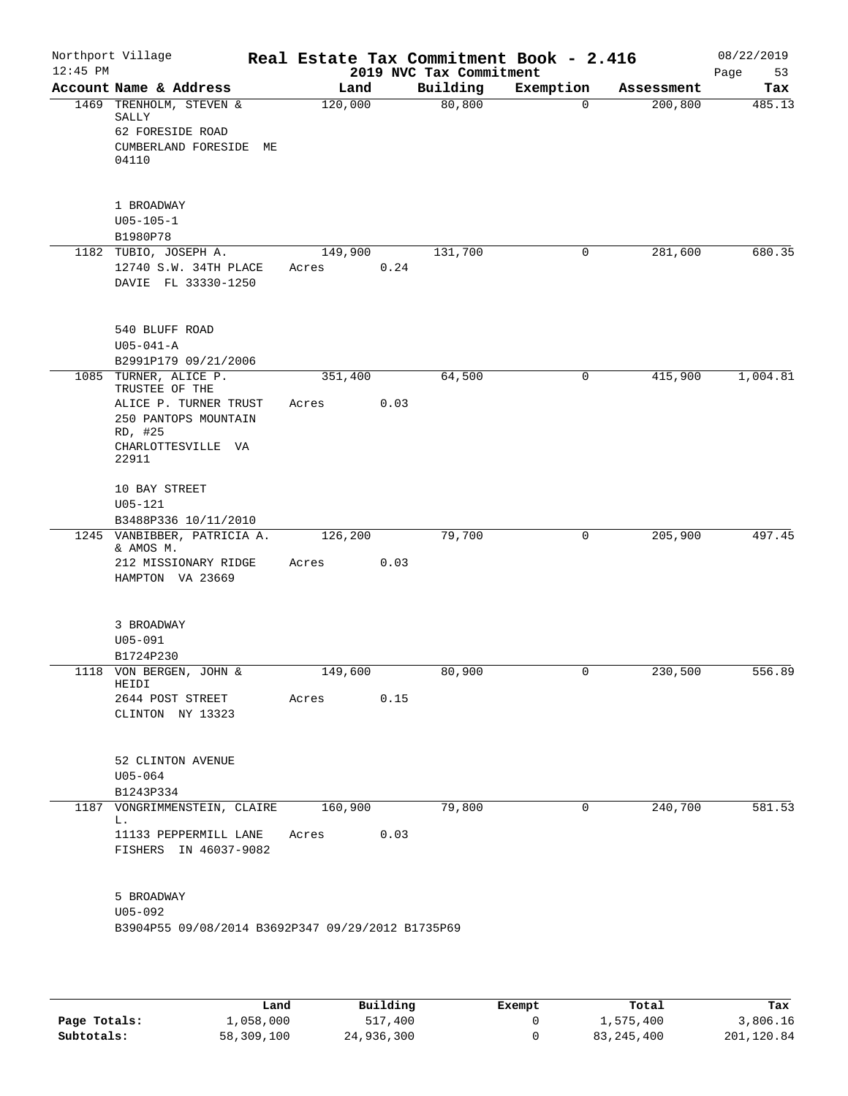| Account Name & Address<br>1469 TRENHOLM, STEVEN &<br>SALLY<br>62 FORESIDE ROAD<br>CUMBERLAND FORESIDE ME                           | Land<br>120,000  |      | 2019 NVC Tax Commitment<br>Building<br>80, 800 | Exemption<br>0 | Assessment | Page<br>53<br>Tax |
|------------------------------------------------------------------------------------------------------------------------------------|------------------|------|------------------------------------------------|----------------|------------|-------------------|
|                                                                                                                                    |                  |      |                                                |                |            |                   |
| 04110                                                                                                                              |                  |      |                                                |                | 200, 800   | 485.13            |
| 1 BROADWAY<br>$U05 - 105 - 1$<br>B1980P78                                                                                          |                  |      |                                                |                |            |                   |
| 1182 TUBIO, JOSEPH A.<br>12740 S.W. 34TH PLACE<br>DAVIE FL 33330-1250                                                              | 149,900<br>Acres | 0.24 | 131,700                                        | 0              | 281,600    | 680.35            |
| 540 BLUFF ROAD<br>$U05 - 041 - A$<br>B2991P179 09/21/2006                                                                          |                  |      |                                                |                |            |                   |
| 1085 TURNER, ALICE P.<br>TRUSTEE OF THE<br>ALICE P. TURNER TRUST<br>250 PANTOPS MOUNTAIN<br>RD, #25<br>CHARLOTTESVILLE VA<br>22911 | 351,400<br>Acres | 0.03 | 64,500                                         | 0              | 415,900    | 1,004.81          |
| 10 BAY STREET<br>$U05 - 121$<br>B3488P336 10/11/2010                                                                               |                  |      |                                                |                |            |                   |
| 1245 VANBIBBER, PATRICIA A.<br>& AMOS M.<br>212 MISSIONARY RIDGE<br>HAMPTON VA 23669                                               | 126,200<br>Acres | 0.03 | 79,700                                         | 0              | 205,900    | 497.45            |
| 3 BROADWAY<br>$U05 - 091$<br>B1724P230                                                                                             |                  |      |                                                |                |            |                   |
| 1118 VON BERGEN, JOHN &<br>HEIDI<br>2644 POST STREET<br>CLINTON NY 13323                                                           | 149,600<br>Acres | 0.15 | 80,900                                         | 0              | 230,500    | 556.89            |
| 52 CLINTON AVENUE<br>$U05 - 064$<br>B1243P334                                                                                      |                  |      |                                                |                |            |                   |
| 1187 VONGRIMMENSTEIN, CLAIRE 160,900<br>L.<br>11133 PEPPERMILL LANE<br>FISHERS IN 46037-9082                                       | Acres 0.03       |      | 79,800                                         | $\overline{0}$ | 240,700    | 581.53            |
| 5 BROADWAY<br>U05-092<br>B3904P55 09/08/2014 B3692P347 09/29/2012 B1735P69                                                         |                  |      |                                                |                |            |                   |

|              | Land       | Building   | Exempt | Total        | Tax        |
|--------------|------------|------------|--------|--------------|------------|
| Page Totals: | L,058,000  | 517,400    |        | 1,575,400    | 3,806.16   |
| Subtotals:   | 58,309,100 | 24,936,300 |        | 83, 245, 400 | 201,120.84 |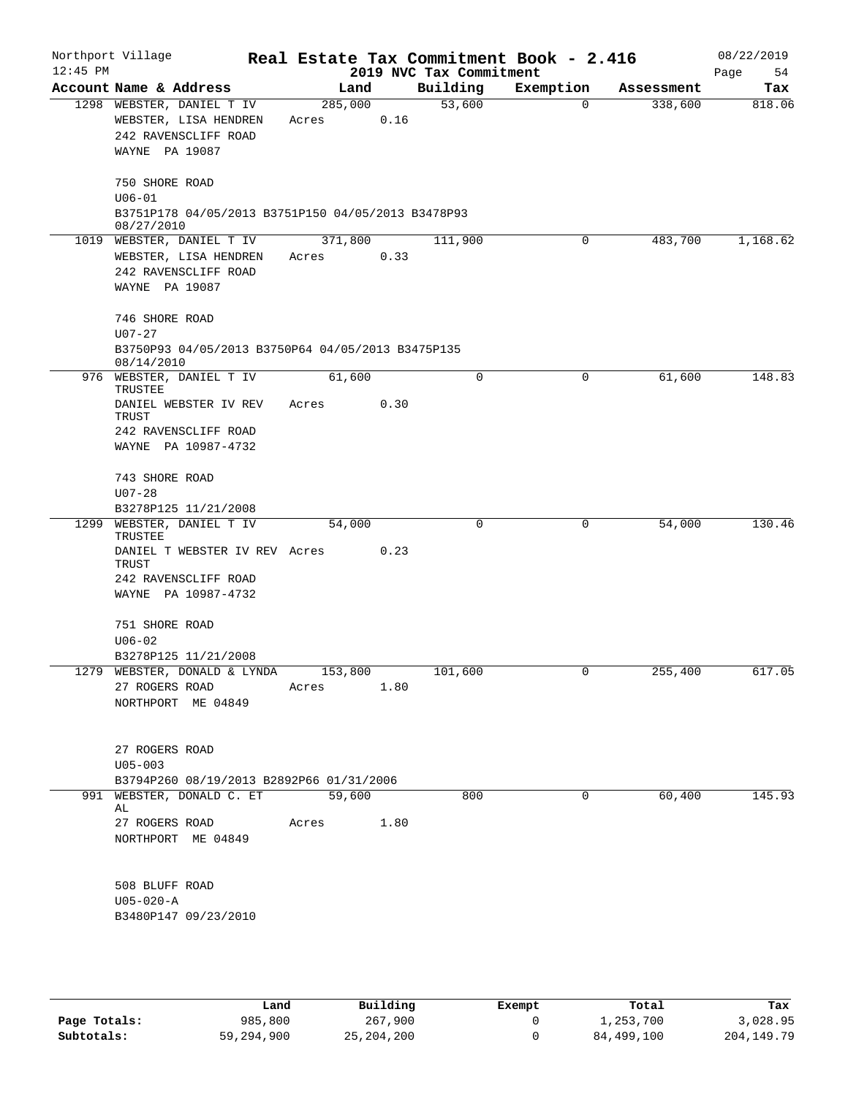| Northport Village<br>$12:45$ PM |                                                                                                  |                  |      | 2019 NVC Tax Commitment | Real Estate Tax Commitment Book - 2.416 |            | 08/22/2019<br>Page<br>54 |
|---------------------------------|--------------------------------------------------------------------------------------------------|------------------|------|-------------------------|-----------------------------------------|------------|--------------------------|
|                                 | Account Name & Address                                                                           | Land             |      | Building                | Exemption                               | Assessment | Tax                      |
|                                 | 1298 WEBSTER, DANIEL T IV<br>WEBSTER, LISA HENDREN<br>242 RAVENSCLIFF ROAD<br>WAYNE PA 19087     | 285,000<br>Acres | 0.16 | 53,600                  | $\Omega$                                | 338,600    | 818.06                   |
|                                 | 750 SHORE ROAD<br>$U06 - 01$<br>B3751P178 04/05/2013 B3751P150 04/05/2013 B3478P93               |                  |      |                         |                                         |            |                          |
|                                 | 08/27/2010<br>1019 WEBSTER, DANIEL T IV                                                          | 371,800          |      | 111,900                 | 0                                       | 483,700    | 1,168.62                 |
|                                 | WEBSTER, LISA HENDREN<br>242 RAVENSCLIFF ROAD<br>WAYNE PA 19087                                  | Acres            | 0.33 |                         |                                         |            |                          |
|                                 | 746 SHORE ROAD<br>$U07 - 27$<br>B3750P93 04/05/2013 B3750P64 04/05/2013 B3475P135<br>08/14/2010  |                  |      |                         |                                         |            |                          |
|                                 | 976 WEBSTER, DANIEL T IV                                                                         | 61,600           |      | $\Omega$                | 0                                       | 61,600     | 148.83                   |
|                                 | TRUSTEE<br>DANIEL WEBSTER IV REV<br>TRUST<br>242 RAVENSCLIFF ROAD<br>WAYNE PA 10987-4732         | Acres            | 0.30 |                         |                                         |            |                          |
|                                 | 743 SHORE ROAD<br>$U07 - 28$<br>B3278P125 11/21/2008                                             |                  |      |                         |                                         |            |                          |
|                                 | 1299 WEBSTER, DANIEL T IV                                                                        | 54,000           |      | $\Omega$                | 0                                       | 54,000     | 130.46                   |
|                                 | TRUSTEE<br>DANIEL T WEBSTER IV REV Acres<br>TRUST<br>242 RAVENSCLIFF ROAD<br>WAYNE PA 10987-4732 |                  | 0.23 |                         |                                         |            |                          |
|                                 | 751 SHORE ROAD                                                                                   |                  |      |                         |                                         |            |                          |
|                                 | $U06 - 02$                                                                                       |                  |      |                         |                                         |            |                          |
|                                 | B3278P125 11/21/2008                                                                             |                  |      |                         |                                         |            |                          |
|                                 | 1279 WEBSTER, DONALD & LYNDA 153,800<br>27 ROGERS ROAD<br>NORTHPORT ME 04849                     | Acres            | 1.80 | 101,600                 | $\mathbf{0}$                            | 255,400    | 617.05                   |
|                                 | 27 ROGERS ROAD<br>$U05 - 003$<br>B3794P260 08/19/2013 B2892P66 01/31/2006                        |                  |      |                         |                                         |            |                          |
|                                 | 991 WEBSTER, DONALD C. ET 59,600                                                                 |                  |      | 800                     | 0                                       | 60,400     | 145.93                   |
|                                 | AL<br>27 ROGERS ROAD<br>NORTHPORT ME 04849                                                       | Acres            | 1.80 |                         |                                         |            |                          |
|                                 | 508 BLUFF ROAD<br>$U05 - 020 - A$<br>B3480P147 09/23/2010                                        |                  |      |                         |                                         |            |                          |

|              | Land       | Building     | Exempt | Total      | Tax          |
|--------------|------------|--------------|--------|------------|--------------|
| Page Totals: | 985,800    | 267,900      |        | 1,253,700  | 3,028.95     |
| Subtotals:   | 59,294,900 | 25, 204, 200 |        | 84,499,100 | 204, 149. 79 |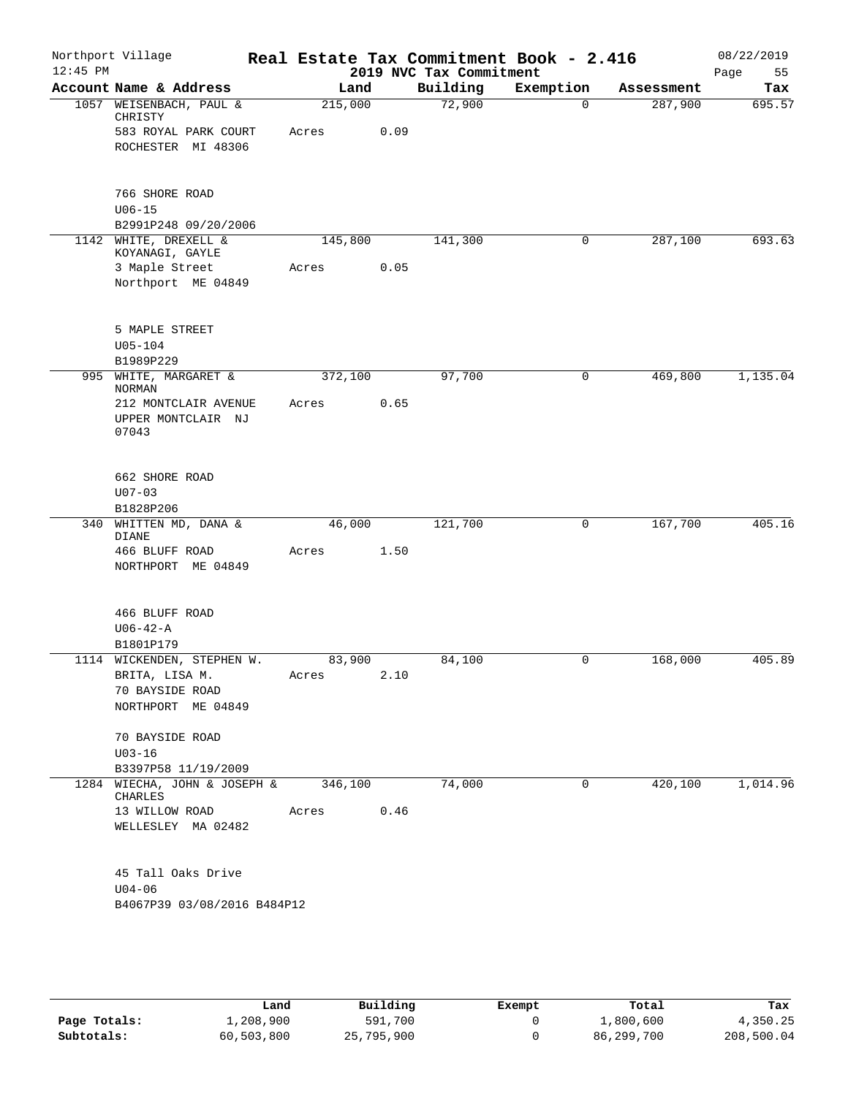|                                                                     |                 |                                      | 2019 NVC Tax Commitment | Real Estate Tax Commitment Book - 2.416 |            | 08/22/2019<br>Page<br>55 |
|---------------------------------------------------------------------|-----------------|--------------------------------------|-------------------------|-----------------------------------------|------------|--------------------------|
| Account Name & Address                                              | Land            |                                      | Building                | Exemption                               | Assessment | Tax                      |
| 1057 WEISENBACH, PAUL &                                             | 215,000         |                                      | 72,900                  | $\Omega$                                | 287,900    | 695.57                   |
| 583 ROYAL PARK COURT<br>ROCHESTER MI 48306                          | Acres           | 0.09                                 |                         |                                         |            |                          |
|                                                                     |                 |                                      |                         |                                         |            |                          |
| B2991P248 09/20/2006                                                |                 |                                      |                         |                                         |            |                          |
| 1142 WHITE, DREXELL &<br>KOYANAGI, GAYLE                            | 145,800         |                                      | 141,300                 | 0                                       | 287,100    | 693.63                   |
| Northport ME 04849                                                  | Acres           | 0.05                                 |                         |                                         |            |                          |
|                                                                     |                 |                                      |                         |                                         |            |                          |
|                                                                     |                 |                                      |                         |                                         |            |                          |
| 995 WHITE, MARGARET &                                               | 372,100         |                                      | 97,700                  | 0                                       | 469,800    | 1,135.04                 |
| 212 MONTCLAIR AVENUE<br>UPPER MONTCLAIR NJ                          | Acres           | 0.65                                 |                         |                                         |            |                          |
|                                                                     |                 |                                      |                         |                                         |            |                          |
| 340 WHITTEN MD, DANA &                                              | 46,000          |                                      | 121,700                 | $\mathbf 0$                             | 167,700    | 405.16                   |
| NORTHPORT ME 04849                                                  | Acres           | 1.50                                 |                         |                                         |            |                          |
|                                                                     |                 |                                      |                         |                                         |            |                          |
|                                                                     |                 |                                      |                         |                                         |            |                          |
| 1114 WICKENDEN, STEPHEN W.<br>70 BAYSIDE ROAD<br>NORTHPORT ME 04849 | 83,900<br>Acres | 2.10                                 | 84,100                  | 0                                       | 168,000    | 405.89                   |
| 70 BAYSIDE ROAD                                                     |                 |                                      |                         |                                         |            |                          |
| B3397P58 11/19/2009                                                 |                 |                                      |                         |                                         |            |                          |
| 1284 WIECHA, JOHN & JOSEPH &                                        | 346,100         |                                      | 74,000                  | 0                                       | 420,100    | 1,014.96                 |
| WELLESLEY MA 02482                                                  |                 |                                      |                         |                                         |            |                          |
| 45 Tall Oaks Drive                                                  |                 |                                      |                         |                                         |            |                          |
|                                                                     |                 | Acres<br>B4067P39 03/08/2016 B484P12 | 0.46                    |                                         |            |                          |

|              | Land       | Building   | Exempt | Total      | Tax        |
|--------------|------------|------------|--------|------------|------------|
| Page Totals: | 1,208,900  | 591,700    |        | 1,800,600  | 4,350.25   |
| Subtotals:   | 60,503,800 | 25,795,900 |        | 86,299,700 | 208,500.04 |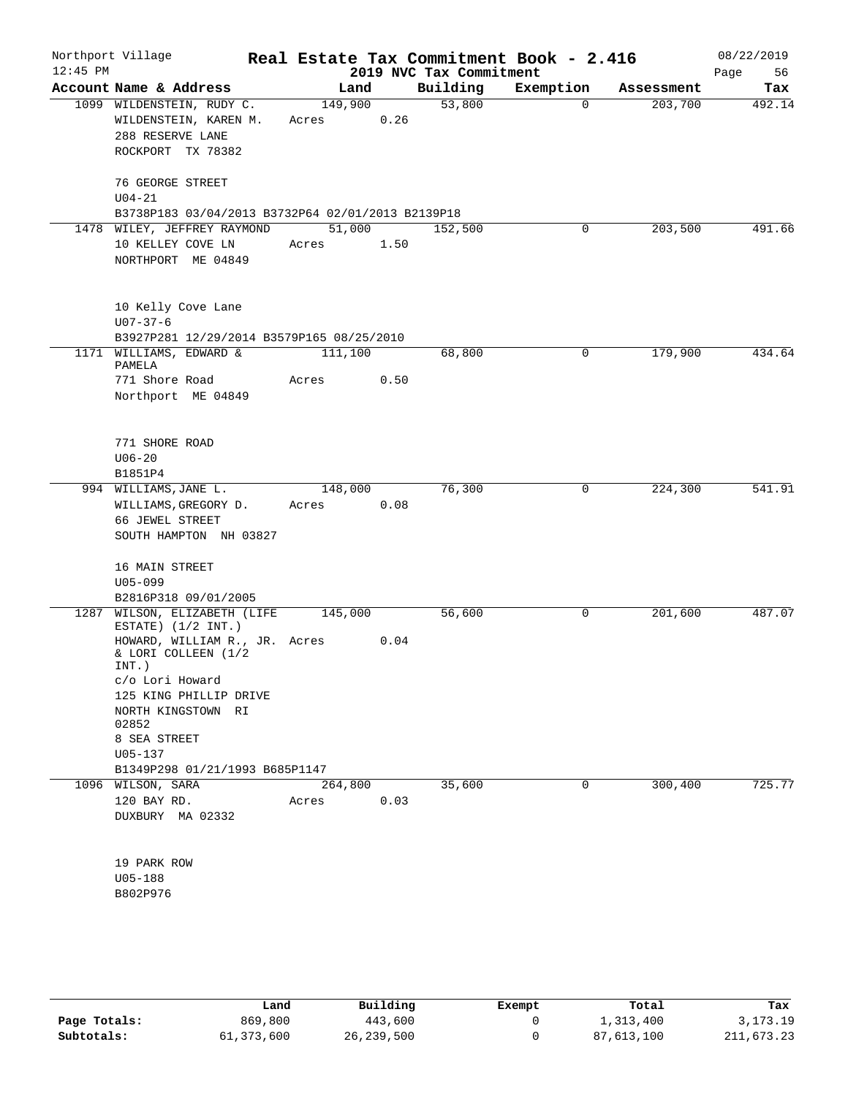| $12:45$ PM | Northport Village                                                                           |                  |      | 2019 NVC Tax Commitment | Real Estate Tax Commitment Book - 2.416 |            | 08/22/2019<br>Page<br>56 |
|------------|---------------------------------------------------------------------------------------------|------------------|------|-------------------------|-----------------------------------------|------------|--------------------------|
|            | Account Name & Address                                                                      | Land             |      | Building                | Exemption                               | Assessment | Tax                      |
|            | 1099 WILDENSTEIN, RUDY C.<br>WILDENSTEIN, KAREN M.<br>288 RESERVE LANE<br>ROCKPORT TX 78382 | 149,900<br>Acres | 0.26 | 53,800                  | $\Omega$                                | 203,700    | 492.14                   |
|            | 76 GEORGE STREET<br>$U04 - 21$<br>B3738P183 03/04/2013 B3732P64 02/01/2013 B2139P18         |                  |      |                         |                                         |            |                          |
|            | 1478 WILEY, JEFFREY RAYMOND                                                                 | 51,000           |      | 152,500                 | 0                                       | 203,500    | 491.66                   |
|            | 10 KELLEY COVE LN<br>NORTHPORT ME 04849                                                     | Acres            | 1.50 |                         |                                         |            |                          |
|            | 10 Kelly Cove Lane<br>$U07 - 37 - 6$                                                        |                  |      |                         |                                         |            |                          |
|            | B3927P281 12/29/2014 B3579P165 08/25/2010                                                   |                  |      |                         |                                         |            |                          |
|            | 1171 WILLIAMS, EDWARD &<br>PAMELA                                                           | 111,100          |      | 68,800                  | $\mathbf 0$                             | 179,900    | 434.64                   |
|            | 771 Shore Road<br>Northport ME 04849                                                        | Acres            | 0.50 |                         |                                         |            |                          |
|            | 771 SHORE ROAD                                                                              |                  |      |                         |                                         |            |                          |
|            | $U06 - 20$                                                                                  |                  |      |                         |                                         |            |                          |
|            | B1851P4<br>994 WILLIAMS, JANE L.                                                            | 148,000          |      | 76,300                  | 0                                       | 224,300    | 541.91                   |
|            | WILLIAMS, GREGORY D.<br>66 JEWEL STREET<br>SOUTH HAMPTON NH 03827                           | Acres            | 0.08 |                         |                                         |            |                          |
|            | 16 MAIN STREET<br>$U05 - 099$                                                               |                  |      |                         |                                         |            |                          |
|            | B2816P318 09/01/2005                                                                        |                  |      |                         |                                         |            |                          |
|            | 1287 WILSON, ELIZABETH (LIFE<br>ESTATE) $(1/2 INT.)$                                        | 145,000          |      | 56,600                  | 0                                       | 201,600    | 487.07                   |
|            | HOWARD, WILLIAM R., JR. Acres<br>& LORI COLLEEN (1/2<br>$INT.$ )                            |                  | 0.04 |                         |                                         |            |                          |
|            | c/o Lori Howard<br>125 KING PHILLIP DRIVE                                                   |                  |      |                         |                                         |            |                          |
|            | NORTH KINGSTOWN RI<br>02852                                                                 |                  |      |                         |                                         |            |                          |
|            | 8 SEA STREET                                                                                |                  |      |                         |                                         |            |                          |
|            | $U05 - 137$<br>B1349P298 01/21/1993 B685P1147                                               |                  |      |                         |                                         |            |                          |
|            | 1096 WILSON, SARA                                                                           | 264,800          |      | 35,600                  | 0                                       | 300, 400   | 725.77                   |
|            | 120 BAY RD.<br>DUXBURY MA 02332                                                             | Acres            | 0.03 |                         |                                         |            |                          |
|            | 19 PARK ROW                                                                                 |                  |      |                         |                                         |            |                          |
|            | $U05 - 188$<br>B802P976                                                                     |                  |      |                         |                                         |            |                          |
|            |                                                                                             |                  |      |                         |                                         |            |                          |
|            |                                                                                             |                  |      |                         |                                         |            |                          |

|              | Land       | Building   | Exempt | Total      | Tax        |
|--------------|------------|------------|--------|------------|------------|
| Page Totals: | 869,800    | 443,600    |        | 1,313,400  | 3, 173. 19 |
| Subtotals:   | 61,373,600 | 26,239,500 |        | 87,613,100 | 211,673.23 |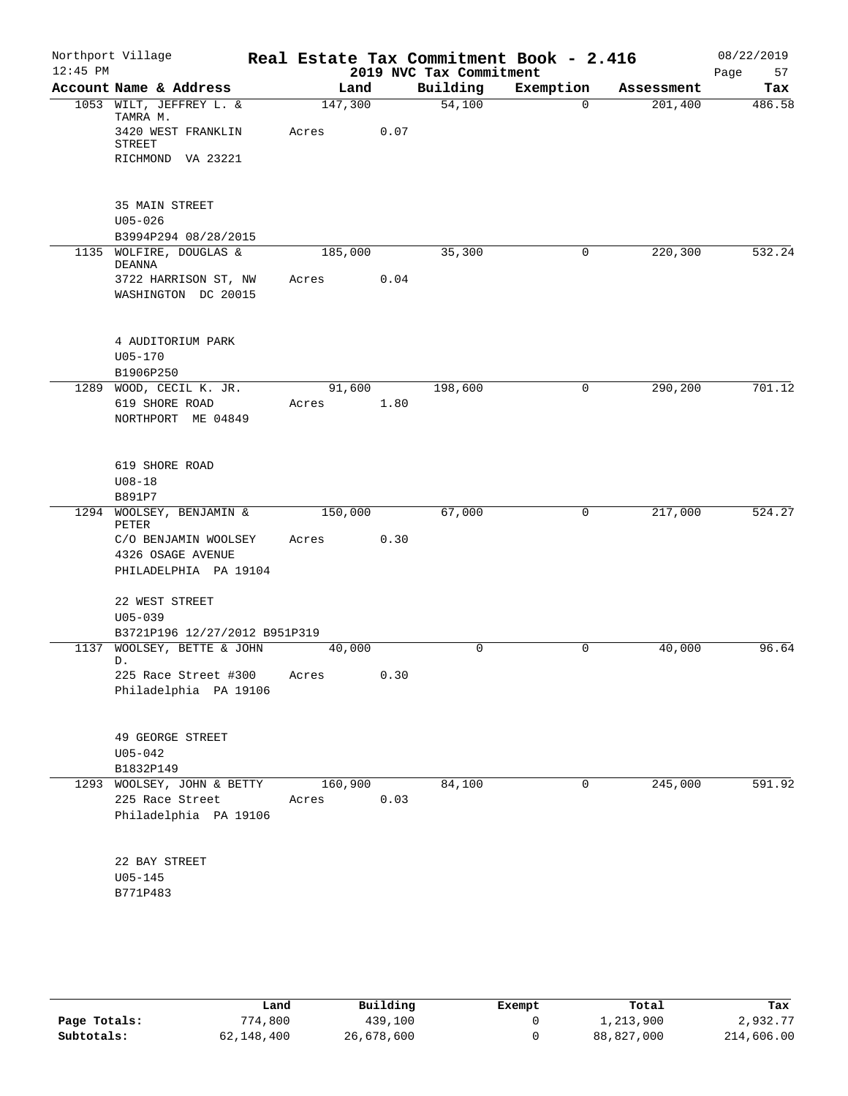| $12:45$ PM | Northport Village                           |                 |      | 2019 NVC Tax Commitment | Real Estate Tax Commitment Book - 2.416 |            | 08/22/2019<br>Page<br>57 |
|------------|---------------------------------------------|-----------------|------|-------------------------|-----------------------------------------|------------|--------------------------|
|            | Account Name & Address                      | Land            |      | Building                | Exemption                               | Assessment | Tax                      |
|            | 1053 WILT, JEFFREY L. &<br>TAMRA M.         | 147,300         |      | $\overline{54,100}$     | 0                                       | 201,400    | 486.58                   |
|            | 3420 WEST FRANKLIN<br><b>STREET</b>         | Acres           | 0.07 |                         |                                         |            |                          |
|            | RICHMOND VA 23221                           |                 |      |                         |                                         |            |                          |
|            | 35 MAIN STREET                              |                 |      |                         |                                         |            |                          |
|            | $U05 - 026$<br>B3994P294 08/28/2015         |                 |      |                         |                                         |            |                          |
|            | 1135 WOLFIRE, DOUGLAS &<br>DEANNA           | 185,000         |      | 35,300                  | 0                                       | 220,300    | 532.24                   |
|            | 3722 HARRISON ST, NW<br>WASHINGTON DC 20015 | Acres           | 0.04 |                         |                                         |            |                          |
|            | 4 AUDITORIUM PARK<br>$U05 - 170$            |                 |      |                         |                                         |            |                          |
|            | B1906P250                                   |                 |      |                         |                                         |            |                          |
|            | 1289 WOOD, CECIL K. JR.<br>619 SHORE ROAD   | 91,600<br>Acres | 1.80 | 198,600                 | $\mathbf 0$                             | 290,200    | 701.12                   |
|            | NORTHPORT ME 04849                          |                 |      |                         |                                         |            |                          |
|            | 619 SHORE ROAD                              |                 |      |                         |                                         |            |                          |
|            | $U08 - 18$                                  |                 |      |                         |                                         |            |                          |
|            | B891P7<br>1294 WOOLSEY, BENJAMIN &          | 150,000         |      | 67,000                  | 0                                       | 217,000    | 524.27                   |
|            | PETER                                       |                 |      |                         |                                         |            |                          |
|            | C/O BENJAMIN WOOLSEY                        | Acres           | 0.30 |                         |                                         |            |                          |
|            | 4326 OSAGE AVENUE<br>PHILADELPHIA PA 19104  |                 |      |                         |                                         |            |                          |
|            |                                             |                 |      |                         |                                         |            |                          |
|            | 22 WEST STREET                              |                 |      |                         |                                         |            |                          |
|            | $U05 - 039$                                 |                 |      |                         |                                         |            |                          |
|            | B3721P196 12/27/2012 B951P319               |                 |      |                         |                                         |            |                          |
|            | 1137 WOOLSEY, BETTE & JOHN<br>D.            | 40,000          |      | 0                       | 0                                       | 40,000     | 96.64                    |
|            | 225 Race Street #300                        | Acres           | 0.30 |                         |                                         |            |                          |
|            | Philadelphia PA 19106                       |                 |      |                         |                                         |            |                          |
|            | 49 GEORGE STREET                            |                 |      |                         |                                         |            |                          |
|            | $U05 - 042$<br>B1832P149                    |                 |      |                         |                                         |            |                          |
|            | 1293 WOOLSEY, JOHN & BETTY                  | 160,900         |      | 84,100                  | 0                                       | 245,000    | 591.92                   |
|            | 225 Race Street                             | Acres           | 0.03 |                         |                                         |            |                          |
|            | Philadelphia PA 19106                       |                 |      |                         |                                         |            |                          |
|            | 22 BAY STREET                               |                 |      |                         |                                         |            |                          |
|            | $U05 - 145$                                 |                 |      |                         |                                         |            |                          |
|            | B771P483                                    |                 |      |                         |                                         |            |                          |
|            |                                             |                 |      |                         |                                         |            |                          |
|            |                                             |                 |      |                         |                                         |            |                          |

|              | Land       | Building   | Exempt | Total      | Tax        |
|--------------|------------|------------|--------|------------|------------|
| Page Totals: | 774,800    | 439,100    |        | 1,213,900  | 2,932.77   |
| Subtotals:   | 62,148,400 | 26,678,600 |        | 88,827,000 | 214,606.00 |